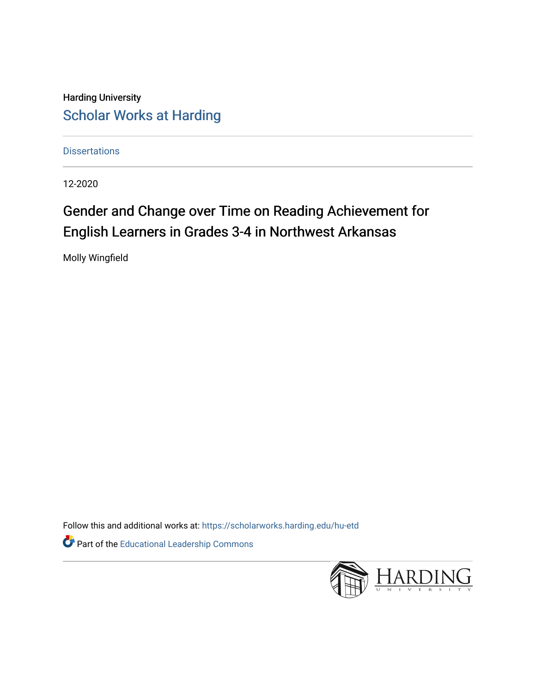Harding University [Scholar Works at Harding](https://scholarworks.harding.edu/) 

**Dissertations** 

12-2020

# Gender and Change over Time on Reading Achievement for English Learners in Grades 3-4 in Northwest Arkansas

Molly Wingfield

Follow this and additional works at: [https://scholarworks.harding.edu/hu-etd](https://scholarworks.harding.edu/hu-etd?utm_source=scholarworks.harding.edu%2Fhu-etd%2F63&utm_medium=PDF&utm_campaign=PDFCoverPages)

Part of the [Educational Leadership Commons](http://network.bepress.com/hgg/discipline/1230?utm_source=scholarworks.harding.edu%2Fhu-etd%2F63&utm_medium=PDF&utm_campaign=PDFCoverPages) 

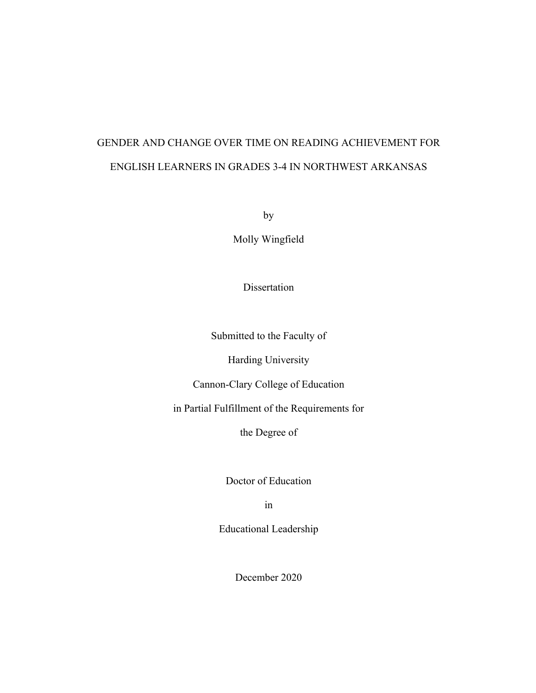# GENDER AND CHANGE OVER TIME ON READING ACHIEVEMENT FOR ENGLISH LEARNERS IN GRADES 3-4 IN NORTHWEST ARKANSAS

by

Molly Wingfield

Dissertation

Submitted to the Faculty of

Harding University

Cannon-Clary College of Education

in Partial Fulfillment of the Requirements for

the Degree of

Doctor of Education

in

Educational Leadership

December 2020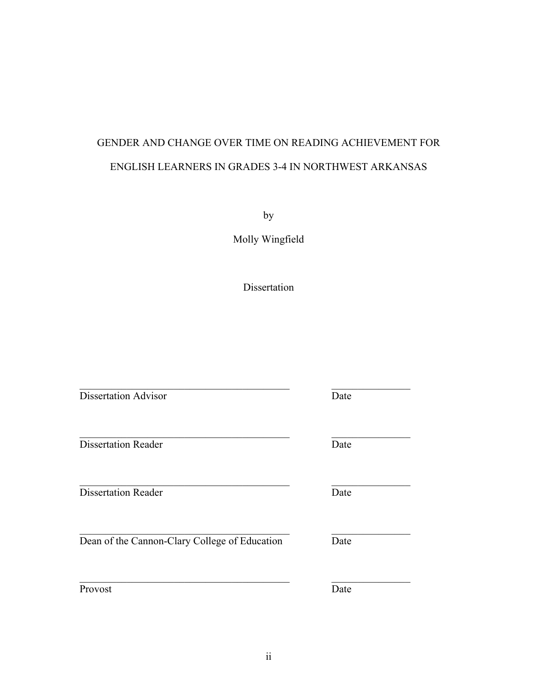# GENDER AND CHANGE OVER TIME ON READING ACHIEVEMENT FOR ENGLISH LEARNERS IN GRADES 3-4 IN NORTHWEST ARKANSAS

by

Molly Wingfield

Dissertation

 $\mathcal{L}_\text{max}$  , and the set of the set of the set of the set of the set of the set of the set of the set of the set of

Dissertation Advisor Date

Dissertation Reader Date

Dissertation Reader Date

Dean of the Cannon-Clary College of Education Date

Provost Date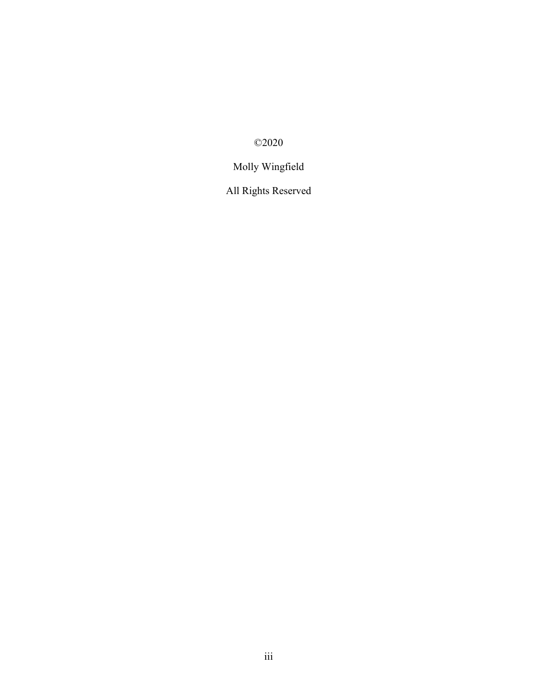©2020

# Molly Wingfield

All Rights Reserved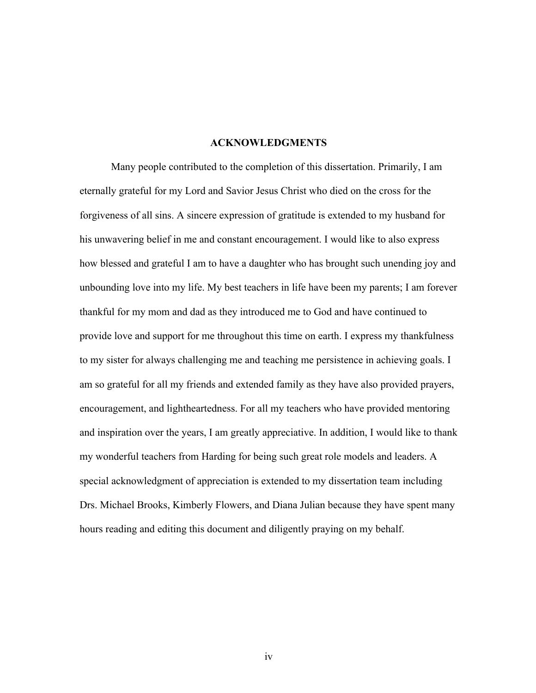#### **ACKNOWLEDGMENTS**

Many people contributed to the completion of this dissertation. Primarily, I am eternally grateful for my Lord and Savior Jesus Christ who died on the cross for the forgiveness of all sins. A sincere expression of gratitude is extended to my husband for his unwavering belief in me and constant encouragement. I would like to also express how blessed and grateful I am to have a daughter who has brought such unending joy and unbounding love into my life. My best teachers in life have been my parents; I am forever thankful for my mom and dad as they introduced me to God and have continued to provide love and support for me throughout this time on earth. I express my thankfulness to my sister for always challenging me and teaching me persistence in achieving goals. I am so grateful for all my friends and extended family as they have also provided prayers, encouragement, and lightheartedness. For all my teachers who have provided mentoring and inspiration over the years, I am greatly appreciative. In addition, I would like to thank my wonderful teachers from Harding for being such great role models and leaders. A special acknowledgment of appreciation is extended to my dissertation team including Drs. Michael Brooks, Kimberly Flowers, and Diana Julian because they have spent many hours reading and editing this document and diligently praying on my behalf.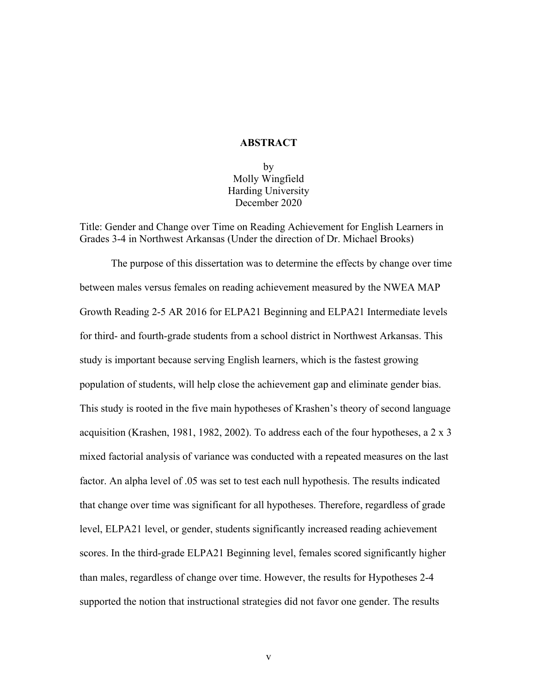#### **ABSTRACT**

by Molly Wingfield Harding University December 2020

Title: Gender and Change over Time on Reading Achievement for English Learners in Grades 3-4 in Northwest Arkansas (Under the direction of Dr. Michael Brooks)

The purpose of this dissertation was to determine the effects by change over time between males versus females on reading achievement measured by the NWEA MAP Growth Reading 2-5 AR 2016 for ELPA21 Beginning and ELPA21 Intermediate levels for third- and fourth-grade students from a school district in Northwest Arkansas. This study is important because serving English learners, which is the fastest growing population of students, will help close the achievement gap and eliminate gender bias. This study is rooted in the five main hypotheses of Krashen's theory of second language acquisition (Krashen, 1981, 1982, 2002). To address each of the four hypotheses, a 2 x 3 mixed factorial analysis of variance was conducted with a repeated measures on the last factor. An alpha level of .05 was set to test each null hypothesis. The results indicated that change over time was significant for all hypotheses. Therefore, regardless of grade level, ELPA21 level, or gender, students significantly increased reading achievement scores. In the third-grade ELPA21 Beginning level, females scored significantly higher than males, regardless of change over time. However, the results for Hypotheses 2-4 supported the notion that instructional strategies did not favor one gender. The results

v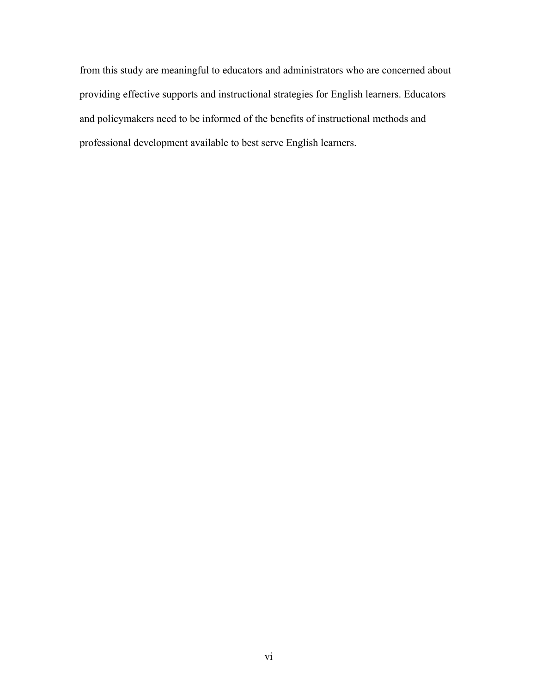from this study are meaningful to educators and administrators who are concerned about providing effective supports and instructional strategies for English learners. Educators and policymakers need to be informed of the benefits of instructional methods and professional development available to best serve English learners.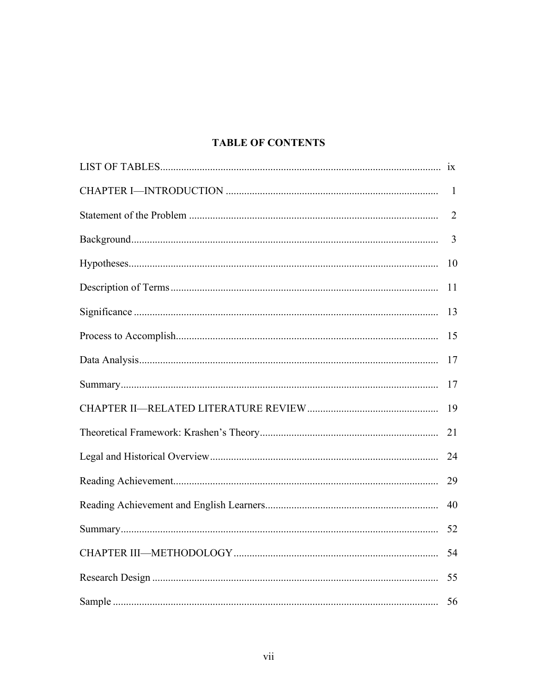# **TABLE OF CONTENTS**

| $\mathbf{1}$   |
|----------------|
| $\overline{2}$ |
| $\overline{3}$ |
| 10             |
| 11             |
| 13             |
| 15             |
| 17             |
| 17             |
| 19             |
| 21             |
| 24             |
| 29             |
| 40             |
| 52             |
| 54             |
| 55             |
| 56             |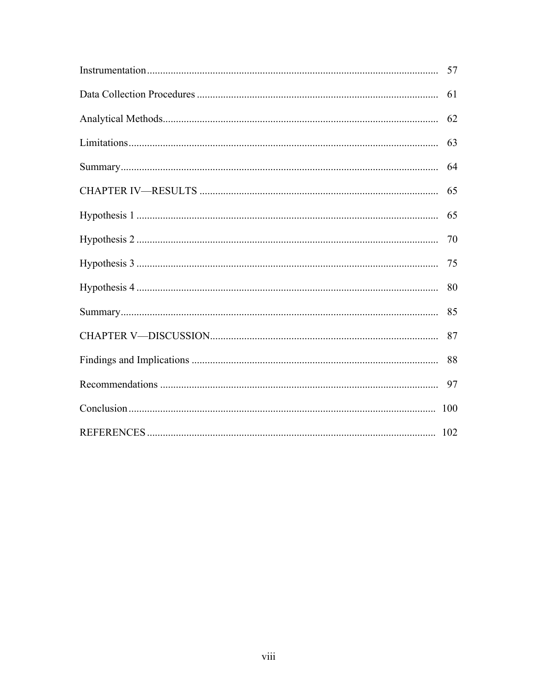| 61 |
|----|
| 62 |
| 63 |
| 64 |
| 65 |
| 65 |
| 70 |
| 75 |
| 80 |
| 85 |
| 87 |
| 88 |
| 97 |
|    |
|    |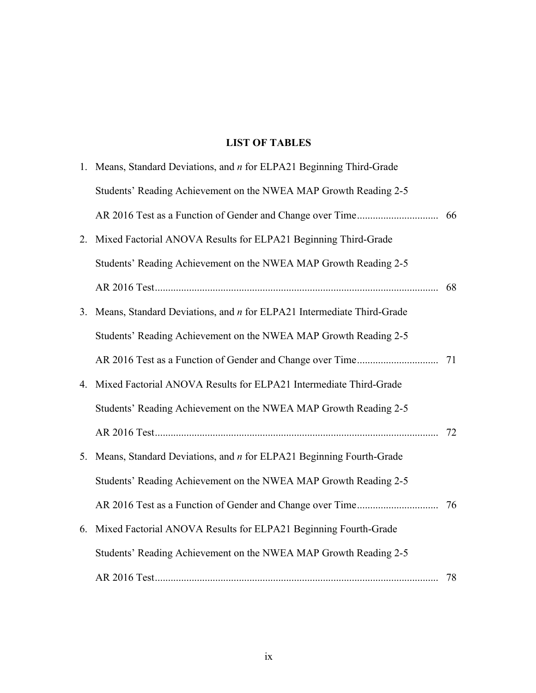# **LIST OF TABLES**

|    | 1. Means, Standard Deviations, and <i>n</i> for ELPA21 Beginning Third-Grade |  |
|----|------------------------------------------------------------------------------|--|
|    | Students' Reading Achievement on the NWEA MAP Growth Reading 2-5             |  |
|    |                                                                              |  |
| 2. | Mixed Factorial ANOVA Results for ELPA21 Beginning Third-Grade               |  |
|    | Students' Reading Achievement on the NWEA MAP Growth Reading 2-5             |  |
|    |                                                                              |  |
| 3. | Means, Standard Deviations, and <i>n</i> for ELPA21 Intermediate Third-Grade |  |
|    | Students' Reading Achievement on the NWEA MAP Growth Reading 2-5             |  |
|    |                                                                              |  |
| 4. | Mixed Factorial ANOVA Results for ELPA21 Intermediate Third-Grade            |  |
|    | Students' Reading Achievement on the NWEA MAP Growth Reading 2-5             |  |
|    |                                                                              |  |
| 5. | Means, Standard Deviations, and <i>n</i> for ELPA21 Beginning Fourth-Grade   |  |
|    | Students' Reading Achievement on the NWEA MAP Growth Reading 2-5             |  |
|    |                                                                              |  |
| 6. | Mixed Factorial ANOVA Results for ELPA21 Beginning Fourth-Grade              |  |
|    | Students' Reading Achievement on the NWEA MAP Growth Reading 2-5             |  |
|    |                                                                              |  |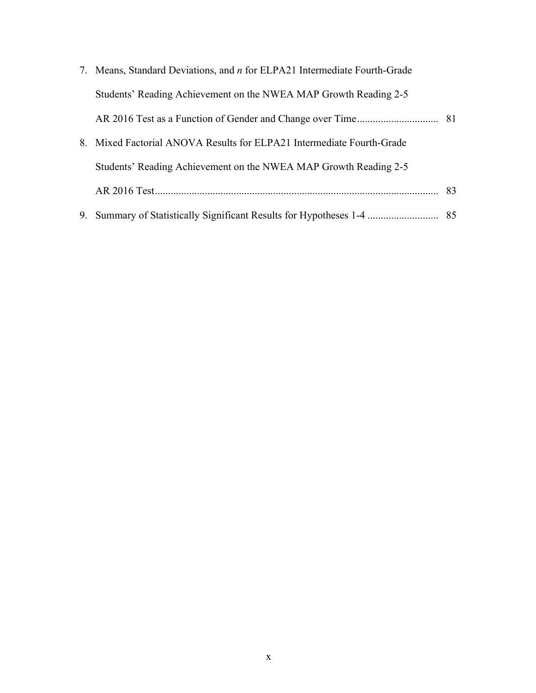| 7. Means, Standard Deviations, and <i>n</i> for ELPA21 Intermediate Fourth-Grade |  |
|----------------------------------------------------------------------------------|--|
| Students' Reading Achievement on the NWEA MAP Growth Reading 2-5                 |  |
|                                                                                  |  |
| 8. Mixed Factorial ANOVA Results for ELPA21 Intermediate Fourth-Grade            |  |
| Students' Reading Achievement on the NWEA MAP Growth Reading 2-5                 |  |
|                                                                                  |  |
|                                                                                  |  |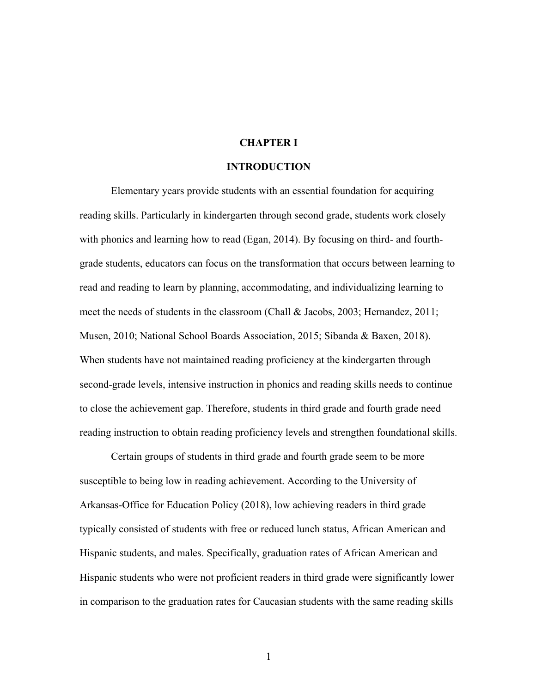#### **CHAPTER I**

#### **INTRODUCTION**

Elementary years provide students with an essential foundation for acquiring reading skills. Particularly in kindergarten through second grade, students work closely with phonics and learning how to read (Egan, 2014). By focusing on third- and fourthgrade students, educators can focus on the transformation that occurs between learning to read and reading to learn by planning, accommodating, and individualizing learning to meet the needs of students in the classroom (Chall & Jacobs, 2003; Hernandez, 2011; Musen, 2010; National School Boards Association, 2015; Sibanda & Baxen, 2018). When students have not maintained reading proficiency at the kindergarten through second-grade levels, intensive instruction in phonics and reading skills needs to continue to close the achievement gap. Therefore, students in third grade and fourth grade need reading instruction to obtain reading proficiency levels and strengthen foundational skills.

Certain groups of students in third grade and fourth grade seem to be more susceptible to being low in reading achievement. According to the University of Arkansas-Office for Education Policy (2018), low achieving readers in third grade typically consisted of students with free or reduced lunch status, African American and Hispanic students, and males. Specifically, graduation rates of African American and Hispanic students who were not proficient readers in third grade were significantly lower in comparison to the graduation rates for Caucasian students with the same reading skills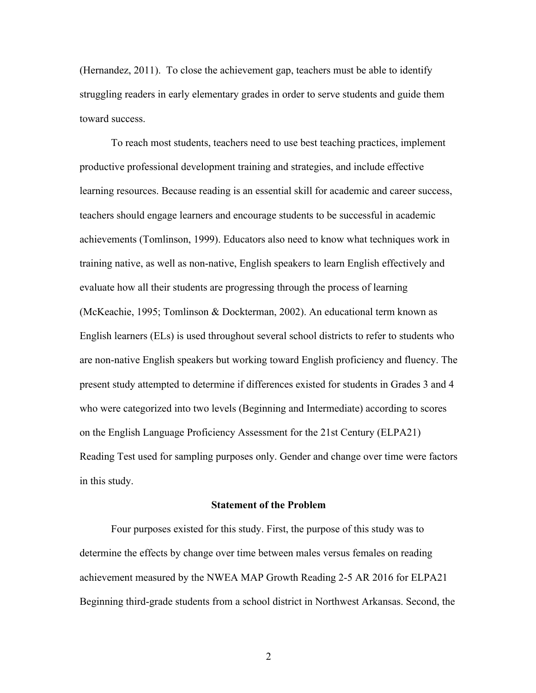(Hernandez, 2011). To close the achievement gap, teachers must be able to identify struggling readers in early elementary grades in order to serve students and guide them toward success.

To reach most students, teachers need to use best teaching practices, implement productive professional development training and strategies, and include effective learning resources. Because reading is an essential skill for academic and career success, teachers should engage learners and encourage students to be successful in academic achievements (Tomlinson, 1999). Educators also need to know what techniques work in training native, as well as non-native, English speakers to learn English effectively and evaluate how all their students are progressing through the process of learning (McKeachie, 1995; Tomlinson & Dockterman, 2002). An educational term known as English learners (ELs) is used throughout several school districts to refer to students who are non-native English speakers but working toward English proficiency and fluency. The present study attempted to determine if differences existed for students in Grades 3 and 4 who were categorized into two levels (Beginning and Intermediate) according to scores on the English Language Proficiency Assessment for the 21st Century (ELPA21) Reading Test used for sampling purposes only. Gender and change over time were factors in this study.

# **Statement of the Problem**

Four purposes existed for this study. First, the purpose of this study was to determine the effects by change over time between males versus females on reading achievement measured by the NWEA MAP Growth Reading 2-5 AR 2016 for ELPA21 Beginning third-grade students from a school district in Northwest Arkansas. Second, the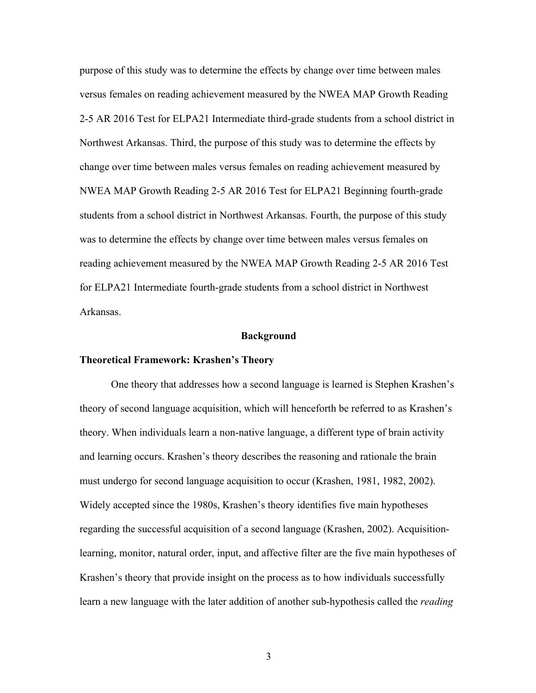purpose of this study was to determine the effects by change over time between males versus females on reading achievement measured by the NWEA MAP Growth Reading 2-5 AR 2016 Test for ELPA21 Intermediate third-grade students from a school district in Northwest Arkansas. Third, the purpose of this study was to determine the effects by change over time between males versus females on reading achievement measured by NWEA MAP Growth Reading 2-5 AR 2016 Test for ELPA21 Beginning fourth-grade students from a school district in Northwest Arkansas. Fourth, the purpose of this study was to determine the effects by change over time between males versus females on reading achievement measured by the NWEA MAP Growth Reading 2-5 AR 2016 Test for ELPA21 Intermediate fourth-grade students from a school district in Northwest Arkansas.

#### **Background**

#### **Theoretical Framework: Krashen's Theory**

One theory that addresses how a second language is learned is Stephen Krashen's theory of second language acquisition, which will henceforth be referred to as Krashen's theory. When individuals learn a non-native language, a different type of brain activity and learning occurs. Krashen's theory describes the reasoning and rationale the brain must undergo for second language acquisition to occur (Krashen, 1981, 1982, 2002). Widely accepted since the 1980s, Krashen's theory identifies five main hypotheses regarding the successful acquisition of a second language (Krashen, 2002). Acquisitionlearning, monitor, natural order, input, and affective filter are the five main hypotheses of Krashen's theory that provide insight on the process as to how individuals successfully learn a new language with the later addition of another sub-hypothesis called the *reading*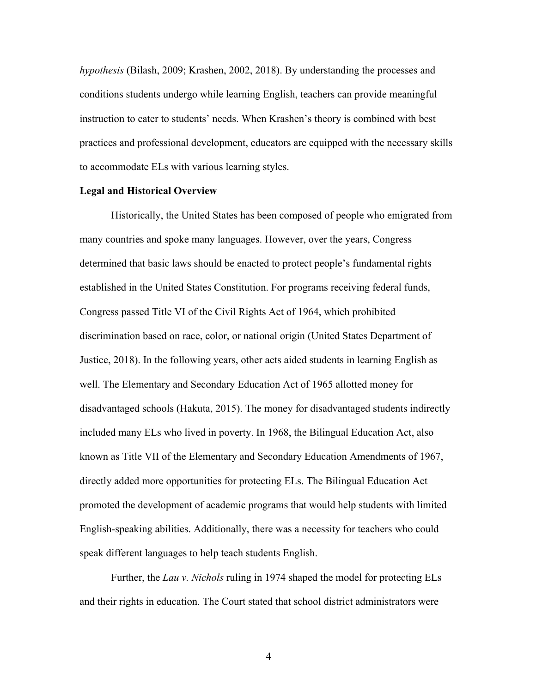*hypothesis* (Bilash, 2009; Krashen, 2002, 2018). By understanding the processes and conditions students undergo while learning English, teachers can provide meaningful instruction to cater to students' needs. When Krashen's theory is combined with best practices and professional development, educators are equipped with the necessary skills to accommodate ELs with various learning styles.

#### **Legal and Historical Overview**

Historically, the United States has been composed of people who emigrated from many countries and spoke many languages. However, over the years, Congress determined that basic laws should be enacted to protect people's fundamental rights established in the United States Constitution. For programs receiving federal funds, Congress passed Title VI of the Civil Rights Act of 1964, which prohibited discrimination based on race, color, or national origin (United States Department of Justice, 2018). In the following years, other acts aided students in learning English as well. The Elementary and Secondary Education Act of 1965 allotted money for disadvantaged schools (Hakuta, 2015). The money for disadvantaged students indirectly included many ELs who lived in poverty. In 1968, the Bilingual Education Act, also known as Title VII of the Elementary and Secondary Education Amendments of 1967, directly added more opportunities for protecting ELs. The Bilingual Education Act promoted the development of academic programs that would help students with limited English-speaking abilities. Additionally, there was a necessity for teachers who could speak different languages to help teach students English.

Further, the *Lau v. Nichols* ruling in 1974 shaped the model for protecting ELs and their rights in education. The Court stated that school district administrators were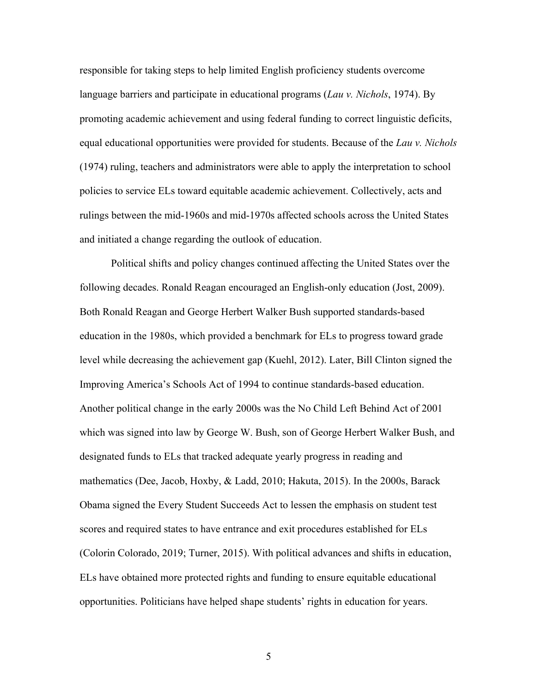responsible for taking steps to help limited English proficiency students overcome language barriers and participate in educational programs (*Lau v. Nichols*, 1974). By promoting academic achievement and using federal funding to correct linguistic deficits, equal educational opportunities were provided for students. Because of the *Lau v. Nichols* (1974) ruling, teachers and administrators were able to apply the interpretation to school policies to service ELs toward equitable academic achievement. Collectively, acts and rulings between the mid-1960s and mid-1970s affected schools across the United States and initiated a change regarding the outlook of education.

Political shifts and policy changes continued affecting the United States over the following decades. Ronald Reagan encouraged an English-only education (Jost, 2009). Both Ronald Reagan and George Herbert Walker Bush supported standards-based education in the 1980s, which provided a benchmark for ELs to progress toward grade level while decreasing the achievement gap (Kuehl, 2012). Later, Bill Clinton signed the Improving America's Schools Act of 1994 to continue standards-based education. Another political change in the early 2000s was the No Child Left Behind Act of 2001 which was signed into law by George W. Bush, son of George Herbert Walker Bush, and designated funds to ELs that tracked adequate yearly progress in reading and mathematics (Dee, Jacob, Hoxby, & Ladd, 2010; Hakuta, 2015). In the 2000s, Barack Obama signed the Every Student Succeeds Act to lessen the emphasis on student test scores and required states to have entrance and exit procedures established for ELs (Colorin Colorado, 2019; Turner, 2015). With political advances and shifts in education, ELs have obtained more protected rights and funding to ensure equitable educational opportunities. Politicians have helped shape students' rights in education for years.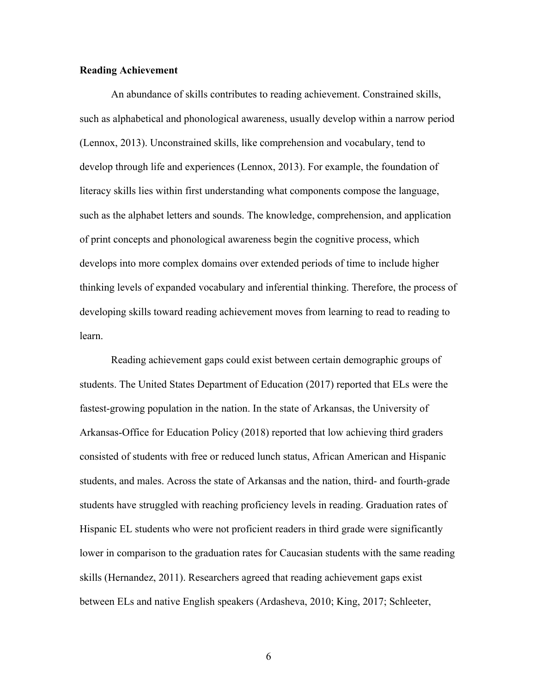## **Reading Achievement**

An abundance of skills contributes to reading achievement. Constrained skills, such as alphabetical and phonological awareness, usually develop within a narrow period (Lennox, 2013). Unconstrained skills, like comprehension and vocabulary, tend to develop through life and experiences (Lennox, 2013). For example, the foundation of literacy skills lies within first understanding what components compose the language, such as the alphabet letters and sounds. The knowledge, comprehension, and application of print concepts and phonological awareness begin the cognitive process, which develops into more complex domains over extended periods of time to include higher thinking levels of expanded vocabulary and inferential thinking. Therefore, the process of developing skills toward reading achievement moves from learning to read to reading to learn.

Reading achievement gaps could exist between certain demographic groups of students. The United States Department of Education (2017) reported that ELs were the fastest-growing population in the nation. In the state of Arkansas, the University of Arkansas-Office for Education Policy (2018) reported that low achieving third graders consisted of students with free or reduced lunch status, African American and Hispanic students, and males. Across the state of Arkansas and the nation, third- and fourth-grade students have struggled with reaching proficiency levels in reading. Graduation rates of Hispanic EL students who were not proficient readers in third grade were significantly lower in comparison to the graduation rates for Caucasian students with the same reading skills (Hernandez, 2011). Researchers agreed that reading achievement gaps exist between ELs and native English speakers (Ardasheva, 2010; King, 2017; Schleeter,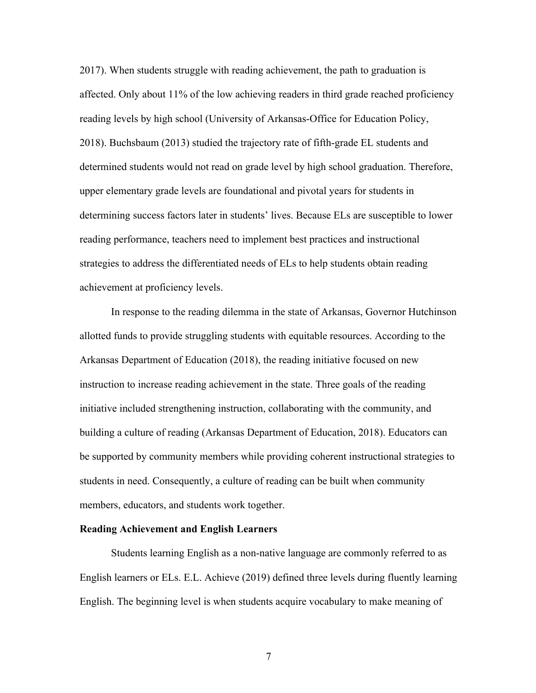2017). When students struggle with reading achievement, the path to graduation is affected. Only about 11% of the low achieving readers in third grade reached proficiency reading levels by high school (University of Arkansas-Office for Education Policy, 2018). Buchsbaum (2013) studied the trajectory rate of fifth-grade EL students and determined students would not read on grade level by high school graduation. Therefore, upper elementary grade levels are foundational and pivotal years for students in determining success factors later in students' lives. Because ELs are susceptible to lower reading performance, teachers need to implement best practices and instructional strategies to address the differentiated needs of ELs to help students obtain reading achievement at proficiency levels.

In response to the reading dilemma in the state of Arkansas, Governor Hutchinson allotted funds to provide struggling students with equitable resources. According to the Arkansas Department of Education (2018), the reading initiative focused on new instruction to increase reading achievement in the state. Three goals of the reading initiative included strengthening instruction, collaborating with the community, and building a culture of reading (Arkansas Department of Education, 2018). Educators can be supported by community members while providing coherent instructional strategies to students in need. Consequently, a culture of reading can be built when community members, educators, and students work together.

# **Reading Achievement and English Learners**

Students learning English as a non-native language are commonly referred to as English learners or ELs. E.L. Achieve (2019) defined three levels during fluently learning English. The beginning level is when students acquire vocabulary to make meaning of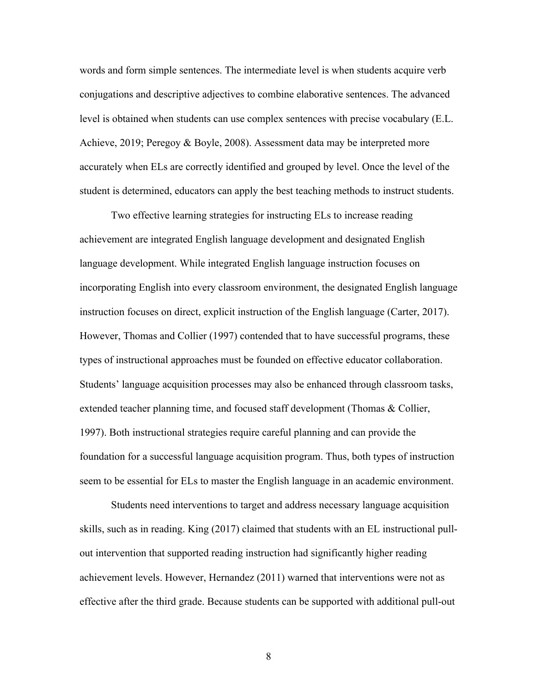words and form simple sentences. The intermediate level is when students acquire verb conjugations and descriptive adjectives to combine elaborative sentences. The advanced level is obtained when students can use complex sentences with precise vocabulary (E.L. Achieve, 2019; Peregoy & Boyle, 2008). Assessment data may be interpreted more accurately when ELs are correctly identified and grouped by level. Once the level of the student is determined, educators can apply the best teaching methods to instruct students.

Two effective learning strategies for instructing ELs to increase reading achievement are integrated English language development and designated English language development. While integrated English language instruction focuses on incorporating English into every classroom environment, the designated English language instruction focuses on direct, explicit instruction of the English language (Carter, 2017). However, Thomas and Collier (1997) contended that to have successful programs, these types of instructional approaches must be founded on effective educator collaboration. Students' language acquisition processes may also be enhanced through classroom tasks, extended teacher planning time, and focused staff development (Thomas & Collier, 1997). Both instructional strategies require careful planning and can provide the foundation for a successful language acquisition program. Thus, both types of instruction seem to be essential for ELs to master the English language in an academic environment.

Students need interventions to target and address necessary language acquisition skills, such as in reading. King (2017) claimed that students with an EL instructional pullout intervention that supported reading instruction had significantly higher reading achievement levels. However, Hernandez (2011) warned that interventions were not as effective after the third grade. Because students can be supported with additional pull-out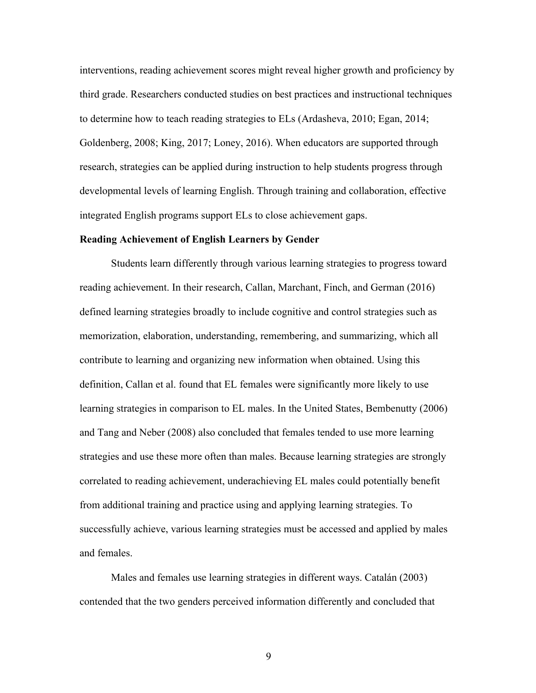interventions, reading achievement scores might reveal higher growth and proficiency by third grade. Researchers conducted studies on best practices and instructional techniques to determine how to teach reading strategies to ELs (Ardasheva, 2010; Egan, 2014; Goldenberg, 2008; King, 2017; Loney, 2016). When educators are supported through research, strategies can be applied during instruction to help students progress through developmental levels of learning English. Through training and collaboration, effective integrated English programs support ELs to close achievement gaps.

#### **Reading Achievement of English Learners by Gender**

Students learn differently through various learning strategies to progress toward reading achievement. In their research, Callan, Marchant, Finch, and German (2016) defined learning strategies broadly to include cognitive and control strategies such as memorization, elaboration, understanding, remembering, and summarizing, which all contribute to learning and organizing new information when obtained. Using this definition, Callan et al. found that EL females were significantly more likely to use learning strategies in comparison to EL males. In the United States, Bembenutty (2006) and Tang and Neber (2008) also concluded that females tended to use more learning strategies and use these more often than males. Because learning strategies are strongly correlated to reading achievement, underachieving EL males could potentially benefit from additional training and practice using and applying learning strategies. To successfully achieve, various learning strategies must be accessed and applied by males and females.

Males and females use learning strategies in different ways. Catalán (2003) contended that the two genders perceived information differently and concluded that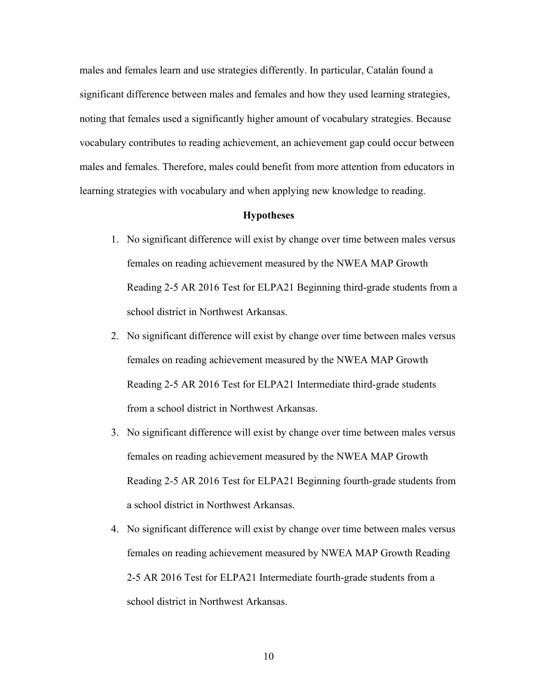males and females learn and use strategies differently. In particular, Catalán found a significant difference between males and females and how they used learning strategies, noting that females used a significantly higher amount of vocabulary strategies. Because vocabulary contributes to reading achievement, an achievement gap could occur between males and females. Therefore, males could benefit from more attention from educators in learning strategies with vocabulary and when applying new knowledge to reading.

#### **Hypotheses**

- 1. No significant difference will exist by change over time between males versus females on reading achievement measured by the NWEA MAP Growth Reading 2-5 AR 2016 Test for ELPA21 Beginning third-grade students from a school district in Northwest Arkansas.
- 2. No significant difference will exist by change over time between males versus females on reading achievement measured by the NWEA MAP Growth Reading 2-5 AR 2016 Test for ELPA21 Intermediate third-grade students from a school district in Northwest Arkansas.
- 3. No significant difference will exist by change over time between males versus females on reading achievement measured by the NWEA MAP Growth Reading 2-5 AR 2016 Test for ELPA21 Beginning fourth-grade students from a school district in Northwest Arkansas.
- 4. No significant difference will exist by change over time between males versus females on reading achievement measured by NWEA MAP Growth Reading 2-5 AR 2016 Test for ELPA21 Intermediate fourth-grade students from a school district in Northwest Arkansas.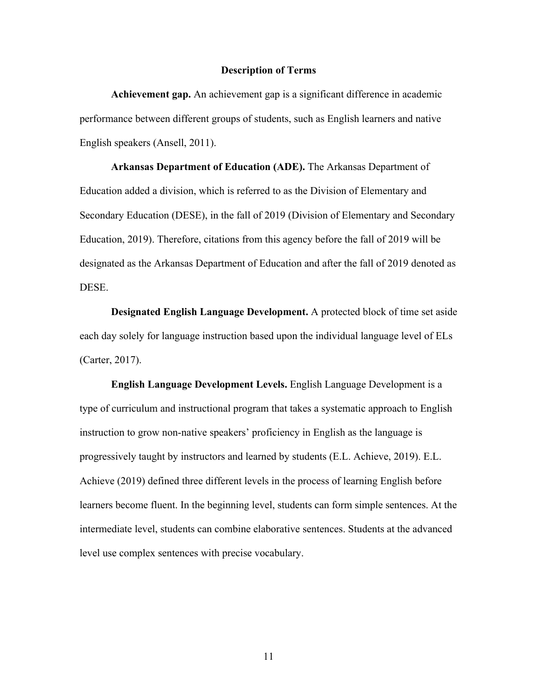### **Description of Terms**

**Achievement gap.** An achievement gap is a significant difference in academic performance between different groups of students, such as English learners and native English speakers (Ansell, 2011).

**Arkansas Department of Education (ADE).** The Arkansas Department of Education added a division, which is referred to as the Division of Elementary and Secondary Education (DESE), in the fall of 2019 (Division of Elementary and Secondary Education, 2019). Therefore, citations from this agency before the fall of 2019 will be designated as the Arkansas Department of Education and after the fall of 2019 denoted as DESE.

**Designated English Language Development.** A protected block of time set aside each day solely for language instruction based upon the individual language level of ELs (Carter, 2017).

**English Language Development Levels.** English Language Development is a type of curriculum and instructional program that takes a systematic approach to English instruction to grow non-native speakers' proficiency in English as the language is progressively taught by instructors and learned by students (E.L. Achieve, 2019). E.L. Achieve (2019) defined three different levels in the process of learning English before learners become fluent. In the beginning level, students can form simple sentences. At the intermediate level, students can combine elaborative sentences. Students at the advanced level use complex sentences with precise vocabulary.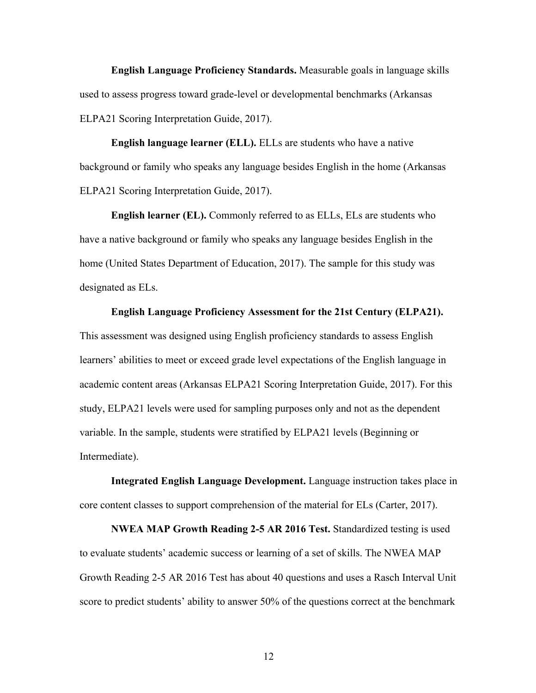**English Language Proficiency Standards.** Measurable goals in language skills used to assess progress toward grade-level or developmental benchmarks (Arkansas ELPA21 Scoring Interpretation Guide, 2017).

**English language learner (ELL).** ELLs are students who have a native background or family who speaks any language besides English in the home (Arkansas ELPA21 Scoring Interpretation Guide, 2017).

**English learner (EL).** Commonly referred to as ELLs, ELs are students who have a native background or family who speaks any language besides English in the home (United States Department of Education, 2017). The sample for this study was designated as ELs.

**English Language Proficiency Assessment for the 21st Century (ELPA21).**  This assessment was designed using English proficiency standards to assess English learners' abilities to meet or exceed grade level expectations of the English language in academic content areas (Arkansas ELPA21 Scoring Interpretation Guide, 2017). For this study, ELPA21 levels were used for sampling purposes only and not as the dependent variable. In the sample, students were stratified by ELPA21 levels (Beginning or Intermediate).

**Integrated English Language Development.** Language instruction takes place in core content classes to support comprehension of the material for ELs (Carter, 2017).

**NWEA MAP Growth Reading 2-5 AR 2016 Test.** Standardized testing is used to evaluate students' academic success or learning of a set of skills. The NWEA MAP Growth Reading 2-5 AR 2016 Test has about 40 questions and uses a Rasch Interval Unit score to predict students' ability to answer 50% of the questions correct at the benchmark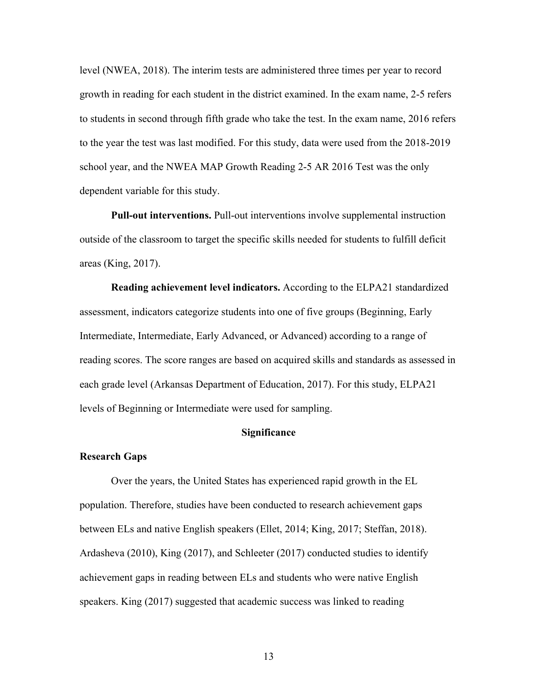level (NWEA, 2018). The interim tests are administered three times per year to record growth in reading for each student in the district examined. In the exam name, 2-5 refers to students in second through fifth grade who take the test. In the exam name, 2016 refers to the year the test was last modified. For this study, data were used from the 2018-2019 school year, and the NWEA MAP Growth Reading 2-5 AR 2016 Test was the only dependent variable for this study.

**Pull-out interventions.** Pull-out interventions involve supplemental instruction outside of the classroom to target the specific skills needed for students to fulfill deficit areas (King, 2017).

**Reading achievement level indicators.** According to the ELPA21 standardized assessment, indicators categorize students into one of five groups (Beginning, Early Intermediate, Intermediate, Early Advanced, or Advanced) according to a range of reading scores. The score ranges are based on acquired skills and standards as assessed in each grade level (Arkansas Department of Education, 2017). For this study, ELPA21 levels of Beginning or Intermediate were used for sampling.

# **Significance**

## **Research Gaps**

Over the years, the United States has experienced rapid growth in the EL population. Therefore, studies have been conducted to research achievement gaps between ELs and native English speakers (Ellet, 2014; King, 2017; Steffan, 2018). Ardasheva (2010), King (2017), and Schleeter (2017) conducted studies to identify achievement gaps in reading between ELs and students who were native English speakers. King (2017) suggested that academic success was linked to reading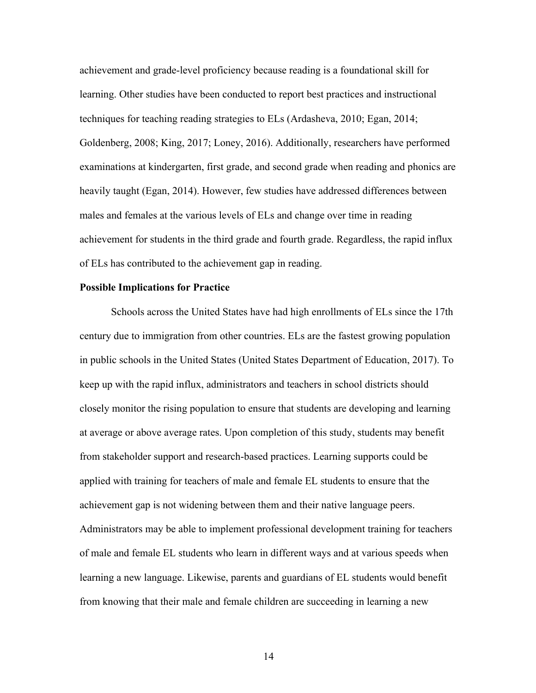achievement and grade-level proficiency because reading is a foundational skill for learning. Other studies have been conducted to report best practices and instructional techniques for teaching reading strategies to ELs (Ardasheva, 2010; Egan, 2014; Goldenberg, 2008; King, 2017; Loney, 2016). Additionally, researchers have performed examinations at kindergarten, first grade, and second grade when reading and phonics are heavily taught (Egan, 2014). However, few studies have addressed differences between males and females at the various levels of ELs and change over time in reading achievement for students in the third grade and fourth grade. Regardless, the rapid influx of ELs has contributed to the achievement gap in reading.

### **Possible Implications for Practice**

Schools across the United States have had high enrollments of ELs since the 17th century due to immigration from other countries. ELs are the fastest growing population in public schools in the United States (United States Department of Education, 2017). To keep up with the rapid influx, administrators and teachers in school districts should closely monitor the rising population to ensure that students are developing and learning at average or above average rates. Upon completion of this study, students may benefit from stakeholder support and research-based practices. Learning supports could be applied with training for teachers of male and female EL students to ensure that the achievement gap is not widening between them and their native language peers. Administrators may be able to implement professional development training for teachers of male and female EL students who learn in different ways and at various speeds when learning a new language. Likewise, parents and guardians of EL students would benefit from knowing that their male and female children are succeeding in learning a new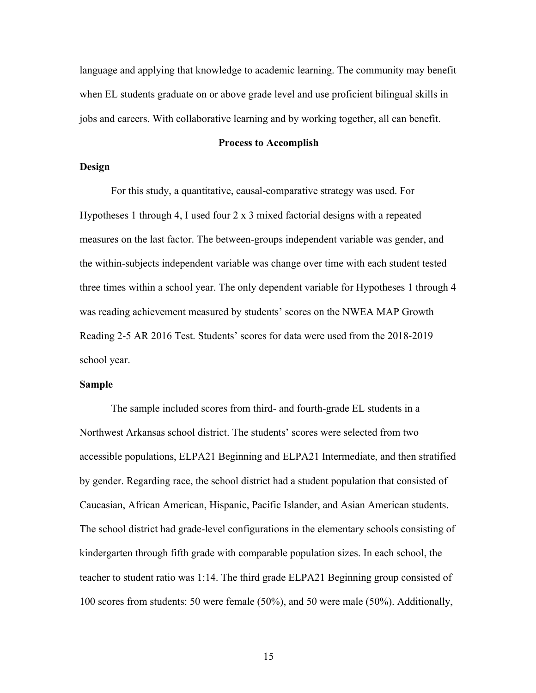language and applying that knowledge to academic learning. The community may benefit when EL students graduate on or above grade level and use proficient bilingual skills in jobs and careers. With collaborative learning and by working together, all can benefit.

#### **Process to Accomplish**

# **Design**

For this study, a quantitative, causal-comparative strategy was used. For Hypotheses 1 through 4, I used four 2 x 3 mixed factorial designs with a repeated measures on the last factor. The between-groups independent variable was gender, and the within-subjects independent variable was change over time with each student tested three times within a school year. The only dependent variable for Hypotheses 1 through 4 was reading achievement measured by students' scores on the NWEA MAP Growth Reading 2-5 AR 2016 Test. Students' scores for data were used from the 2018-2019 school year.

## **Sample**

The sample included scores from third- and fourth-grade EL students in a Northwest Arkansas school district. The students' scores were selected from two accessible populations, ELPA21 Beginning and ELPA21 Intermediate, and then stratified by gender. Regarding race, the school district had a student population that consisted of Caucasian, African American, Hispanic, Pacific Islander, and Asian American students. The school district had grade-level configurations in the elementary schools consisting of kindergarten through fifth grade with comparable population sizes. In each school, the teacher to student ratio was 1:14. The third grade ELPA21 Beginning group consisted of 100 scores from students: 50 were female (50%), and 50 were male (50%). Additionally,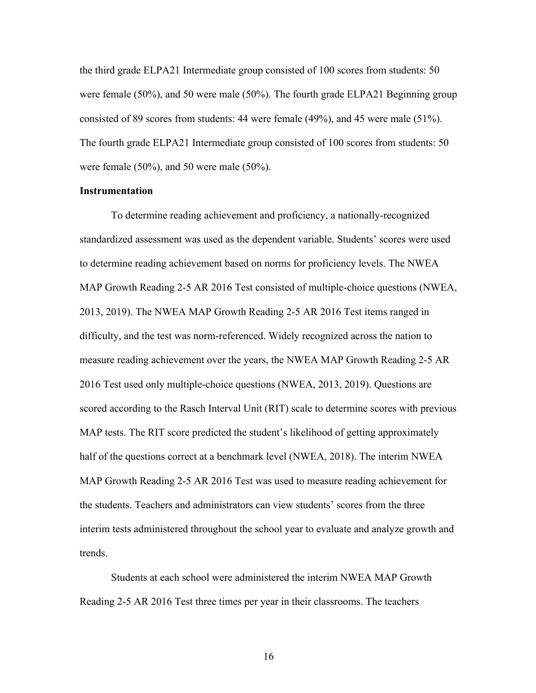the third grade ELPA21 Intermediate group consisted of 100 scores from students: 50 were female (50%), and 50 were male (50%). The fourth grade ELPA21 Beginning group consisted of 89 scores from students: 44 were female (49%), and 45 were male (51%). The fourth grade ELPA21 Intermediate group consisted of 100 scores from students: 50 were female (50%), and 50 were male (50%).

### **Instrumentation**

To determine reading achievement and proficiency, a nationally-recognized standardized assessment was used as the dependent variable. Students' scores were used to determine reading achievement based on norms for proficiency levels. The NWEA MAP Growth Reading 2-5 AR 2016 Test consisted of multiple-choice questions (NWEA, 2013, 2019). The NWEA MAP Growth Reading 2-5 AR 2016 Test items ranged in difficulty, and the test was norm-referenced. Widely recognized across the nation to measure reading achievement over the years, the NWEA MAP Growth Reading 2-5 AR 2016 Test used only multiple-choice questions (NWEA, 2013, 2019). Questions are scored according to the Rasch Interval Unit (RIT) scale to determine scores with previous MAP tests. The RIT score predicted the student's likelihood of getting approximately half of the questions correct at a benchmark level (NWEA, 2018). The interim NWEA MAP Growth Reading 2-5 AR 2016 Test was used to measure reading achievement for the students. Teachers and administrators can view students' scores from the three interim tests administered throughout the school year to evaluate and analyze growth and trends.

Students at each school were administered the interim NWEA MAP Growth Reading 2-5 AR 2016 Test three times per year in their classrooms. The teachers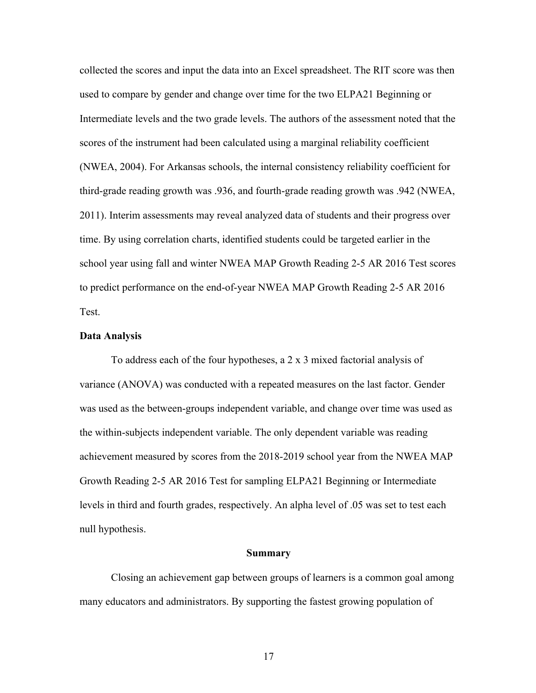collected the scores and input the data into an Excel spreadsheet. The RIT score was then used to compare by gender and change over time for the two ELPA21 Beginning or Intermediate levels and the two grade levels. The authors of the assessment noted that the scores of the instrument had been calculated using a marginal reliability coefficient (NWEA, 2004). For Arkansas schools, the internal consistency reliability coefficient for third-grade reading growth was .936, and fourth-grade reading growth was .942 (NWEA, 2011). Interim assessments may reveal analyzed data of students and their progress over time. By using correlation charts, identified students could be targeted earlier in the school year using fall and winter NWEA MAP Growth Reading 2-5 AR 2016 Test scores to predict performance on the end-of-year NWEA MAP Growth Reading 2-5 AR 2016 Test.

#### **Data Analysis**

To address each of the four hypotheses, a 2 x 3 mixed factorial analysis of variance (ANOVA) was conducted with a repeated measures on the last factor. Gender was used as the between-groups independent variable, and change over time was used as the within-subjects independent variable. The only dependent variable was reading achievement measured by scores from the 2018-2019 school year from the NWEA MAP Growth Reading 2-5 AR 2016 Test for sampling ELPA21 Beginning or Intermediate levels in third and fourth grades, respectively. An alpha level of .05 was set to test each null hypothesis.

#### **Summary**

Closing an achievement gap between groups of learners is a common goal among many educators and administrators. By supporting the fastest growing population of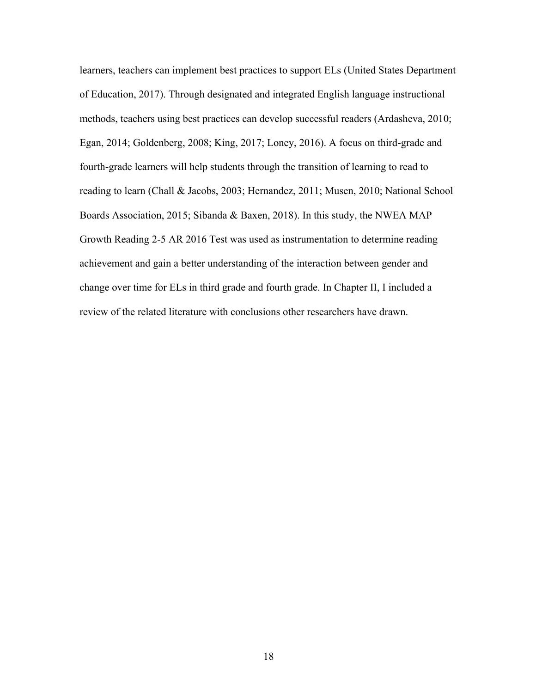learners, teachers can implement best practices to support ELs (United States Department of Education, 2017). Through designated and integrated English language instructional methods, teachers using best practices can develop successful readers (Ardasheva, 2010; Egan, 2014; Goldenberg, 2008; King, 2017; Loney, 2016). A focus on third-grade and fourth-grade learners will help students through the transition of learning to read to reading to learn (Chall & Jacobs, 2003; Hernandez, 2011; Musen, 2010; National School Boards Association, 2015; Sibanda & Baxen, 2018). In this study, the NWEA MAP Growth Reading 2-5 AR 2016 Test was used as instrumentation to determine reading achievement and gain a better understanding of the interaction between gender and change over time for ELs in third grade and fourth grade. In Chapter II, I included a review of the related literature with conclusions other researchers have drawn.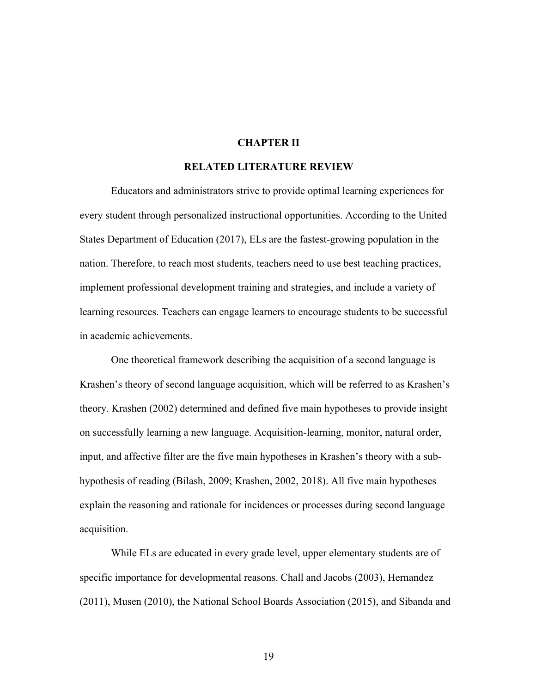### **CHAPTER II**

#### **RELATED LITERATURE REVIEW**

Educators and administrators strive to provide optimal learning experiences for every student through personalized instructional opportunities. According to the United States Department of Education (2017), ELs are the fastest-growing population in the nation. Therefore, to reach most students, teachers need to use best teaching practices, implement professional development training and strategies, and include a variety of learning resources. Teachers can engage learners to encourage students to be successful in academic achievements.

One theoretical framework describing the acquisition of a second language is Krashen's theory of second language acquisition, which will be referred to as Krashen's theory. Krashen (2002) determined and defined five main hypotheses to provide insight on successfully learning a new language. Acquisition-learning, monitor, natural order, input, and affective filter are the five main hypotheses in Krashen's theory with a subhypothesis of reading (Bilash, 2009; Krashen, 2002, 2018). All five main hypotheses explain the reasoning and rationale for incidences or processes during second language acquisition.

While ELs are educated in every grade level, upper elementary students are of specific importance for developmental reasons. Chall and Jacobs (2003), Hernandez (2011), Musen (2010), the National School Boards Association (2015), and Sibanda and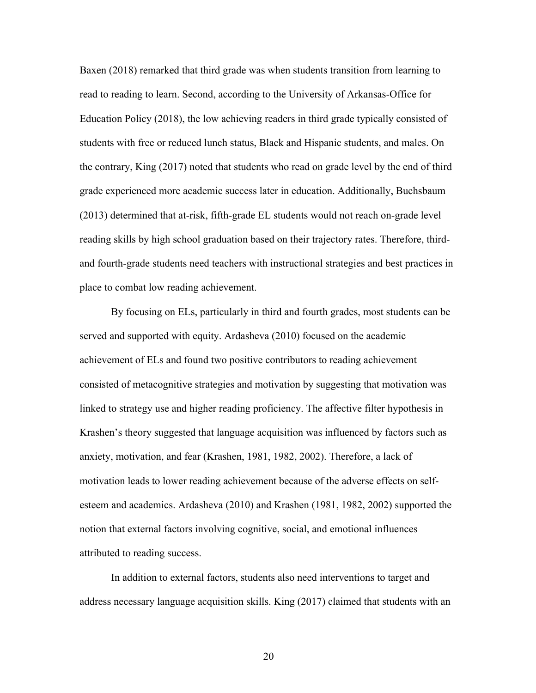Baxen (2018) remarked that third grade was when students transition from learning to read to reading to learn. Second, according to the University of Arkansas-Office for Education Policy (2018), the low achieving readers in third grade typically consisted of students with free or reduced lunch status, Black and Hispanic students, and males. On the contrary, King (2017) noted that students who read on grade level by the end of third grade experienced more academic success later in education. Additionally, Buchsbaum (2013) determined that at-risk, fifth-grade EL students would not reach on-grade level reading skills by high school graduation based on their trajectory rates. Therefore, thirdand fourth-grade students need teachers with instructional strategies and best practices in place to combat low reading achievement.

By focusing on ELs, particularly in third and fourth grades, most students can be served and supported with equity. Ardasheva (2010) focused on the academic achievement of ELs and found two positive contributors to reading achievement consisted of metacognitive strategies and motivation by suggesting that motivation was linked to strategy use and higher reading proficiency. The affective filter hypothesis in Krashen's theory suggested that language acquisition was influenced by factors such as anxiety, motivation, and fear (Krashen, 1981, 1982, 2002). Therefore, a lack of motivation leads to lower reading achievement because of the adverse effects on selfesteem and academics. Ardasheva (2010) and Krashen (1981, 1982, 2002) supported the notion that external factors involving cognitive, social, and emotional influences attributed to reading success.

In addition to external factors, students also need interventions to target and address necessary language acquisition skills. King (2017) claimed that students with an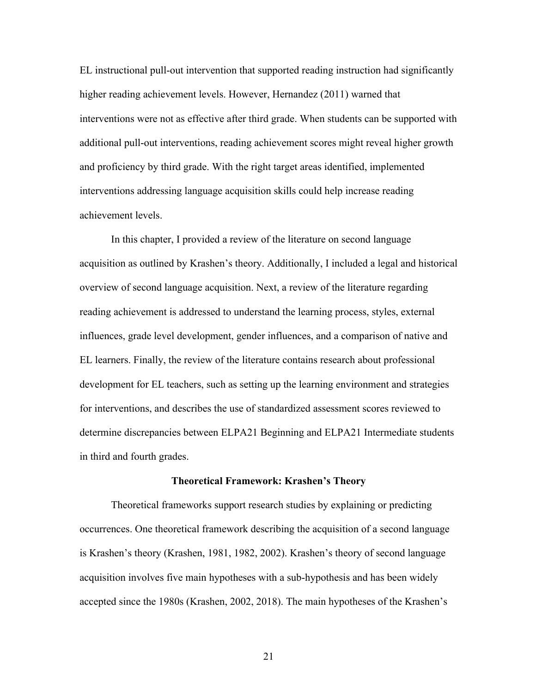EL instructional pull-out intervention that supported reading instruction had significantly higher reading achievement levels. However, Hernandez (2011) warned that interventions were not as effective after third grade. When students can be supported with additional pull-out interventions, reading achievement scores might reveal higher growth and proficiency by third grade. With the right target areas identified, implemented interventions addressing language acquisition skills could help increase reading achievement levels.

In this chapter, I provided a review of the literature on second language acquisition as outlined by Krashen's theory. Additionally, I included a legal and historical overview of second language acquisition. Next, a review of the literature regarding reading achievement is addressed to understand the learning process, styles, external influences, grade level development, gender influences, and a comparison of native and EL learners. Finally, the review of the literature contains research about professional development for EL teachers, such as setting up the learning environment and strategies for interventions, and describes the use of standardized assessment scores reviewed to determine discrepancies between ELPA21 Beginning and ELPA21 Intermediate students in third and fourth grades.

### **Theoretical Framework: Krashen's Theory**

Theoretical frameworks support research studies by explaining or predicting occurrences. One theoretical framework describing the acquisition of a second language is Krashen's theory (Krashen, 1981, 1982, 2002). Krashen's theory of second language acquisition involves five main hypotheses with a sub-hypothesis and has been widely accepted since the 1980s (Krashen, 2002, 2018). The main hypotheses of the Krashen's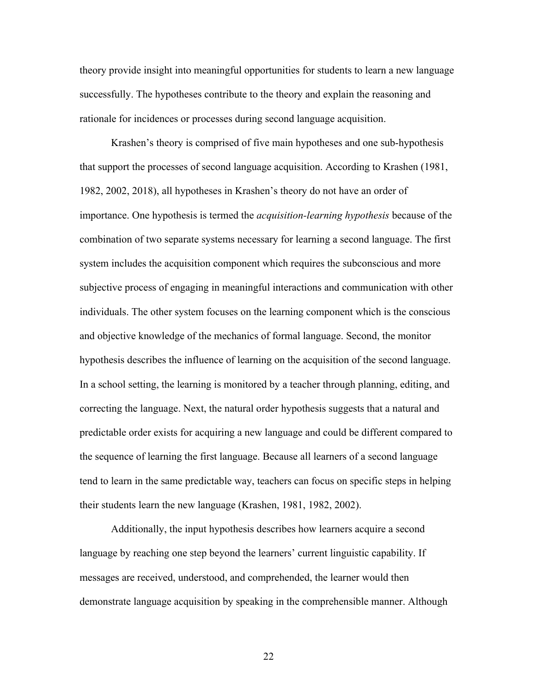theory provide insight into meaningful opportunities for students to learn a new language successfully. The hypotheses contribute to the theory and explain the reasoning and rationale for incidences or processes during second language acquisition.

Krashen's theory is comprised of five main hypotheses and one sub-hypothesis that support the processes of second language acquisition. According to Krashen (1981, 1982, 2002, 2018), all hypotheses in Krashen's theory do not have an order of importance. One hypothesis is termed the *acquisition-learning hypothesis* because of the combination of two separate systems necessary for learning a second language. The first system includes the acquisition component which requires the subconscious and more subjective process of engaging in meaningful interactions and communication with other individuals. The other system focuses on the learning component which is the conscious and objective knowledge of the mechanics of formal language. Second, the monitor hypothesis describes the influence of learning on the acquisition of the second language. In a school setting, the learning is monitored by a teacher through planning, editing, and correcting the language. Next, the natural order hypothesis suggests that a natural and predictable order exists for acquiring a new language and could be different compared to the sequence of learning the first language. Because all learners of a second language tend to learn in the same predictable way, teachers can focus on specific steps in helping their students learn the new language (Krashen, 1981, 1982, 2002).

Additionally, the input hypothesis describes how learners acquire a second language by reaching one step beyond the learners' current linguistic capability. If messages are received, understood, and comprehended, the learner would then demonstrate language acquisition by speaking in the comprehensible manner. Although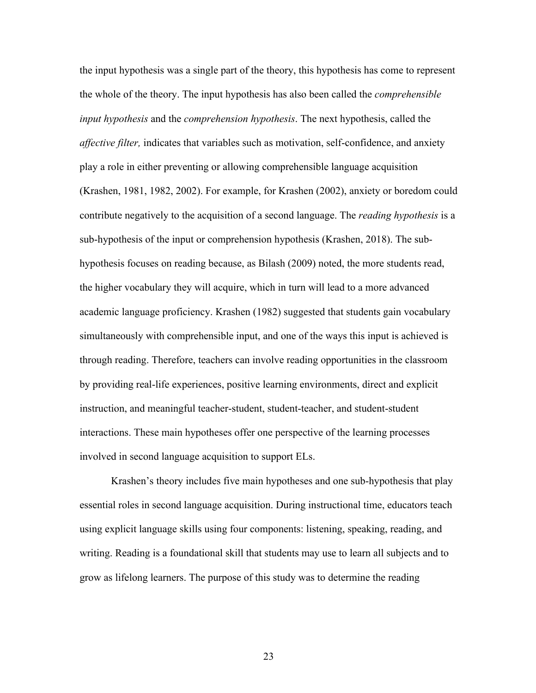the input hypothesis was a single part of the theory, this hypothesis has come to represent the whole of the theory. The input hypothesis has also been called the *comprehensible input hypothesis* and the *comprehension hypothesis*. The next hypothesis, called the *affective filter,* indicates that variables such as motivation, self-confidence, and anxiety play a role in either preventing or allowing comprehensible language acquisition (Krashen, 1981, 1982, 2002). For example, for Krashen (2002), anxiety or boredom could contribute negatively to the acquisition of a second language. The *reading hypothesis* is a sub-hypothesis of the input or comprehension hypothesis (Krashen, 2018). The subhypothesis focuses on reading because, as Bilash (2009) noted, the more students read, the higher vocabulary they will acquire, which in turn will lead to a more advanced academic language proficiency. Krashen (1982) suggested that students gain vocabulary simultaneously with comprehensible input, and one of the ways this input is achieved is through reading. Therefore, teachers can involve reading opportunities in the classroom by providing real-life experiences, positive learning environments, direct and explicit instruction, and meaningful teacher-student, student-teacher, and student-student interactions. These main hypotheses offer one perspective of the learning processes involved in second language acquisition to support ELs.

Krashen's theory includes five main hypotheses and one sub-hypothesis that play essential roles in second language acquisition. During instructional time, educators teach using explicit language skills using four components: listening, speaking, reading, and writing. Reading is a foundational skill that students may use to learn all subjects and to grow as lifelong learners. The purpose of this study was to determine the reading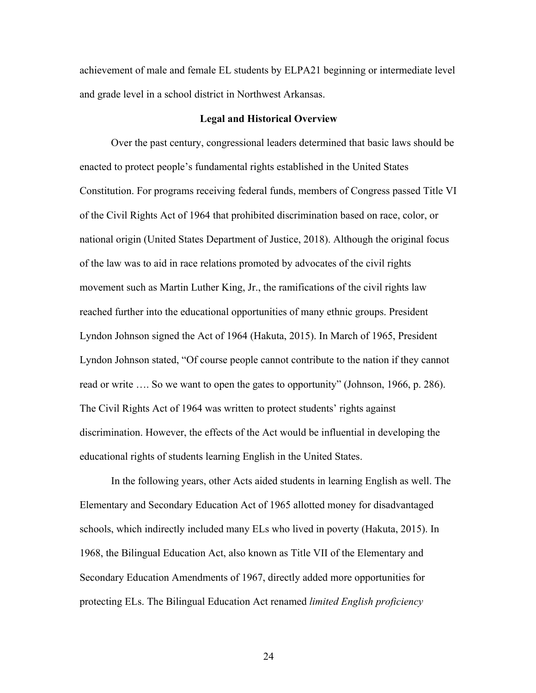achievement of male and female EL students by ELPA21 beginning or intermediate level and grade level in a school district in Northwest Arkansas.

### **Legal and Historical Overview**

Over the past century, congressional leaders determined that basic laws should be enacted to protect people's fundamental rights established in the United States Constitution. For programs receiving federal funds, members of Congress passed Title VI of the Civil Rights Act of 1964 that prohibited discrimination based on race, color, or national origin (United States Department of Justice, 2018). Although the original focus of the law was to aid in race relations promoted by advocates of the civil rights movement such as Martin Luther King, Jr., the ramifications of the civil rights law reached further into the educational opportunities of many ethnic groups. President Lyndon Johnson signed the Act of 1964 (Hakuta, 2015). In March of 1965, President Lyndon Johnson stated, "Of course people cannot contribute to the nation if they cannot read or write …. So we want to open the gates to opportunity" (Johnson, 1966, p. 286). The Civil Rights Act of 1964 was written to protect students' rights against discrimination. However, the effects of the Act would be influential in developing the educational rights of students learning English in the United States.

In the following years, other Acts aided students in learning English as well. The Elementary and Secondary Education Act of 1965 allotted money for disadvantaged schools, which indirectly included many ELs who lived in poverty (Hakuta, 2015). In 1968, the Bilingual Education Act, also known as Title VII of the Elementary and Secondary Education Amendments of 1967, directly added more opportunities for protecting ELs. The Bilingual Education Act renamed *limited English proficiency*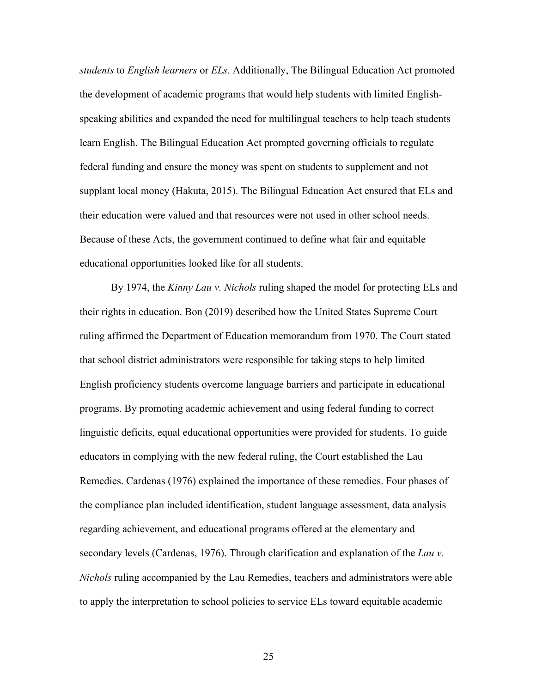*students* to *English learners* or *ELs*. Additionally, The Bilingual Education Act promoted the development of academic programs that would help students with limited Englishspeaking abilities and expanded the need for multilingual teachers to help teach students learn English. The Bilingual Education Act prompted governing officials to regulate federal funding and ensure the money was spent on students to supplement and not supplant local money (Hakuta, 2015). The Bilingual Education Act ensured that ELs and their education were valued and that resources were not used in other school needs. Because of these Acts, the government continued to define what fair and equitable educational opportunities looked like for all students.

By 1974, the *Kinny Lau v. Nichols* ruling shaped the model for protecting ELs and their rights in education. Bon (2019) described how the United States Supreme Court ruling affirmed the Department of Education memorandum from 1970. The Court stated that school district administrators were responsible for taking steps to help limited English proficiency students overcome language barriers and participate in educational programs. By promoting academic achievement and using federal funding to correct linguistic deficits, equal educational opportunities were provided for students. To guide educators in complying with the new federal ruling, the Court established the Lau Remedies. Cardenas (1976) explained the importance of these remedies. Four phases of the compliance plan included identification, student language assessment, data analysis regarding achievement, and educational programs offered at the elementary and secondary levels (Cardenas, 1976). Through clarification and explanation of the *Lau v. Nichols* ruling accompanied by the Lau Remedies, teachers and administrators were able to apply the interpretation to school policies to service ELs toward equitable academic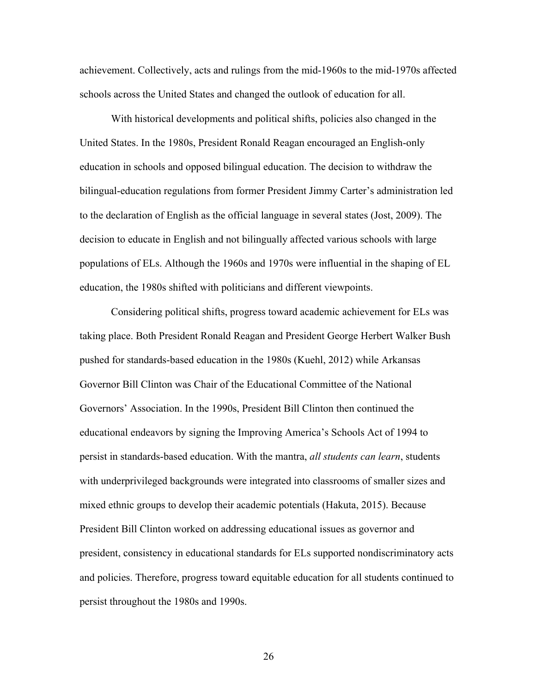achievement. Collectively, acts and rulings from the mid-1960s to the mid-1970s affected schools across the United States and changed the outlook of education for all.

With historical developments and political shifts, policies also changed in the United States. In the 1980s, President Ronald Reagan encouraged an English-only education in schools and opposed bilingual education. The decision to withdraw the bilingual-education regulations from former President Jimmy Carter's administration led to the declaration of English as the official language in several states (Jost, 2009). The decision to educate in English and not bilingually affected various schools with large populations of ELs. Although the 1960s and 1970s were influential in the shaping of EL education, the 1980s shifted with politicians and different viewpoints.

Considering political shifts, progress toward academic achievement for ELs was taking place. Both President Ronald Reagan and President George Herbert Walker Bush pushed for standards-based education in the 1980s (Kuehl, 2012) while Arkansas Governor Bill Clinton was Chair of the Educational Committee of the National Governors' Association. In the 1990s, President Bill Clinton then continued the educational endeavors by signing the Improving America's Schools Act of 1994 to persist in standards-based education. With the mantra, *all students can learn*, students with underprivileged backgrounds were integrated into classrooms of smaller sizes and mixed ethnic groups to develop their academic potentials (Hakuta, 2015). Because President Bill Clinton worked on addressing educational issues as governor and president, consistency in educational standards for ELs supported nondiscriminatory acts and policies. Therefore, progress toward equitable education for all students continued to persist throughout the 1980s and 1990s.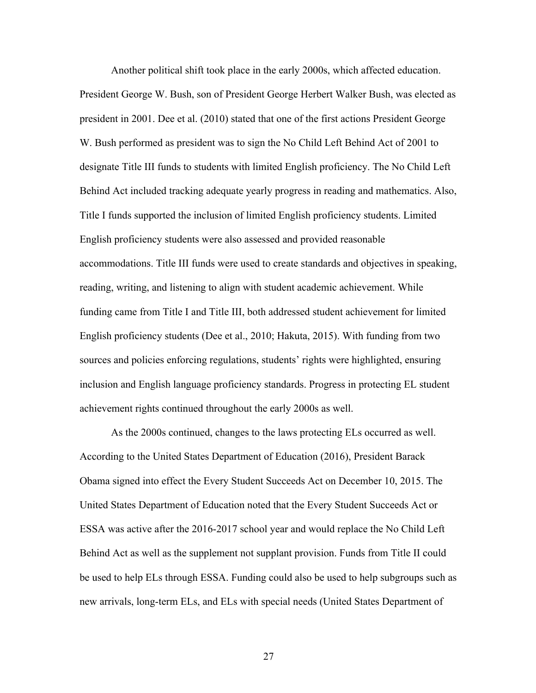Another political shift took place in the early 2000s, which affected education. President George W. Bush, son of President George Herbert Walker Bush, was elected as president in 2001. Dee et al. (2010) stated that one of the first actions President George W. Bush performed as president was to sign the No Child Left Behind Act of 2001 to designate Title III funds to students with limited English proficiency. The No Child Left Behind Act included tracking adequate yearly progress in reading and mathematics. Also, Title I funds supported the inclusion of limited English proficiency students. Limited English proficiency students were also assessed and provided reasonable accommodations. Title III funds were used to create standards and objectives in speaking, reading, writing, and listening to align with student academic achievement. While funding came from Title I and Title III, both addressed student achievement for limited English proficiency students (Dee et al., 2010; Hakuta, 2015). With funding from two sources and policies enforcing regulations, students' rights were highlighted, ensuring inclusion and English language proficiency standards. Progress in protecting EL student achievement rights continued throughout the early 2000s as well.

As the 2000s continued, changes to the laws protecting ELs occurred as well. According to the United States Department of Education (2016), President Barack Obama signed into effect the Every Student Succeeds Act on December 10, 2015. The United States Department of Education noted that the Every Student Succeeds Act or ESSA was active after the 2016-2017 school year and would replace the No Child Left Behind Act as well as the supplement not supplant provision. Funds from Title II could be used to help ELs through ESSA. Funding could also be used to help subgroups such as new arrivals, long-term ELs, and ELs with special needs (United States Department of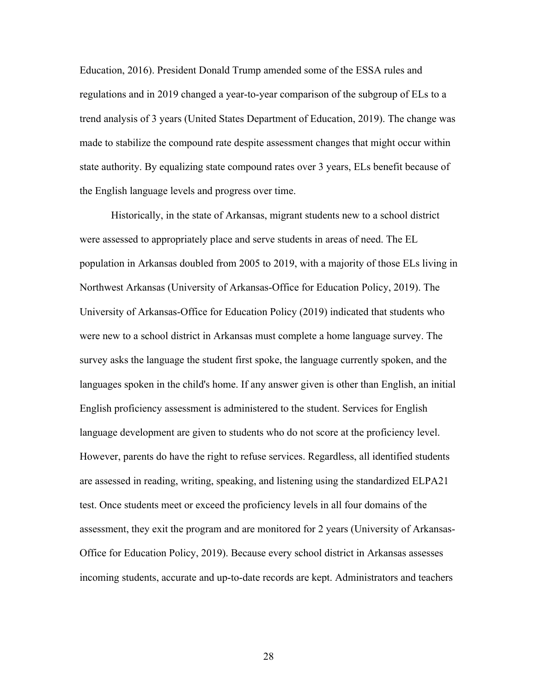Education, 2016). President Donald Trump amended some of the ESSA rules and regulations and in 2019 changed a year-to-year comparison of the subgroup of ELs to a trend analysis of 3 years (United States Department of Education, 2019). The change was made to stabilize the compound rate despite assessment changes that might occur within state authority. By equalizing state compound rates over 3 years, ELs benefit because of the English language levels and progress over time.

Historically, in the state of Arkansas, migrant students new to a school district were assessed to appropriately place and serve students in areas of need. The EL population in Arkansas doubled from 2005 to 2019, with a majority of those ELs living in Northwest Arkansas (University of Arkansas-Office for Education Policy, 2019). The University of Arkansas-Office for Education Policy (2019) indicated that students who were new to a school district in Arkansas must complete a home language survey. The survey asks the language the student first spoke, the language currently spoken, and the languages spoken in the child's home. If any answer given is other than English, an initial English proficiency assessment is administered to the student. Services for English language development are given to students who do not score at the proficiency level. However, parents do have the right to refuse services. Regardless, all identified students are assessed in reading, writing, speaking, and listening using the standardized ELPA21 test. Once students meet or exceed the proficiency levels in all four domains of the assessment, they exit the program and are monitored for 2 years (University of Arkansas-Office for Education Policy, 2019). Because every school district in Arkansas assesses incoming students, accurate and up-to-date records are kept. Administrators and teachers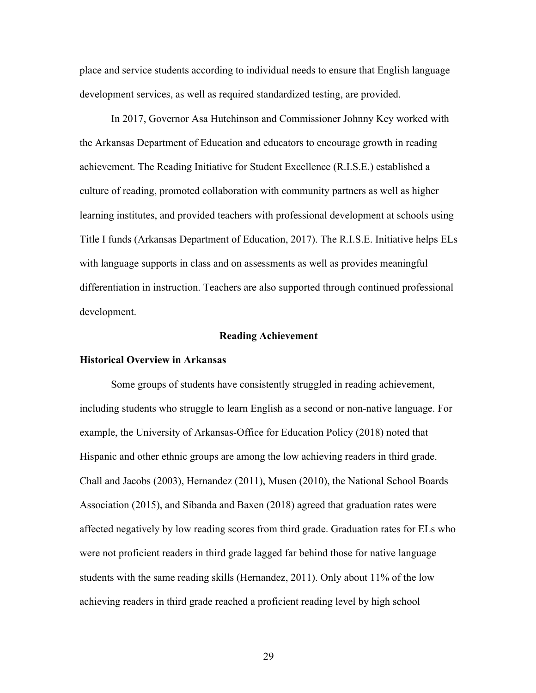place and service students according to individual needs to ensure that English language development services, as well as required standardized testing, are provided.

In 2017, Governor Asa Hutchinson and Commissioner Johnny Key worked with the Arkansas Department of Education and educators to encourage growth in reading achievement. The Reading Initiative for Student Excellence (R.I.S.E.) established a culture of reading, promoted collaboration with community partners as well as higher learning institutes, and provided teachers with professional development at schools using Title I funds (Arkansas Department of Education, 2017). The R.I.S.E. Initiative helps ELs with language supports in class and on assessments as well as provides meaningful differentiation in instruction. Teachers are also supported through continued professional development.

#### **Reading Achievement**

## **Historical Overview in Arkansas**

Some groups of students have consistently struggled in reading achievement, including students who struggle to learn English as a second or non-native language. For example, the University of Arkansas-Office for Education Policy (2018) noted that Hispanic and other ethnic groups are among the low achieving readers in third grade. Chall and Jacobs (2003), Hernandez (2011), Musen (2010), the National School Boards Association (2015), and Sibanda and Baxen (2018) agreed that graduation rates were affected negatively by low reading scores from third grade. Graduation rates for ELs who were not proficient readers in third grade lagged far behind those for native language students with the same reading skills (Hernandez, 2011). Only about 11% of the low achieving readers in third grade reached a proficient reading level by high school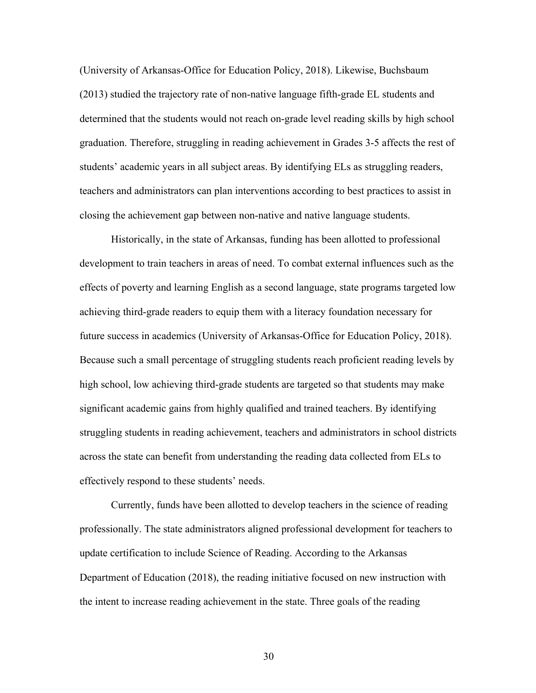(University of Arkansas-Office for Education Policy, 2018). Likewise, Buchsbaum (2013) studied the trajectory rate of non-native language fifth-grade EL students and determined that the students would not reach on-grade level reading skills by high school graduation. Therefore, struggling in reading achievement in Grades 3-5 affects the rest of students' academic years in all subject areas. By identifying ELs as struggling readers, teachers and administrators can plan interventions according to best practices to assist in closing the achievement gap between non-native and native language students.

Historically, in the state of Arkansas, funding has been allotted to professional development to train teachers in areas of need. To combat external influences such as the effects of poverty and learning English as a second language, state programs targeted low achieving third-grade readers to equip them with a literacy foundation necessary for future success in academics (University of Arkansas-Office for Education Policy, 2018). Because such a small percentage of struggling students reach proficient reading levels by high school, low achieving third-grade students are targeted so that students may make significant academic gains from highly qualified and trained teachers. By identifying struggling students in reading achievement, teachers and administrators in school districts across the state can benefit from understanding the reading data collected from ELs to effectively respond to these students' needs.

Currently, funds have been allotted to develop teachers in the science of reading professionally. The state administrators aligned professional development for teachers to update certification to include Science of Reading. According to the Arkansas Department of Education (2018), the reading initiative focused on new instruction with the intent to increase reading achievement in the state. Three goals of the reading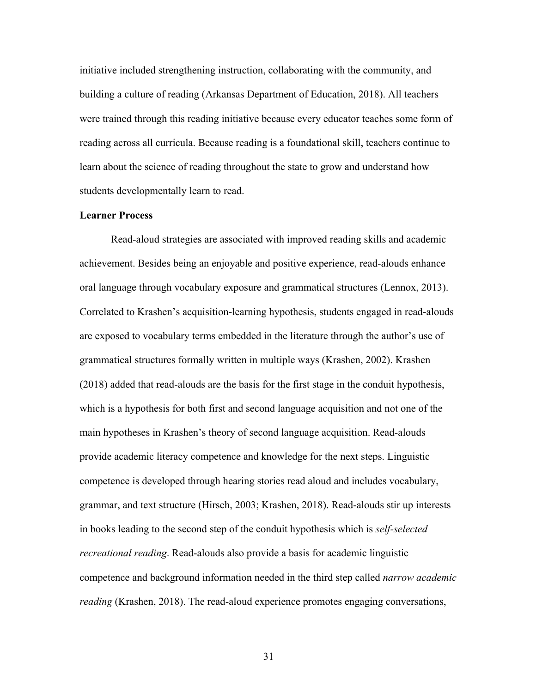initiative included strengthening instruction, collaborating with the community, and building a culture of reading (Arkansas Department of Education, 2018). All teachers were trained through this reading initiative because every educator teaches some form of reading across all curricula. Because reading is a foundational skill, teachers continue to learn about the science of reading throughout the state to grow and understand how students developmentally learn to read.

## **Learner Process**

Read-aloud strategies are associated with improved reading skills and academic achievement. Besides being an enjoyable and positive experience, read-alouds enhance oral language through vocabulary exposure and grammatical structures (Lennox, 2013). Correlated to Krashen's acquisition-learning hypothesis, students engaged in read-alouds are exposed to vocabulary terms embedded in the literature through the author's use of grammatical structures formally written in multiple ways (Krashen, 2002). Krashen (2018) added that read-alouds are the basis for the first stage in the conduit hypothesis, which is a hypothesis for both first and second language acquisition and not one of the main hypotheses in Krashen's theory of second language acquisition. Read-alouds provide academic literacy competence and knowledge for the next steps. Linguistic competence is developed through hearing stories read aloud and includes vocabulary, grammar, and text structure (Hirsch, 2003; Krashen, 2018). Read-alouds stir up interests in books leading to the second step of the conduit hypothesis which is *self-selected recreational reading*. Read-alouds also provide a basis for academic linguistic competence and background information needed in the third step called *narrow academic reading* (Krashen, 2018). The read-aloud experience promotes engaging conversations,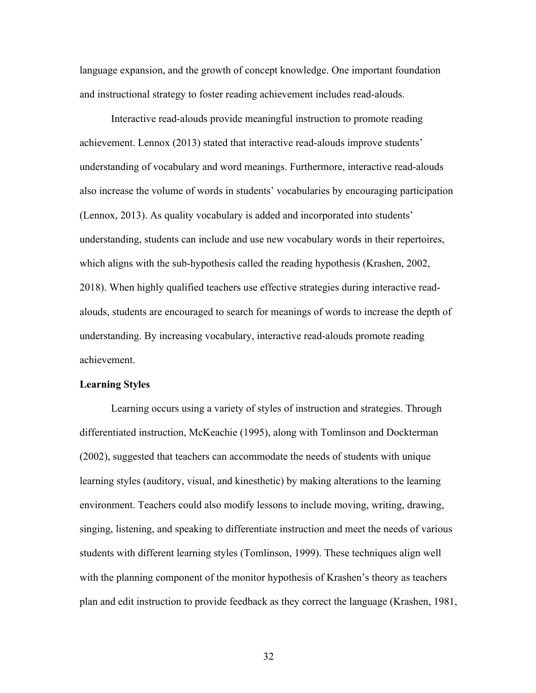language expansion, and the growth of concept knowledge. One important foundation and instructional strategy to foster reading achievement includes read-alouds.

Interactive read-alouds provide meaningful instruction to promote reading achievement. Lennox (2013) stated that interactive read-alouds improve students' understanding of vocabulary and word meanings. Furthermore, interactive read-alouds also increase the volume of words in students' vocabularies by encouraging participation (Lennox, 2013). As quality vocabulary is added and incorporated into students' understanding, students can include and use new vocabulary words in their repertoires, which aligns with the sub-hypothesis called the reading hypothesis (Krashen, 2002, 2018). When highly qualified teachers use effective strategies during interactive readalouds, students are encouraged to search for meanings of words to increase the depth of understanding. By increasing vocabulary, interactive read-alouds promote reading achievement.

# **Learning Styles**

Learning occurs using a variety of styles of instruction and strategies. Through differentiated instruction, McKeachie (1995), along with Tomlinson and Dockterman (2002), suggested that teachers can accommodate the needs of students with unique learning styles (auditory, visual, and kinesthetic) by making alterations to the learning environment. Teachers could also modify lessons to include moving, writing, drawing, singing, listening, and speaking to differentiate instruction and meet the needs of various students with different learning styles (Tomlinson, 1999). These techniques align well with the planning component of the monitor hypothesis of Krashen's theory as teachers plan and edit instruction to provide feedback as they correct the language (Krashen, 1981,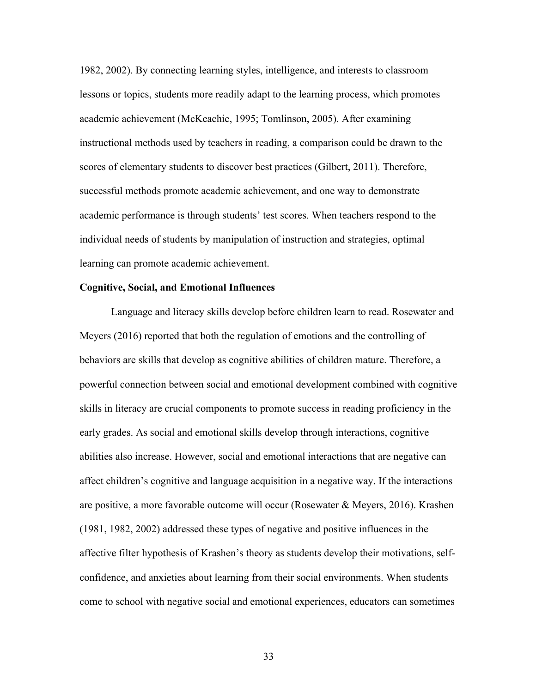1982, 2002). By connecting learning styles, intelligence, and interests to classroom lessons or topics, students more readily adapt to the learning process, which promotes academic achievement (McKeachie, 1995; Tomlinson, 2005). After examining instructional methods used by teachers in reading, a comparison could be drawn to the scores of elementary students to discover best practices (Gilbert, 2011). Therefore, successful methods promote academic achievement, and one way to demonstrate academic performance is through students' test scores. When teachers respond to the individual needs of students by manipulation of instruction and strategies, optimal learning can promote academic achievement.

# **Cognitive, Social, and Emotional Influences**

Language and literacy skills develop before children learn to read. Rosewater and Meyers (2016) reported that both the regulation of emotions and the controlling of behaviors are skills that develop as cognitive abilities of children mature. Therefore, a powerful connection between social and emotional development combined with cognitive skills in literacy are crucial components to promote success in reading proficiency in the early grades. As social and emotional skills develop through interactions, cognitive abilities also increase. However, social and emotional interactions that are negative can affect children's cognitive and language acquisition in a negative way. If the interactions are positive, a more favorable outcome will occur (Rosewater & Meyers, 2016). Krashen (1981, 1982, 2002) addressed these types of negative and positive influences in the affective filter hypothesis of Krashen's theory as students develop their motivations, selfconfidence, and anxieties about learning from their social environments. When students come to school with negative social and emotional experiences, educators can sometimes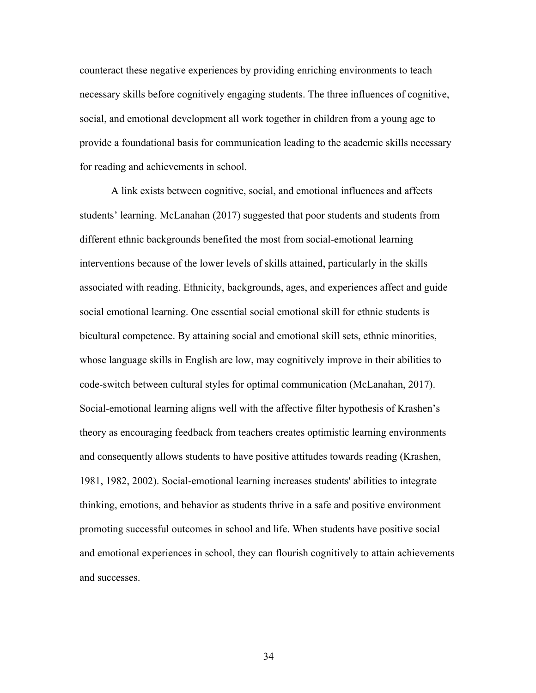counteract these negative experiences by providing enriching environments to teach necessary skills before cognitively engaging students. The three influences of cognitive, social, and emotional development all work together in children from a young age to provide a foundational basis for communication leading to the academic skills necessary for reading and achievements in school.

A link exists between cognitive, social, and emotional influences and affects students' learning. McLanahan (2017) suggested that poor students and students from different ethnic backgrounds benefited the most from social-emotional learning interventions because of the lower levels of skills attained, particularly in the skills associated with reading. Ethnicity, backgrounds, ages, and experiences affect and guide social emotional learning. One essential social emotional skill for ethnic students is bicultural competence. By attaining social and emotional skill sets, ethnic minorities, whose language skills in English are low, may cognitively improve in their abilities to code-switch between cultural styles for optimal communication (McLanahan, 2017). Social-emotional learning aligns well with the affective filter hypothesis of Krashen's theory as encouraging feedback from teachers creates optimistic learning environments and consequently allows students to have positive attitudes towards reading (Krashen, 1981, 1982, 2002). Social-emotional learning increases students' abilities to integrate thinking, emotions, and behavior as students thrive in a safe and positive environment promoting successful outcomes in school and life. When students have positive social and emotional experiences in school, they can flourish cognitively to attain achievements and successes.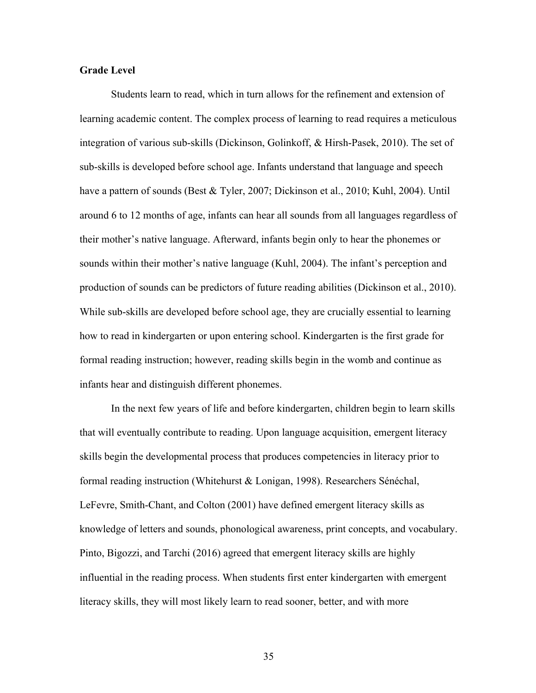# **Grade Level**

Students learn to read, which in turn allows for the refinement and extension of learning academic content. The complex process of learning to read requires a meticulous integration of various sub-skills (Dickinson, Golinkoff, & Hirsh-Pasek, 2010). The set of sub-skills is developed before school age. Infants understand that language and speech have a pattern of sounds (Best & Tyler, 2007; Dickinson et al., 2010; Kuhl, 2004). Until around 6 to 12 months of age, infants can hear all sounds from all languages regardless of their mother's native language. Afterward, infants begin only to hear the phonemes or sounds within their mother's native language (Kuhl, 2004). The infant's perception and production of sounds can be predictors of future reading abilities (Dickinson et al., 2010). While sub-skills are developed before school age, they are crucially essential to learning how to read in kindergarten or upon entering school. Kindergarten is the first grade for formal reading instruction; however, reading skills begin in the womb and continue as infants hear and distinguish different phonemes.

In the next few years of life and before kindergarten, children begin to learn skills that will eventually contribute to reading. Upon language acquisition, emergent literacy skills begin the developmental process that produces competencies in literacy prior to formal reading instruction (Whitehurst & Lonigan, 1998). Researchers Sénéchal, LeFevre, Smith-Chant, and Colton (2001) have defined emergent literacy skills as knowledge of letters and sounds, phonological awareness, print concepts, and vocabulary. Pinto, Bigozzi, and Tarchi (2016) agreed that emergent literacy skills are highly influential in the reading process. When students first enter kindergarten with emergent literacy skills, they will most likely learn to read sooner, better, and with more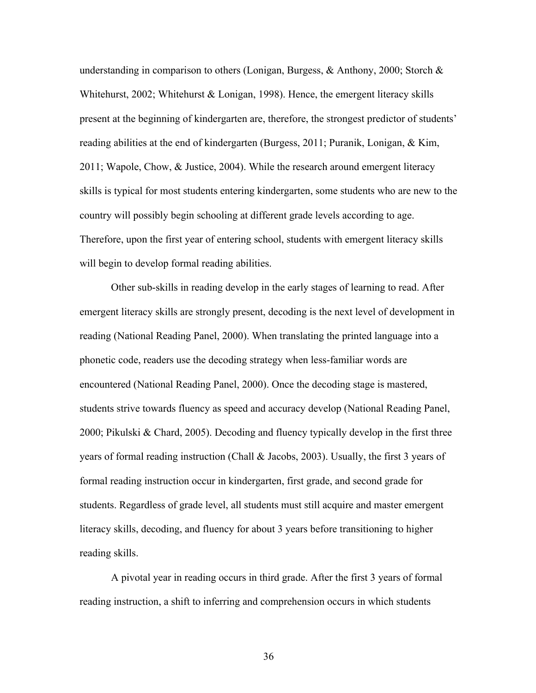understanding in comparison to others (Lonigan, Burgess, & Anthony, 2000; Storch & Whitehurst, 2002; Whitehurst & Lonigan, 1998). Hence, the emergent literacy skills present at the beginning of kindergarten are, therefore, the strongest predictor of students' reading abilities at the end of kindergarten (Burgess, 2011; Puranik, Lonigan, & Kim, 2011; Wapole, Chow, & Justice, 2004). While the research around emergent literacy skills is typical for most students entering kindergarten, some students who are new to the country will possibly begin schooling at different grade levels according to age. Therefore, upon the first year of entering school, students with emergent literacy skills will begin to develop formal reading abilities.

Other sub-skills in reading develop in the early stages of learning to read. After emergent literacy skills are strongly present, decoding is the next level of development in reading (National Reading Panel, 2000). When translating the printed language into a phonetic code, readers use the decoding strategy when less-familiar words are encountered (National Reading Panel, 2000). Once the decoding stage is mastered, students strive towards fluency as speed and accuracy develop (National Reading Panel, 2000; Pikulski & Chard, 2005). Decoding and fluency typically develop in the first three years of formal reading instruction (Chall & Jacobs, 2003). Usually, the first 3 years of formal reading instruction occur in kindergarten, first grade, and second grade for students. Regardless of grade level, all students must still acquire and master emergent literacy skills, decoding, and fluency for about 3 years before transitioning to higher reading skills.

A pivotal year in reading occurs in third grade. After the first 3 years of formal reading instruction, a shift to inferring and comprehension occurs in which students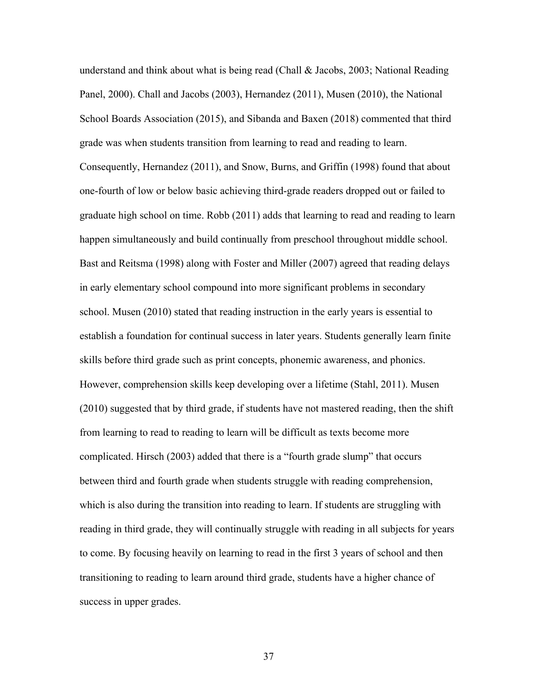understand and think about what is being read (Chall & Jacobs, 2003; National Reading Panel, 2000). Chall and Jacobs (2003), Hernandez (2011), Musen (2010), the National School Boards Association (2015), and Sibanda and Baxen (2018) commented that third grade was when students transition from learning to read and reading to learn. Consequently, Hernandez (2011), and Snow, Burns, and Griffin (1998) found that about one-fourth of low or below basic achieving third-grade readers dropped out or failed to graduate high school on time. Robb (2011) adds that learning to read and reading to learn happen simultaneously and build continually from preschool throughout middle school. Bast and Reitsma (1998) along with Foster and Miller (2007) agreed that reading delays in early elementary school compound into more significant problems in secondary school. Musen (2010) stated that reading instruction in the early years is essential to establish a foundation for continual success in later years. Students generally learn finite skills before third grade such as print concepts, phonemic awareness, and phonics. However, comprehension skills keep developing over a lifetime (Stahl, 2011). Musen (2010) suggested that by third grade, if students have not mastered reading, then the shift from learning to read to reading to learn will be difficult as texts become more complicated. Hirsch (2003) added that there is a "fourth grade slump" that occurs between third and fourth grade when students struggle with reading comprehension, which is also during the transition into reading to learn. If students are struggling with reading in third grade, they will continually struggle with reading in all subjects for years to come. By focusing heavily on learning to read in the first 3 years of school and then transitioning to reading to learn around third grade, students have a higher chance of success in upper grades.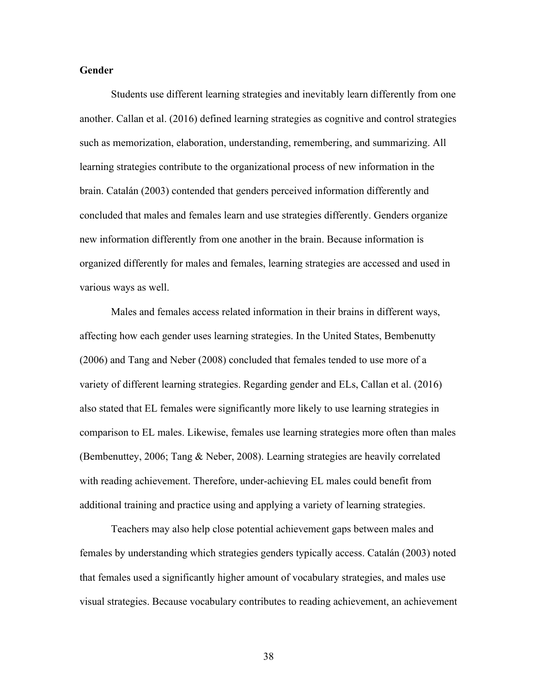# **Gender**

Students use different learning strategies and inevitably learn differently from one another. Callan et al. (2016) defined learning strategies as cognitive and control strategies such as memorization, elaboration, understanding, remembering, and summarizing. All learning strategies contribute to the organizational process of new information in the brain. Catalán (2003) contended that genders perceived information differently and concluded that males and females learn and use strategies differently. Genders organize new information differently from one another in the brain. Because information is organized differently for males and females, learning strategies are accessed and used in various ways as well.

Males and females access related information in their brains in different ways, affecting how each gender uses learning strategies. In the United States, Bembenutty (2006) and Tang and Neber (2008) concluded that females tended to use more of a variety of different learning strategies. Regarding gender and ELs, Callan et al. (2016) also stated that EL females were significantly more likely to use learning strategies in comparison to EL males. Likewise, females use learning strategies more often than males (Bembenuttey, 2006; Tang & Neber, 2008). Learning strategies are heavily correlated with reading achievement. Therefore, under-achieving EL males could benefit from additional training and practice using and applying a variety of learning strategies.

Teachers may also help close potential achievement gaps between males and females by understanding which strategies genders typically access. Catalán (2003) noted that females used a significantly higher amount of vocabulary strategies, and males use visual strategies. Because vocabulary contributes to reading achievement, an achievement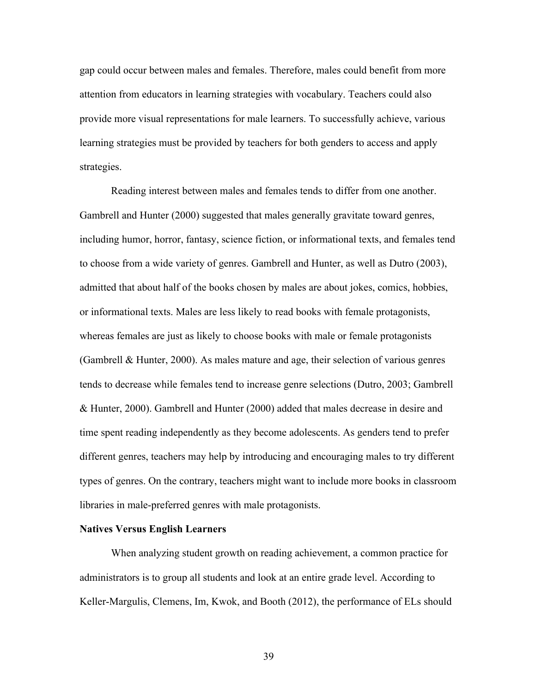gap could occur between males and females. Therefore, males could benefit from more attention from educators in learning strategies with vocabulary. Teachers could also provide more visual representations for male learners. To successfully achieve, various learning strategies must be provided by teachers for both genders to access and apply strategies.

Reading interest between males and females tends to differ from one another. Gambrell and Hunter (2000) suggested that males generally gravitate toward genres, including humor, horror, fantasy, science fiction, or informational texts, and females tend to choose from a wide variety of genres. Gambrell and Hunter, as well as Dutro (2003), admitted that about half of the books chosen by males are about jokes, comics, hobbies, or informational texts. Males are less likely to read books with female protagonists, whereas females are just as likely to choose books with male or female protagonists (Gambrell & Hunter, 2000). As males mature and age, their selection of various genres tends to decrease while females tend to increase genre selections (Dutro, 2003; Gambrell & Hunter, 2000). Gambrell and Hunter (2000) added that males decrease in desire and time spent reading independently as they become adolescents. As genders tend to prefer different genres, teachers may help by introducing and encouraging males to try different types of genres. On the contrary, teachers might want to include more books in classroom libraries in male-preferred genres with male protagonists.

## **Natives Versus English Learners**

When analyzing student growth on reading achievement, a common practice for administrators is to group all students and look at an entire grade level. According to Keller-Margulis, Clemens, Im, Kwok, and Booth (2012), the performance of ELs should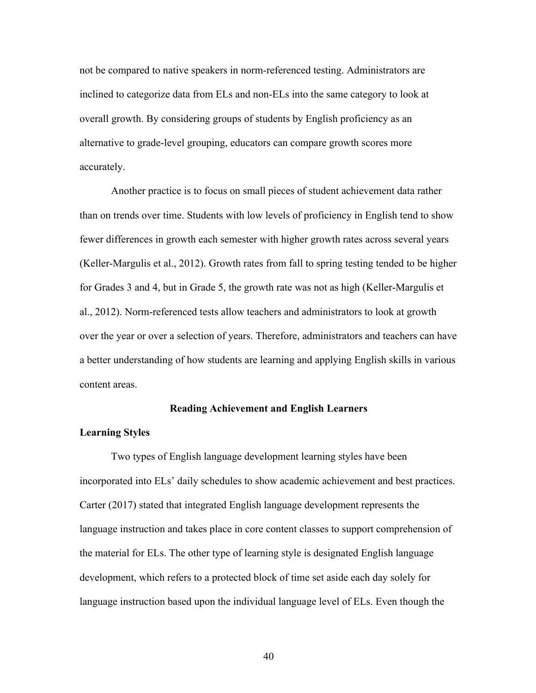not be compared to native speakers in norm-referenced testing. Administrators are inclined to categorize data from ELs and non-ELs into the same category to look at overall growth. By considering groups of students by English proficiency as an alternative to grade-level grouping, educators can compare growth scores more accurately.

Another practice is to focus on small pieces of student achievement data rather than on trends over time. Students with low levels of proficiency in English tend to show fewer differences in growth each semester with higher growth rates across several years (Keller-Margulis et al., 2012). Growth rates from fall to spring testing tended to be higher for Grades 3 and 4, but in Grade 5, the growth rate was not as high (Keller-Margulis et al., 2012). Norm-referenced tests allow teachers and administrators to look at growth over the year or over a selection of years. Therefore, administrators and teachers can have a better understanding of how students are learning and applying English skills in various content areas.

## **Reading Achievement and English Learners**

# **Learning Styles**

Two types of English language development learning styles have been incorporated into ELs' daily schedules to show academic achievement and best practices. Carter (2017) stated that integrated English language development represents the language instruction and takes place in core content classes to support comprehension of the material for ELs. The other type of learning style is designated English language development, which refers to a protected block of time set aside each day solely for language instruction based upon the individual language level of ELs. Even though the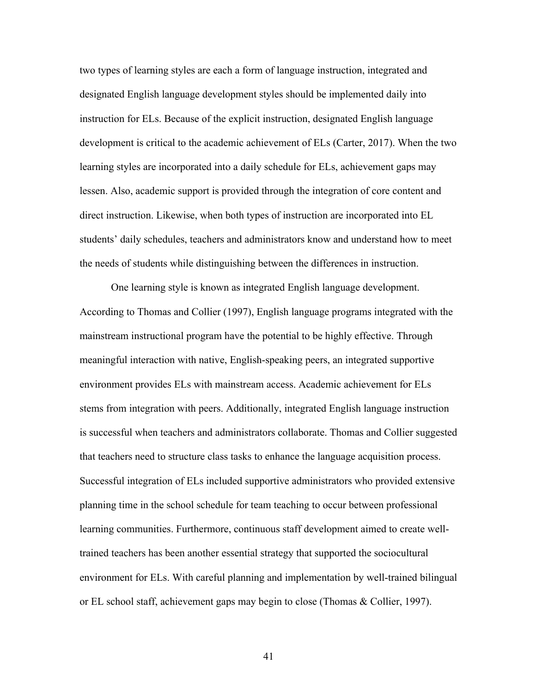two types of learning styles are each a form of language instruction, integrated and designated English language development styles should be implemented daily into instruction for ELs. Because of the explicit instruction, designated English language development is critical to the academic achievement of ELs (Carter, 2017). When the two learning styles are incorporated into a daily schedule for ELs, achievement gaps may lessen. Also, academic support is provided through the integration of core content and direct instruction. Likewise, when both types of instruction are incorporated into EL students' daily schedules, teachers and administrators know and understand how to meet the needs of students while distinguishing between the differences in instruction.

One learning style is known as integrated English language development. According to Thomas and Collier (1997), English language programs integrated with the mainstream instructional program have the potential to be highly effective. Through meaningful interaction with native, English-speaking peers, an integrated supportive environment provides ELs with mainstream access. Academic achievement for ELs stems from integration with peers. Additionally, integrated English language instruction is successful when teachers and administrators collaborate. Thomas and Collier suggested that teachers need to structure class tasks to enhance the language acquisition process. Successful integration of ELs included supportive administrators who provided extensive planning time in the school schedule for team teaching to occur between professional learning communities. Furthermore, continuous staff development aimed to create welltrained teachers has been another essential strategy that supported the sociocultural environment for ELs. With careful planning and implementation by well-trained bilingual or EL school staff, achievement gaps may begin to close (Thomas & Collier, 1997).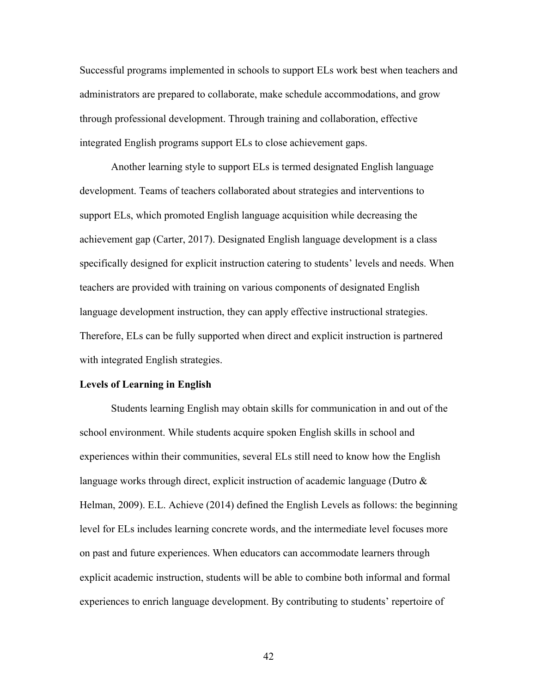Successful programs implemented in schools to support ELs work best when teachers and administrators are prepared to collaborate, make schedule accommodations, and grow through professional development. Through training and collaboration, effective integrated English programs support ELs to close achievement gaps.

Another learning style to support ELs is termed designated English language development. Teams of teachers collaborated about strategies and interventions to support ELs, which promoted English language acquisition while decreasing the achievement gap (Carter, 2017). Designated English language development is a class specifically designed for explicit instruction catering to students' levels and needs. When teachers are provided with training on various components of designated English language development instruction, they can apply effective instructional strategies. Therefore, ELs can be fully supported when direct and explicit instruction is partnered with integrated English strategies.

# **Levels of Learning in English**

Students learning English may obtain skills for communication in and out of the school environment. While students acquire spoken English skills in school and experiences within their communities, several ELs still need to know how the English language works through direct, explicit instruction of academic language (Dutro & Helman, 2009). E.L. Achieve (2014) defined the English Levels as follows: the beginning level for ELs includes learning concrete words, and the intermediate level focuses more on past and future experiences. When educators can accommodate learners through explicit academic instruction, students will be able to combine both informal and formal experiences to enrich language development. By contributing to students' repertoire of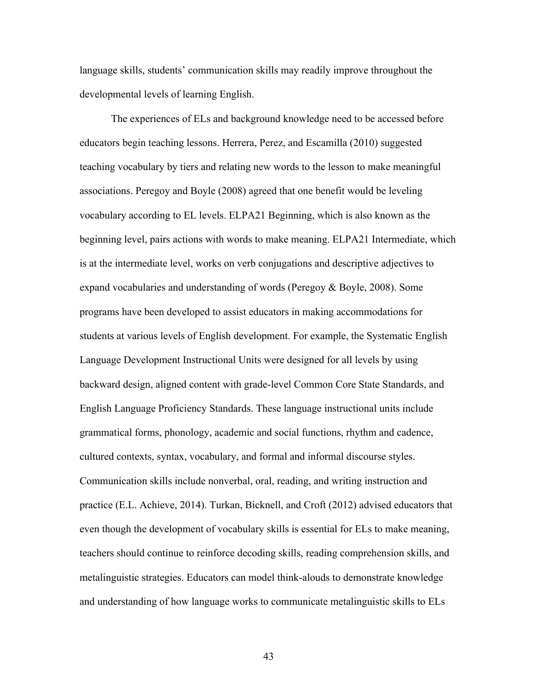language skills, students' communication skills may readily improve throughout the developmental levels of learning English.

The experiences of ELs and background knowledge need to be accessed before educators begin teaching lessons. Herrera, Perez, and Escamilla (2010) suggested teaching vocabulary by tiers and relating new words to the lesson to make meaningful associations. Peregoy and Boyle (2008) agreed that one benefit would be leveling vocabulary according to EL levels. ELPA21 Beginning, which is also known as the beginning level, pairs actions with words to make meaning. ELPA21 Intermediate, which is at the intermediate level, works on verb conjugations and descriptive adjectives to expand vocabularies and understanding of words (Peregoy & Boyle, 2008). Some programs have been developed to assist educators in making accommodations for students at various levels of English development. For example, the Systematic English Language Development Instructional Units were designed for all levels by using backward design, aligned content with grade-level Common Core State Standards, and English Language Proficiency Standards. These language instructional units include grammatical forms, phonology, academic and social functions, rhythm and cadence, cultured contexts, syntax, vocabulary, and formal and informal discourse styles. Communication skills include nonverbal, oral, reading, and writing instruction and practice (E.L. Achieve, 2014). Turkan, Bicknell, and Croft (2012) advised educators that even though the development of vocabulary skills is essential for ELs to make meaning, teachers should continue to reinforce decoding skills, reading comprehension skills, and metalinguistic strategies. Educators can model think-alouds to demonstrate knowledge and understanding of how language works to communicate metalinguistic skills to ELs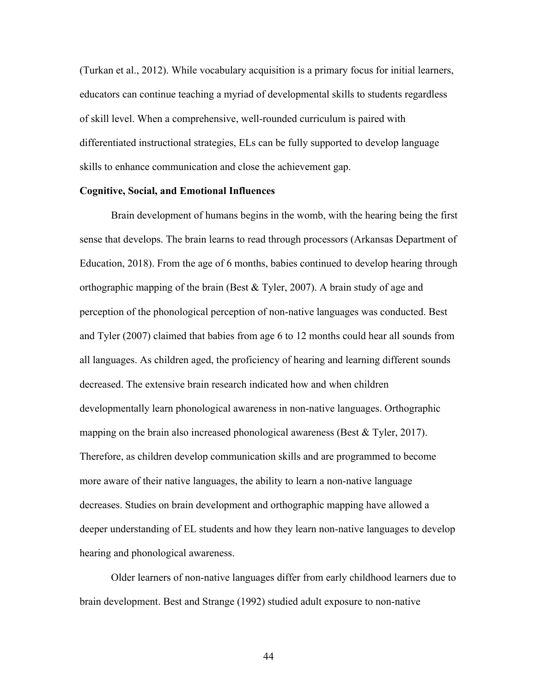(Turkan et al., 2012). While vocabulary acquisition is a primary focus for initial learners, educators can continue teaching a myriad of developmental skills to students regardless of skill level. When a comprehensive, well-rounded curriculum is paired with differentiated instructional strategies, ELs can be fully supported to develop language skills to enhance communication and close the achievement gap.

#### **Cognitive, Social, and Emotional Influences**

Brain development of humans begins in the womb, with the hearing being the first sense that develops. The brain learns to read through processors (Arkansas Department of Education, 2018). From the age of 6 months, babies continued to develop hearing through orthographic mapping of the brain (Best & Tyler, 2007). A brain study of age and perception of the phonological perception of non-native languages was conducted. Best and Tyler (2007) claimed that babies from age 6 to 12 months could hear all sounds from all languages. As children aged, the proficiency of hearing and learning different sounds decreased. The extensive brain research indicated how and when children developmentally learn phonological awareness in non-native languages. Orthographic mapping on the brain also increased phonological awareness (Best & Tyler, 2017). Therefore, as children develop communication skills and are programmed to become more aware of their native languages, the ability to learn a non-native language decreases. Studies on brain development and orthographic mapping have allowed a deeper understanding of EL students and how they learn non-native languages to develop hearing and phonological awareness.

Older learners of non-native languages differ from early childhood learners due to brain development. Best and Strange (1992) studied adult exposure to non-native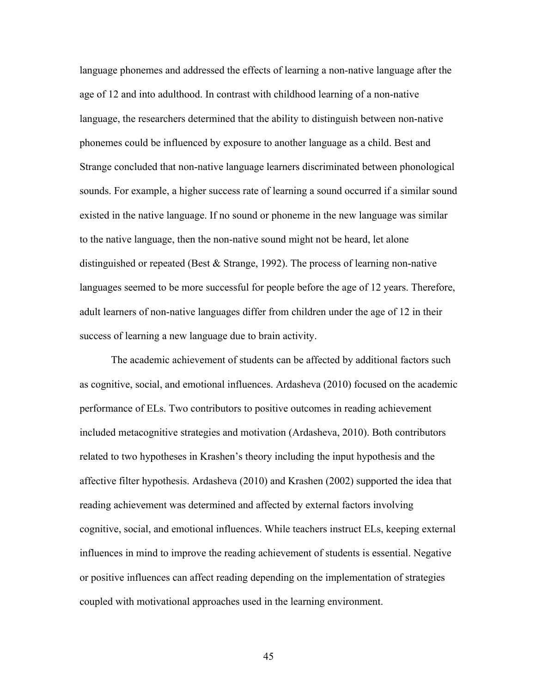language phonemes and addressed the effects of learning a non-native language after the age of 12 and into adulthood. In contrast with childhood learning of a non-native language, the researchers determined that the ability to distinguish between non-native phonemes could be influenced by exposure to another language as a child. Best and Strange concluded that non-native language learners discriminated between phonological sounds. For example, a higher success rate of learning a sound occurred if a similar sound existed in the native language. If no sound or phoneme in the new language was similar to the native language, then the non-native sound might not be heard, let alone distinguished or repeated (Best & Strange, 1992). The process of learning non-native languages seemed to be more successful for people before the age of 12 years. Therefore, adult learners of non-native languages differ from children under the age of 12 in their success of learning a new language due to brain activity.

The academic achievement of students can be affected by additional factors such as cognitive, social, and emotional influences. Ardasheva (2010) focused on the academic performance of ELs. Two contributors to positive outcomes in reading achievement included metacognitive strategies and motivation (Ardasheva, 2010). Both contributors related to two hypotheses in Krashen's theory including the input hypothesis and the affective filter hypothesis. Ardasheva (2010) and Krashen (2002) supported the idea that reading achievement was determined and affected by external factors involving cognitive, social, and emotional influences. While teachers instruct ELs, keeping external influences in mind to improve the reading achievement of students is essential. Negative or positive influences can affect reading depending on the implementation of strategies coupled with motivational approaches used in the learning environment.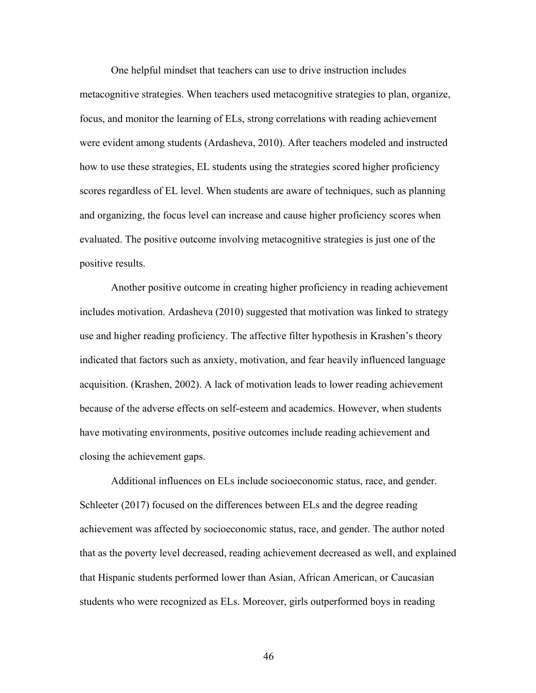One helpful mindset that teachers can use to drive instruction includes metacognitive strategies. When teachers used metacognitive strategies to plan, organize, focus, and monitor the learning of ELs, strong correlations with reading achievement were evident among students (Ardasheva, 2010). After teachers modeled and instructed how to use these strategies, EL students using the strategies scored higher proficiency scores regardless of EL level. When students are aware of techniques, such as planning and organizing, the focus level can increase and cause higher proficiency scores when evaluated. The positive outcome involving metacognitive strategies is just one of the positive results.

Another positive outcome in creating higher proficiency in reading achievement includes motivation. Ardasheva (2010) suggested that motivation was linked to strategy use and higher reading proficiency. The affective filter hypothesis in Krashen's theory indicated that factors such as anxiety, motivation, and fear heavily influenced language acquisition. (Krashen, 2002). A lack of motivation leads to lower reading achievement because of the adverse effects on self-esteem and academics. However, when students have motivating environments, positive outcomes include reading achievement and closing the achievement gaps.

Additional influences on ELs include socioeconomic status, race, and gender. Schleeter (2017) focused on the differences between ELs and the degree reading achievement was affected by socioeconomic status, race, and gender. The author noted that as the poverty level decreased, reading achievement decreased as well, and explained that Hispanic students performed lower than Asian, African American, or Caucasian students who were recognized as ELs. Moreover, girls outperformed boys in reading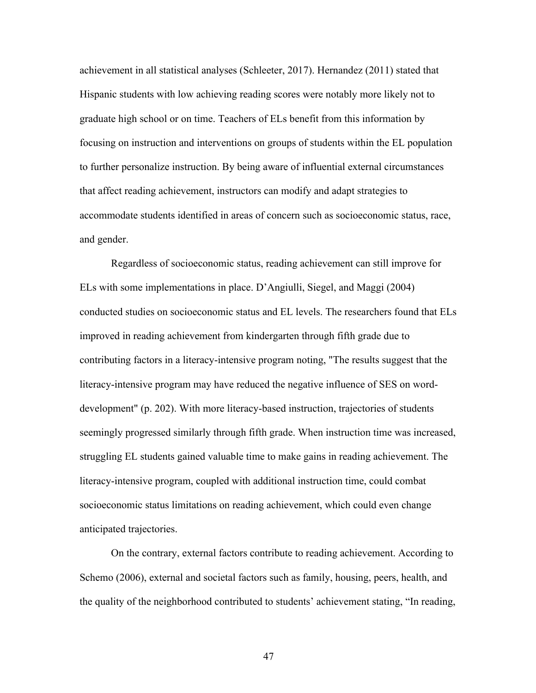achievement in all statistical analyses (Schleeter, 2017). Hernandez (2011) stated that Hispanic students with low achieving reading scores were notably more likely not to graduate high school or on time. Teachers of ELs benefit from this information by focusing on instruction and interventions on groups of students within the EL population to further personalize instruction. By being aware of influential external circumstances that affect reading achievement, instructors can modify and adapt strategies to accommodate students identified in areas of concern such as socioeconomic status, race, and gender.

Regardless of socioeconomic status, reading achievement can still improve for ELs with some implementations in place. D'Angiulli, Siegel, and Maggi (2004) conducted studies on socioeconomic status and EL levels. The researchers found that ELs improved in reading achievement from kindergarten through fifth grade due to contributing factors in a literacy-intensive program noting, "The results suggest that the literacy-intensive program may have reduced the negative influence of SES on worddevelopment" (p. 202). With more literacy-based instruction, trajectories of students seemingly progressed similarly through fifth grade. When instruction time was increased, struggling EL students gained valuable time to make gains in reading achievement. The literacy-intensive program, coupled with additional instruction time, could combat socioeconomic status limitations on reading achievement, which could even change anticipated trajectories.

On the contrary, external factors contribute to reading achievement. According to Schemo (2006), external and societal factors such as family, housing, peers, health, and the quality of the neighborhood contributed to students' achievement stating, "In reading,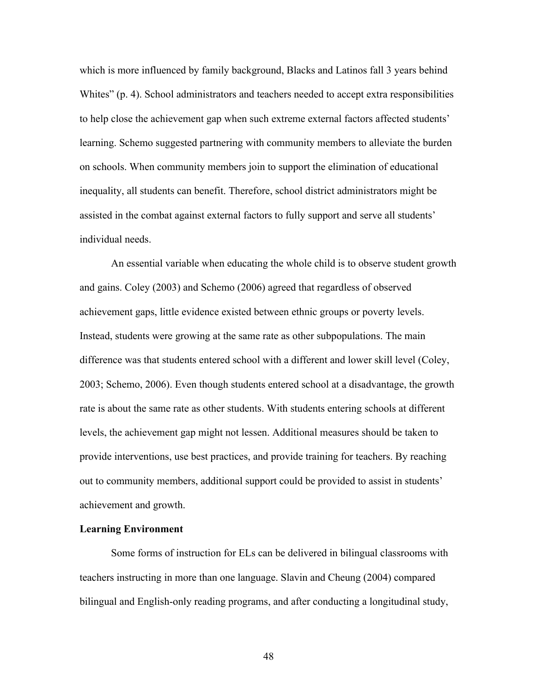which is more influenced by family background, Blacks and Latinos fall 3 years behind Whites" (p. 4). School administrators and teachers needed to accept extra responsibilities to help close the achievement gap when such extreme external factors affected students' learning. Schemo suggested partnering with community members to alleviate the burden on schools. When community members join to support the elimination of educational inequality, all students can benefit. Therefore, school district administrators might be assisted in the combat against external factors to fully support and serve all students' individual needs.

An essential variable when educating the whole child is to observe student growth and gains. Coley (2003) and Schemo (2006) agreed that regardless of observed achievement gaps, little evidence existed between ethnic groups or poverty levels. Instead, students were growing at the same rate as other subpopulations. The main difference was that students entered school with a different and lower skill level (Coley, 2003; Schemo, 2006). Even though students entered school at a disadvantage, the growth rate is about the same rate as other students. With students entering schools at different levels, the achievement gap might not lessen. Additional measures should be taken to provide interventions, use best practices, and provide training for teachers. By reaching out to community members, additional support could be provided to assist in students' achievement and growth.

# **Learning Environment**

Some forms of instruction for ELs can be delivered in bilingual classrooms with teachers instructing in more than one language. Slavin and Cheung (2004) compared bilingual and English-only reading programs, and after conducting a longitudinal study,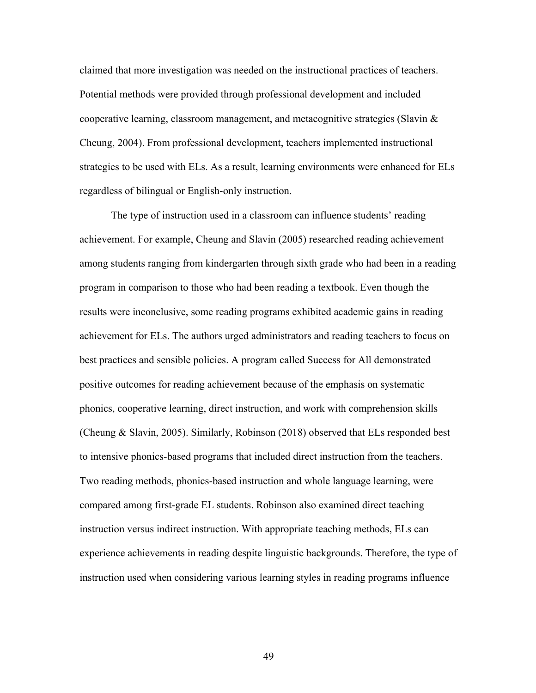claimed that more investigation was needed on the instructional practices of teachers. Potential methods were provided through professional development and included cooperative learning, classroom management, and metacognitive strategies (Slavin & Cheung, 2004). From professional development, teachers implemented instructional strategies to be used with ELs. As a result, learning environments were enhanced for ELs regardless of bilingual or English-only instruction.

The type of instruction used in a classroom can influence students' reading achievement. For example, Cheung and Slavin (2005) researched reading achievement among students ranging from kindergarten through sixth grade who had been in a reading program in comparison to those who had been reading a textbook. Even though the results were inconclusive, some reading programs exhibited academic gains in reading achievement for ELs. The authors urged administrators and reading teachers to focus on best practices and sensible policies. A program called Success for All demonstrated positive outcomes for reading achievement because of the emphasis on systematic phonics, cooperative learning, direct instruction, and work with comprehension skills (Cheung & Slavin, 2005). Similarly, Robinson (2018) observed that ELs responded best to intensive phonics-based programs that included direct instruction from the teachers. Two reading methods, phonics-based instruction and whole language learning, were compared among first-grade EL students. Robinson also examined direct teaching instruction versus indirect instruction. With appropriate teaching methods, ELs can experience achievements in reading despite linguistic backgrounds. Therefore, the type of instruction used when considering various learning styles in reading programs influence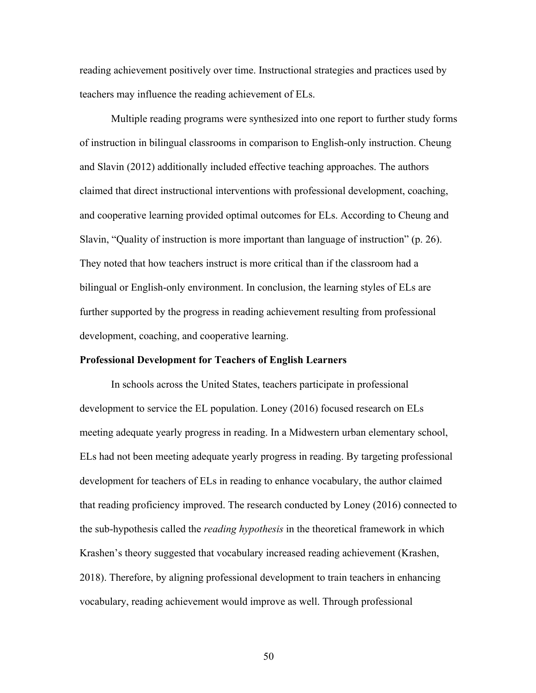reading achievement positively over time. Instructional strategies and practices used by teachers may influence the reading achievement of ELs.

Multiple reading programs were synthesized into one report to further study forms of instruction in bilingual classrooms in comparison to English-only instruction. Cheung and Slavin (2012) additionally included effective teaching approaches. The authors claimed that direct instructional interventions with professional development, coaching, and cooperative learning provided optimal outcomes for ELs. According to Cheung and Slavin, "Quality of instruction is more important than language of instruction" (p. 26). They noted that how teachers instruct is more critical than if the classroom had a bilingual or English-only environment. In conclusion, the learning styles of ELs are further supported by the progress in reading achievement resulting from professional development, coaching, and cooperative learning.

# **Professional Development for Teachers of English Learners**

In schools across the United States, teachers participate in professional development to service the EL population. Loney (2016) focused research on ELs meeting adequate yearly progress in reading. In a Midwestern urban elementary school, ELs had not been meeting adequate yearly progress in reading. By targeting professional development for teachers of ELs in reading to enhance vocabulary, the author claimed that reading proficiency improved. The research conducted by Loney (2016) connected to the sub-hypothesis called the *reading hypothesis* in the theoretical framework in which Krashen's theory suggested that vocabulary increased reading achievement (Krashen, 2018). Therefore, by aligning professional development to train teachers in enhancing vocabulary, reading achievement would improve as well. Through professional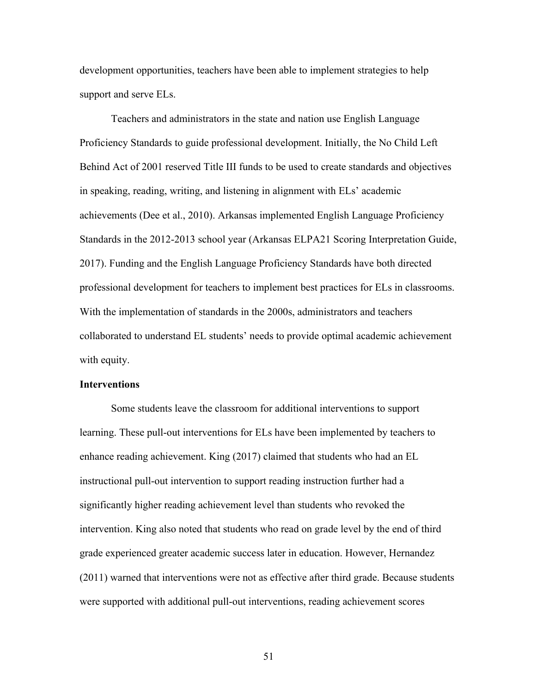development opportunities, teachers have been able to implement strategies to help support and serve ELs.

Teachers and administrators in the state and nation use English Language Proficiency Standards to guide professional development. Initially, the No Child Left Behind Act of 2001 reserved Title III funds to be used to create standards and objectives in speaking, reading, writing, and listening in alignment with ELs' academic achievements (Dee et al., 2010). Arkansas implemented English Language Proficiency Standards in the 2012-2013 school year (Arkansas ELPA21 Scoring Interpretation Guide, 2017). Funding and the English Language Proficiency Standards have both directed professional development for teachers to implement best practices for ELs in classrooms. With the implementation of standards in the 2000s, administrators and teachers collaborated to understand EL students' needs to provide optimal academic achievement with equity.

## **Interventions**

Some students leave the classroom for additional interventions to support learning. These pull-out interventions for ELs have been implemented by teachers to enhance reading achievement. King (2017) claimed that students who had an EL instructional pull-out intervention to support reading instruction further had a significantly higher reading achievement level than students who revoked the intervention. King also noted that students who read on grade level by the end of third grade experienced greater academic success later in education. However, Hernandez (2011) warned that interventions were not as effective after third grade. Because students were supported with additional pull-out interventions, reading achievement scores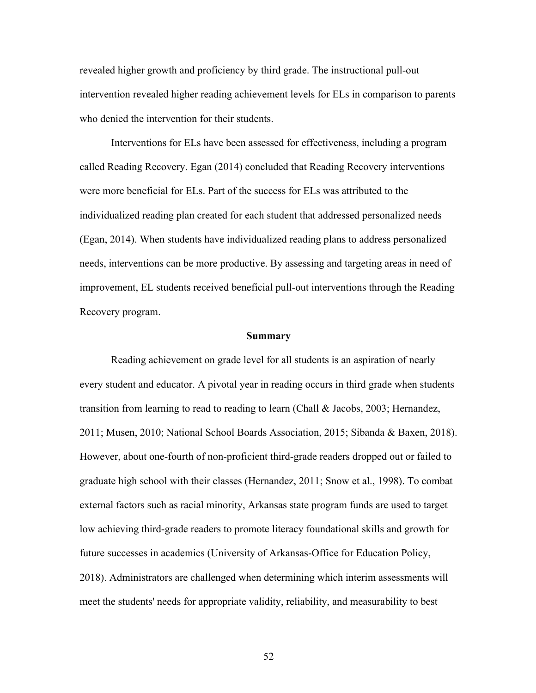revealed higher growth and proficiency by third grade. The instructional pull-out intervention revealed higher reading achievement levels for ELs in comparison to parents who denied the intervention for their students.

Interventions for ELs have been assessed for effectiveness, including a program called Reading Recovery. Egan (2014) concluded that Reading Recovery interventions were more beneficial for ELs. Part of the success for ELs was attributed to the individualized reading plan created for each student that addressed personalized needs (Egan, 2014). When students have individualized reading plans to address personalized needs, interventions can be more productive. By assessing and targeting areas in need of improvement, EL students received beneficial pull-out interventions through the Reading Recovery program.

#### **Summary**

Reading achievement on grade level for all students is an aspiration of nearly every student and educator. A pivotal year in reading occurs in third grade when students transition from learning to read to reading to learn (Chall & Jacobs, 2003; Hernandez, 2011; Musen, 2010; National School Boards Association, 2015; Sibanda & Baxen, 2018). However, about one-fourth of non-proficient third-grade readers dropped out or failed to graduate high school with their classes (Hernandez, 2011; Snow et al., 1998). To combat external factors such as racial minority, Arkansas state program funds are used to target low achieving third-grade readers to promote literacy foundational skills and growth for future successes in academics (University of Arkansas-Office for Education Policy, 2018). Administrators are challenged when determining which interim assessments will meet the students' needs for appropriate validity, reliability, and measurability to best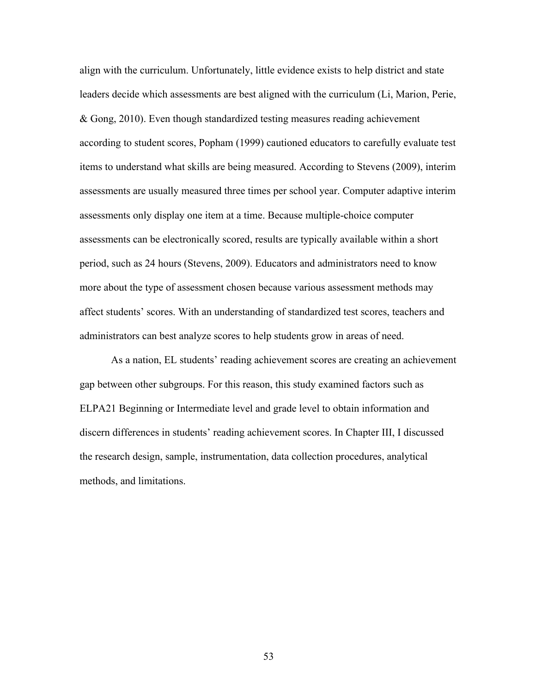align with the curriculum. Unfortunately, little evidence exists to help district and state leaders decide which assessments are best aligned with the curriculum (Li, Marion, Perie, & Gong, 2010). Even though standardized testing measures reading achievement according to student scores, Popham (1999) cautioned educators to carefully evaluate test items to understand what skills are being measured. According to Stevens (2009), interim assessments are usually measured three times per school year. Computer adaptive interim assessments only display one item at a time. Because multiple-choice computer assessments can be electronically scored, results are typically available within a short period, such as 24 hours (Stevens, 2009). Educators and administrators need to know more about the type of assessment chosen because various assessment methods may affect students' scores. With an understanding of standardized test scores, teachers and administrators can best analyze scores to help students grow in areas of need.

As a nation, EL students' reading achievement scores are creating an achievement gap between other subgroups. For this reason, this study examined factors such as ELPA21 Beginning or Intermediate level and grade level to obtain information and discern differences in students' reading achievement scores. In Chapter III, I discussed the research design, sample, instrumentation, data collection procedures, analytical methods, and limitations.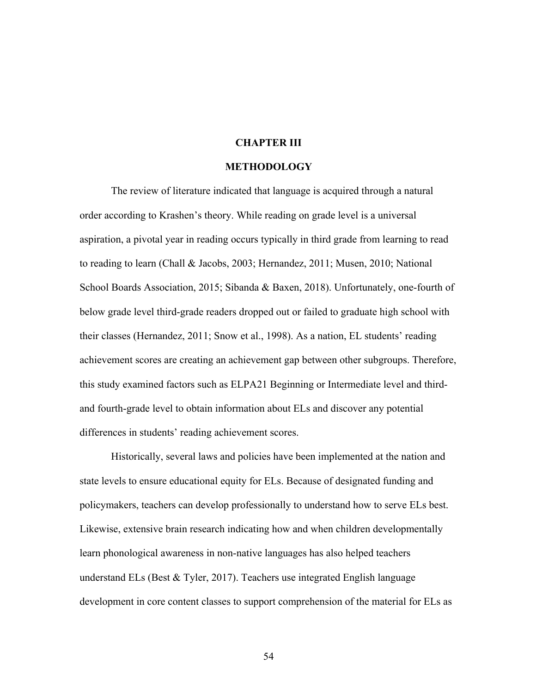## **CHAPTER III**

#### **METHODOLOGY**

The review of literature indicated that language is acquired through a natural order according to Krashen's theory. While reading on grade level is a universal aspiration, a pivotal year in reading occurs typically in third grade from learning to read to reading to learn (Chall & Jacobs, 2003; Hernandez, 2011; Musen, 2010; National School Boards Association, 2015; Sibanda & Baxen, 2018). Unfortunately, one-fourth of below grade level third-grade readers dropped out or failed to graduate high school with their classes (Hernandez, 2011; Snow et al., 1998). As a nation, EL students' reading achievement scores are creating an achievement gap between other subgroups. Therefore, this study examined factors such as ELPA21 Beginning or Intermediate level and thirdand fourth-grade level to obtain information about ELs and discover any potential differences in students' reading achievement scores.

Historically, several laws and policies have been implemented at the nation and state levels to ensure educational equity for ELs. Because of designated funding and policymakers, teachers can develop professionally to understand how to serve ELs best. Likewise, extensive brain research indicating how and when children developmentally learn phonological awareness in non-native languages has also helped teachers understand ELs (Best  $\&$  Tyler, 2017). Teachers use integrated English language development in core content classes to support comprehension of the material for ELs as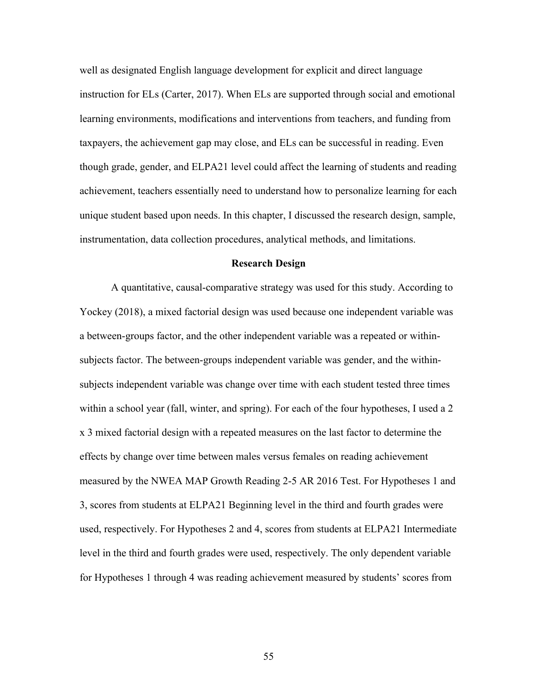well as designated English language development for explicit and direct language instruction for ELs (Carter, 2017). When ELs are supported through social and emotional learning environments, modifications and interventions from teachers, and funding from taxpayers, the achievement gap may close, and ELs can be successful in reading. Even though grade, gender, and ELPA21 level could affect the learning of students and reading achievement, teachers essentially need to understand how to personalize learning for each unique student based upon needs. In this chapter, I discussed the research design, sample, instrumentation, data collection procedures, analytical methods, and limitations.

#### **Research Design**

A quantitative, causal-comparative strategy was used for this study. According to Yockey (2018), a mixed factorial design was used because one independent variable was a between-groups factor, and the other independent variable was a repeated or withinsubjects factor. The between-groups independent variable was gender, and the withinsubjects independent variable was change over time with each student tested three times within a school year (fall, winter, and spring). For each of the four hypotheses, I used a 2 x 3 mixed factorial design with a repeated measures on the last factor to determine the effects by change over time between males versus females on reading achievement measured by the NWEA MAP Growth Reading 2-5 AR 2016 Test. For Hypotheses 1 and 3, scores from students at ELPA21 Beginning level in the third and fourth grades were used, respectively. For Hypotheses 2 and 4, scores from students at ELPA21 Intermediate level in the third and fourth grades were used, respectively. The only dependent variable for Hypotheses 1 through 4 was reading achievement measured by students' scores from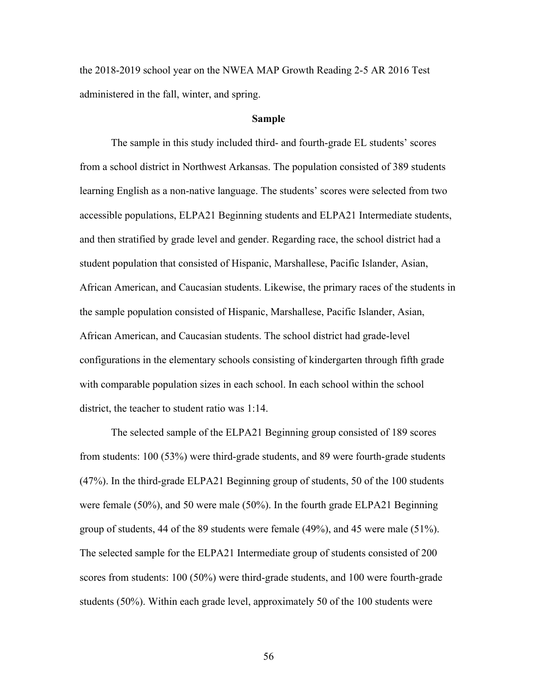the 2018-2019 school year on the NWEA MAP Growth Reading 2-5 AR 2016 Test administered in the fall, winter, and spring.

# **Sample**

The sample in this study included third- and fourth-grade EL students' scores from a school district in Northwest Arkansas. The population consisted of 389 students learning English as a non-native language. The students' scores were selected from two accessible populations, ELPA21 Beginning students and ELPA21 Intermediate students, and then stratified by grade level and gender. Regarding race, the school district had a student population that consisted of Hispanic, Marshallese, Pacific Islander, Asian, African American, and Caucasian students. Likewise, the primary races of the students in the sample population consisted of Hispanic, Marshallese, Pacific Islander, Asian, African American, and Caucasian students. The school district had grade-level configurations in the elementary schools consisting of kindergarten through fifth grade with comparable population sizes in each school. In each school within the school district, the teacher to student ratio was 1:14.

The selected sample of the ELPA21 Beginning group consisted of 189 scores from students: 100 (53%) were third-grade students, and 89 were fourth-grade students (47%). In the third-grade ELPA21 Beginning group of students, 50 of the 100 students were female (50%), and 50 were male (50%). In the fourth grade ELPA21 Beginning group of students, 44 of the 89 students were female (49%), and 45 were male (51%). The selected sample for the ELPA21 Intermediate group of students consisted of 200 scores from students: 100 (50%) were third-grade students, and 100 were fourth-grade students (50%). Within each grade level, approximately 50 of the 100 students were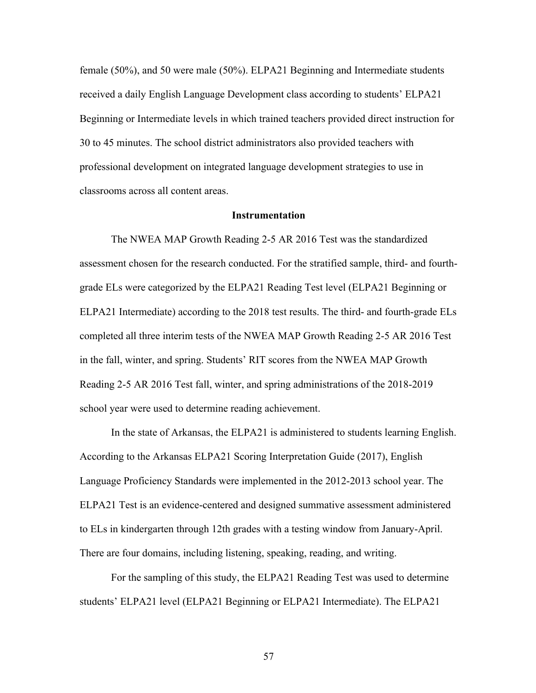female (50%), and 50 were male (50%). ELPA21 Beginning and Intermediate students received a daily English Language Development class according to students' ELPA21 Beginning or Intermediate levels in which trained teachers provided direct instruction for 30 to 45 minutes. The school district administrators also provided teachers with professional development on integrated language development strategies to use in classrooms across all content areas.

#### **Instrumentation**

The NWEA MAP Growth Reading 2-5 AR 2016 Test was the standardized assessment chosen for the research conducted. For the stratified sample, third- and fourthgrade ELs were categorized by the ELPA21 Reading Test level (ELPA21 Beginning or ELPA21 Intermediate) according to the 2018 test results. The third- and fourth-grade ELs completed all three interim tests of the NWEA MAP Growth Reading 2-5 AR 2016 Test in the fall, winter, and spring. Students' RIT scores from the NWEA MAP Growth Reading 2-5 AR 2016 Test fall, winter, and spring administrations of the 2018-2019 school year were used to determine reading achievement.

In the state of Arkansas, the ELPA21 is administered to students learning English. According to the Arkansas ELPA21 Scoring Interpretation Guide (2017), English Language Proficiency Standards were implemented in the 2012-2013 school year. The ELPA21 Test is an evidence-centered and designed summative assessment administered to ELs in kindergarten through 12th grades with a testing window from January-April. There are four domains, including listening, speaking, reading, and writing.

For the sampling of this study, the ELPA21 Reading Test was used to determine students' ELPA21 level (ELPA21 Beginning or ELPA21 Intermediate). The ELPA21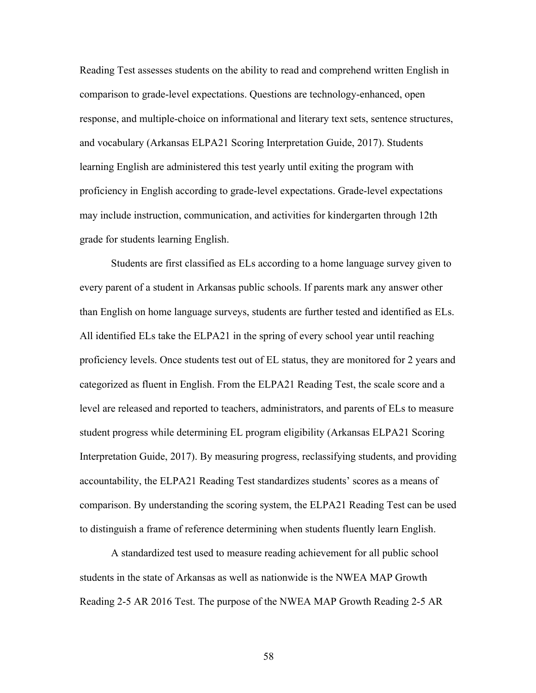Reading Test assesses students on the ability to read and comprehend written English in comparison to grade-level expectations. Questions are technology-enhanced, open response, and multiple-choice on informational and literary text sets, sentence structures, and vocabulary (Arkansas ELPA21 Scoring Interpretation Guide, 2017). Students learning English are administered this test yearly until exiting the program with proficiency in English according to grade-level expectations. Grade-level expectations may include instruction, communication, and activities for kindergarten through 12th grade for students learning English.

Students are first classified as ELs according to a home language survey given to every parent of a student in Arkansas public schools. If parents mark any answer other than English on home language surveys, students are further tested and identified as ELs. All identified ELs take the ELPA21 in the spring of every school year until reaching proficiency levels. Once students test out of EL status, they are monitored for 2 years and categorized as fluent in English. From the ELPA21 Reading Test, the scale score and a level are released and reported to teachers, administrators, and parents of ELs to measure student progress while determining EL program eligibility (Arkansas ELPA21 Scoring Interpretation Guide, 2017). By measuring progress, reclassifying students, and providing accountability, the ELPA21 Reading Test standardizes students' scores as a means of comparison. By understanding the scoring system, the ELPA21 Reading Test can be used to distinguish a frame of reference determining when students fluently learn English.

A standardized test used to measure reading achievement for all public school students in the state of Arkansas as well as nationwide is the NWEA MAP Growth Reading 2-5 AR 2016 Test. The purpose of the NWEA MAP Growth Reading 2-5 AR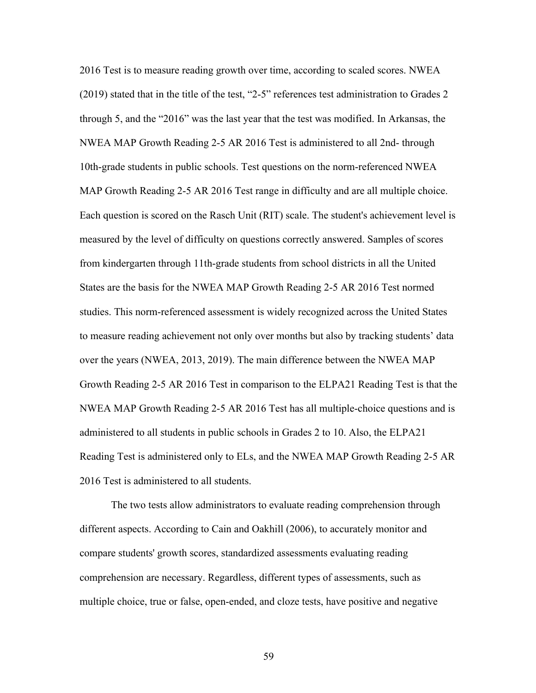2016 Test is to measure reading growth over time, according to scaled scores. NWEA (2019) stated that in the title of the test, "2-5" references test administration to Grades 2 through 5, and the "2016" was the last year that the test was modified. In Arkansas, the NWEA MAP Growth Reading 2-5 AR 2016 Test is administered to all 2nd- through 10th-grade students in public schools. Test questions on the norm-referenced NWEA MAP Growth Reading 2-5 AR 2016 Test range in difficulty and are all multiple choice. Each question is scored on the Rasch Unit (RIT) scale. The student's achievement level is measured by the level of difficulty on questions correctly answered. Samples of scores from kindergarten through 11th-grade students from school districts in all the United States are the basis for the NWEA MAP Growth Reading 2-5 AR 2016 Test normed studies. This norm-referenced assessment is widely recognized across the United States to measure reading achievement not only over months but also by tracking students' data over the years (NWEA, 2013, 2019). The main difference between the NWEA MAP Growth Reading 2-5 AR 2016 Test in comparison to the ELPA21 Reading Test is that the NWEA MAP Growth Reading 2-5 AR 2016 Test has all multiple-choice questions and is administered to all students in public schools in Grades 2 to 10. Also, the ELPA21 Reading Test is administered only to ELs, and the NWEA MAP Growth Reading 2-5 AR 2016 Test is administered to all students.

The two tests allow administrators to evaluate reading comprehension through different aspects. According to Cain and Oakhill (2006), to accurately monitor and compare students' growth scores, standardized assessments evaluating reading comprehension are necessary. Regardless, different types of assessments, such as multiple choice, true or false, open-ended, and cloze tests, have positive and negative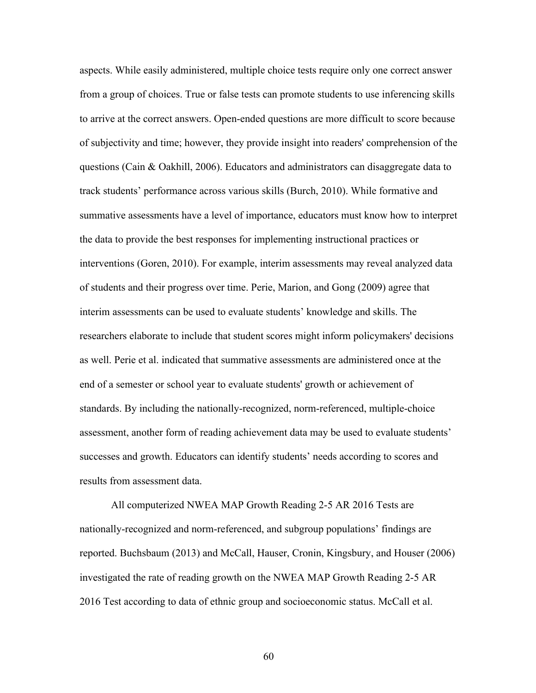aspects. While easily administered, multiple choice tests require only one correct answer from a group of choices. True or false tests can promote students to use inferencing skills to arrive at the correct answers. Open-ended questions are more difficult to score because of subjectivity and time; however, they provide insight into readers' comprehension of the questions (Cain & Oakhill, 2006). Educators and administrators can disaggregate data to track students' performance across various skills (Burch, 2010). While formative and summative assessments have a level of importance, educators must know how to interpret the data to provide the best responses for implementing instructional practices or interventions (Goren, 2010). For example, interim assessments may reveal analyzed data of students and their progress over time. Perie, Marion, and Gong (2009) agree that interim assessments can be used to evaluate students' knowledge and skills. The researchers elaborate to include that student scores might inform policymakers' decisions as well. Perie et al. indicated that summative assessments are administered once at the end of a semester or school year to evaluate students' growth or achievement of standards. By including the nationally-recognized, norm-referenced, multiple-choice assessment, another form of reading achievement data may be used to evaluate students' successes and growth. Educators can identify students' needs according to scores and results from assessment data.

All computerized NWEA MAP Growth Reading 2-5 AR 2016 Tests are nationally-recognized and norm-referenced, and subgroup populations' findings are reported. Buchsbaum (2013) and McCall, Hauser, Cronin, Kingsbury, and Houser (2006) investigated the rate of reading growth on the NWEA MAP Growth Reading 2-5 AR 2016 Test according to data of ethnic group and socioeconomic status. McCall et al.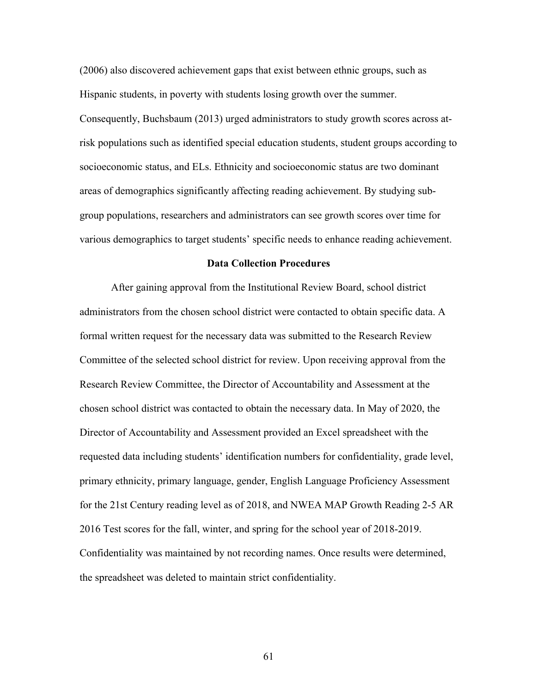(2006) also discovered achievement gaps that exist between ethnic groups, such as Hispanic students, in poverty with students losing growth over the summer.

Consequently, Buchsbaum (2013) urged administrators to study growth scores across atrisk populations such as identified special education students, student groups according to socioeconomic status, and ELs. Ethnicity and socioeconomic status are two dominant areas of demographics significantly affecting reading achievement. By studying subgroup populations, researchers and administrators can see growth scores over time for various demographics to target students' specific needs to enhance reading achievement.

#### **Data Collection Procedures**

After gaining approval from the Institutional Review Board, school district administrators from the chosen school district were contacted to obtain specific data. A formal written request for the necessary data was submitted to the Research Review Committee of the selected school district for review. Upon receiving approval from the Research Review Committee, the Director of Accountability and Assessment at the chosen school district was contacted to obtain the necessary data. In May of 2020, the Director of Accountability and Assessment provided an Excel spreadsheet with the requested data including students' identification numbers for confidentiality, grade level, primary ethnicity, primary language, gender, English Language Proficiency Assessment for the 21st Century reading level as of 2018, and NWEA MAP Growth Reading 2-5 AR 2016 Test scores for the fall, winter, and spring for the school year of 2018-2019. Confidentiality was maintained by not recording names. Once results were determined, the spreadsheet was deleted to maintain strict confidentiality.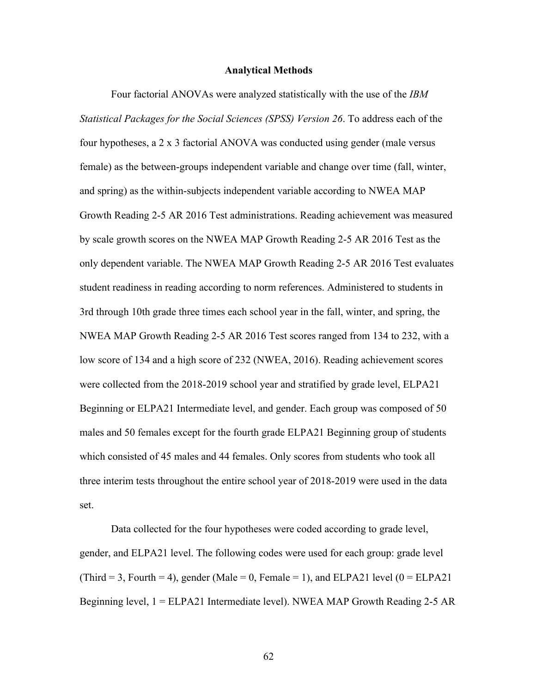#### **Analytical Methods**

Four factorial ANOVAs were analyzed statistically with the use of the *IBM Statistical Packages for the Social Sciences (SPSS) Version 26*. To address each of the four hypotheses, a 2 x 3 factorial ANOVA was conducted using gender (male versus female) as the between-groups independent variable and change over time (fall, winter, and spring) as the within-subjects independent variable according to NWEA MAP Growth Reading 2-5 AR 2016 Test administrations. Reading achievement was measured by scale growth scores on the NWEA MAP Growth Reading 2-5 AR 2016 Test as the only dependent variable. The NWEA MAP Growth Reading 2-5 AR 2016 Test evaluates student readiness in reading according to norm references. Administered to students in 3rd through 10th grade three times each school year in the fall, winter, and spring, the NWEA MAP Growth Reading 2-5 AR 2016 Test scores ranged from 134 to 232, with a low score of 134 and a high score of 232 (NWEA, 2016). Reading achievement scores were collected from the 2018-2019 school year and stratified by grade level, ELPA21 Beginning or ELPA21 Intermediate level, and gender. Each group was composed of 50 males and 50 females except for the fourth grade ELPA21 Beginning group of students which consisted of 45 males and 44 females. Only scores from students who took all three interim tests throughout the entire school year of 2018-2019 were used in the data set.

Data collected for the four hypotheses were coded according to grade level, gender, and ELPA21 level. The following codes were used for each group: grade level (Third = 3, Fourth = 4), gender (Male = 0, Female = 1), and ELPA21 level ( $0 = ELPA21$ Beginning level, 1 = ELPA21 Intermediate level). NWEA MAP Growth Reading 2-5 AR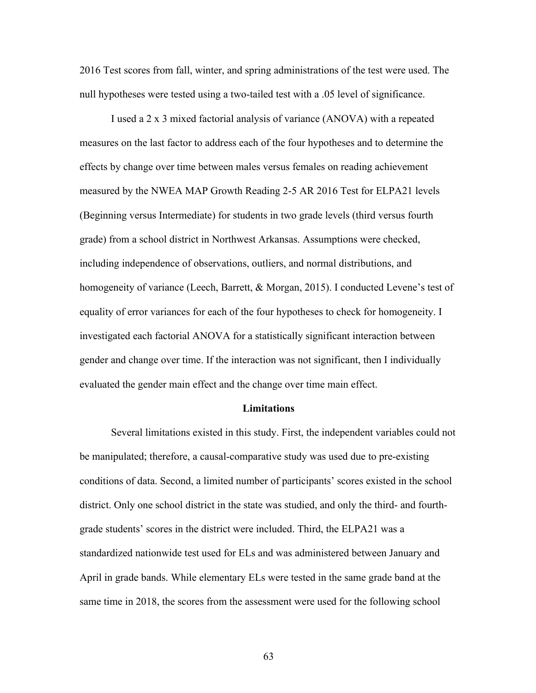2016 Test scores from fall, winter, and spring administrations of the test were used. The null hypotheses were tested using a two-tailed test with a .05 level of significance.

I used a 2 x 3 mixed factorial analysis of variance (ANOVA) with a repeated measures on the last factor to address each of the four hypotheses and to determine the effects by change over time between males versus females on reading achievement measured by the NWEA MAP Growth Reading 2-5 AR 2016 Test for ELPA21 levels (Beginning versus Intermediate) for students in two grade levels (third versus fourth grade) from a school district in Northwest Arkansas. Assumptions were checked, including independence of observations, outliers, and normal distributions, and homogeneity of variance (Leech, Barrett, & Morgan, 2015). I conducted Levene's test of equality of error variances for each of the four hypotheses to check for homogeneity. I investigated each factorial ANOVA for a statistically significant interaction between gender and change over time. If the interaction was not significant, then I individually evaluated the gender main effect and the change over time main effect.

# **Limitations**

Several limitations existed in this study. First, the independent variables could not be manipulated; therefore, a causal-comparative study was used due to pre-existing conditions of data. Second, a limited number of participants' scores existed in the school district. Only one school district in the state was studied, and only the third- and fourthgrade students' scores in the district were included. Third, the ELPA21 was a standardized nationwide test used for ELs and was administered between January and April in grade bands. While elementary ELs were tested in the same grade band at the same time in 2018, the scores from the assessment were used for the following school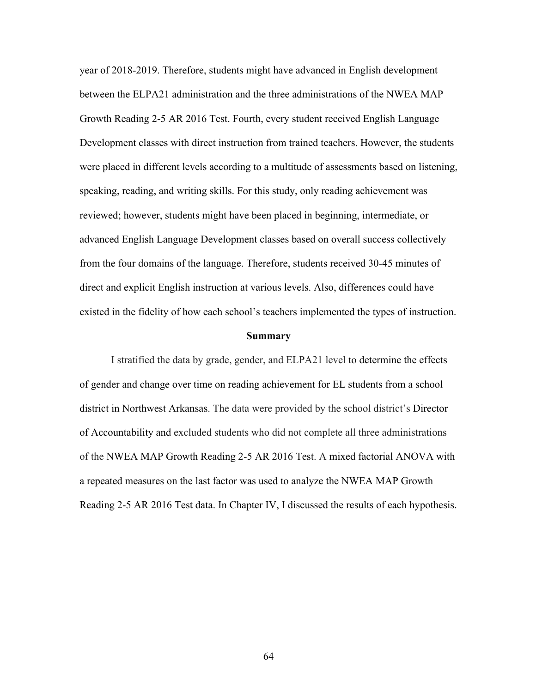year of 2018-2019. Therefore, students might have advanced in English development between the ELPA21 administration and the three administrations of the NWEA MAP Growth Reading 2-5 AR 2016 Test. Fourth, every student received English Language Development classes with direct instruction from trained teachers. However, the students were placed in different levels according to a multitude of assessments based on listening, speaking, reading, and writing skills. For this study, only reading achievement was reviewed; however, students might have been placed in beginning, intermediate, or advanced English Language Development classes based on overall success collectively from the four domains of the language. Therefore, students received 30-45 minutes of direct and explicit English instruction at various levels. Also, differences could have existed in the fidelity of how each school's teachers implemented the types of instruction.

#### **Summary**

I stratified the data by grade, gender, and ELPA21 level to determine the effects of gender and change over time on reading achievement for EL students from a school district in Northwest Arkansas. The data were provided by the school district's Director of Accountability and excluded students who did not complete all three administrations of the NWEA MAP Growth Reading 2-5 AR 2016 Test. A mixed factorial ANOVA with a repeated measures on the last factor was used to analyze the NWEA MAP Growth Reading 2-5 AR 2016 Test data. In Chapter IV, I discussed the results of each hypothesis.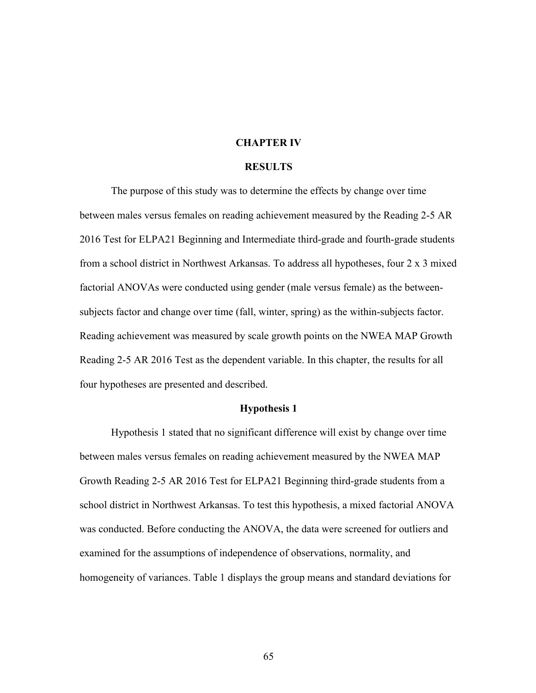#### **CHAPTER IV**

#### **RESULTS**

The purpose of this study was to determine the effects by change over time between males versus females on reading achievement measured by the Reading 2-5 AR 2016 Test for ELPA21 Beginning and Intermediate third-grade and fourth-grade students from a school district in Northwest Arkansas. To address all hypotheses, four 2 x 3 mixed factorial ANOVAs were conducted using gender (male versus female) as the betweensubjects factor and change over time (fall, winter, spring) as the within-subjects factor. Reading achievement was measured by scale growth points on the NWEA MAP Growth Reading 2-5 AR 2016 Test as the dependent variable. In this chapter, the results for all four hypotheses are presented and described.

## **Hypothesis 1**

Hypothesis 1 stated that no significant difference will exist by change over time between males versus females on reading achievement measured by the NWEA MAP Growth Reading 2-5 AR 2016 Test for ELPA21 Beginning third-grade students from a school district in Northwest Arkansas. To test this hypothesis, a mixed factorial ANOVA was conducted. Before conducting the ANOVA, the data were screened for outliers and examined for the assumptions of independence of observations, normality, and homogeneity of variances. Table 1 displays the group means and standard deviations for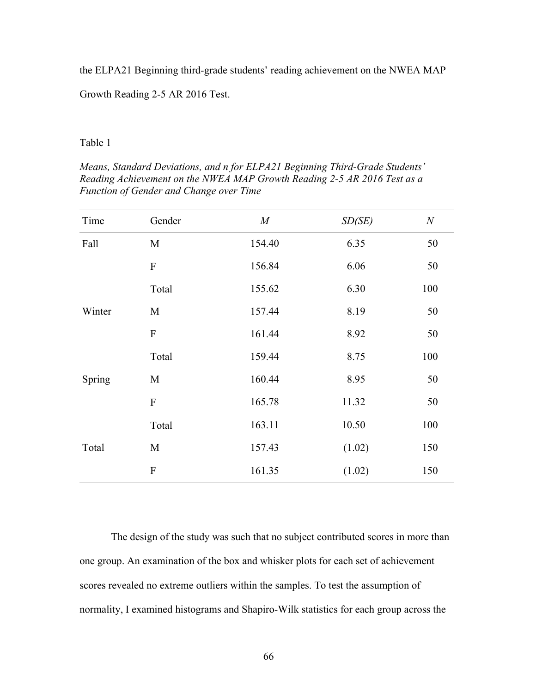the ELPA21 Beginning third-grade students' reading achievement on the NWEA MAP

Growth Reading 2-5 AR 2016 Test.

Table 1

*Means, Standard Deviations, and n for ELPA21 Beginning Third-Grade Students' Reading Achievement on the NWEA MAP Growth Reading 2-5 AR 2016 Test as a Function of Gender and Change over Time*

| Time   | Gender         | $M_{\rm}$ | SD(SE) | $\boldsymbol{N}$ |
|--------|----------------|-----------|--------|------------------|
| Fall   | M              | 154.40    | 6.35   | 50               |
|        | $\mathbf{F}$   | 156.84    | 6.06   | 50               |
|        | Total          | 155.62    | 6.30   | 100              |
| Winter | M              | 157.44    | 8.19   | 50               |
|        | $\overline{F}$ | 161.44    | 8.92   | 50               |
|        | Total          | 159.44    | 8.75   | 100              |
| Spring | M              | 160.44    | 8.95   | 50               |
|        | $\overline{F}$ | 165.78    | 11.32  | 50               |
|        | Total          | 163.11    | 10.50  | 100              |
| Total  | M              | 157.43    | (1.02) | 150              |
|        | $\overline{F}$ | 161.35    | (1.02) | 150              |

The design of the study was such that no subject contributed scores in more than one group. An examination of the box and whisker plots for each set of achievement scores revealed no extreme outliers within the samples. To test the assumption of normality, I examined histograms and Shapiro-Wilk statistics for each group across the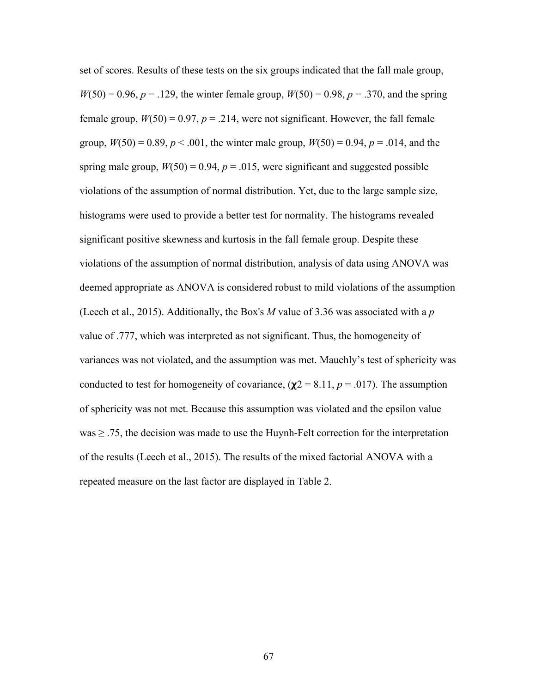set of scores. Results of these tests on the six groups indicated that the fall male group,  $W(50) = 0.96, p = .129$ , the winter female group,  $W(50) = 0.98, p = .370$ , and the spring female group,  $W(50) = 0.97$ ,  $p = .214$ , were not significant. However, the fall female group,  $W(50) = 0.89$ ,  $p < .001$ , the winter male group,  $W(50) = 0.94$ ,  $p = .014$ , and the spring male group,  $W(50) = 0.94$ ,  $p = .015$ , were significant and suggested possible violations of the assumption of normal distribution. Yet, due to the large sample size, histograms were used to provide a better test for normality. The histograms revealed significant positive skewness and kurtosis in the fall female group. Despite these violations of the assumption of normal distribution, analysis of data using ANOVA was deemed appropriate as ANOVA is considered robust to mild violations of the assumption (Leech et al., 2015). Additionally, the Box's *M* value of 3.36 was associated with a *p* value of .777, which was interpreted as not significant. Thus, the homogeneity of variances was not violated, and the assumption was met. Mauchly's test of sphericity was conducted to test for homogeneity of covariance,  $(\chi^2 = 8.11, p = .017)$ . The assumption of sphericity was not met. Because this assumption was violated and the epsilon value  $was \geq .75$ , the decision was made to use the Huynh-Felt correction for the interpretation of the results (Leech et al., 2015). The results of the mixed factorial ANOVA with a repeated measure on the last factor are displayed in Table 2.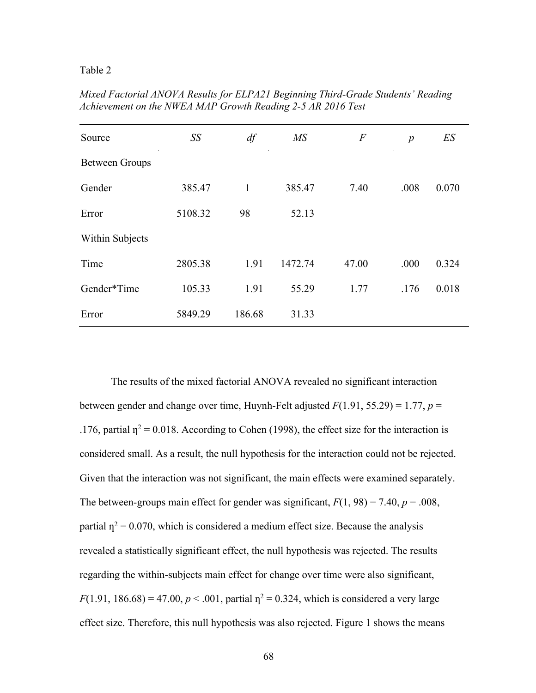#### Table 2

| Source                | SS      | df     | MS      | $\boldsymbol{F}$ | $\boldsymbol{p}$ | ES    |
|-----------------------|---------|--------|---------|------------------|------------------|-------|
| <b>Between Groups</b> |         |        |         |                  |                  |       |
| Gender                | 385.47  | 1      | 385.47  | 7.40             | .008             | 0.070 |
| Error                 | 5108.32 | 98     | 52.13   |                  |                  |       |
| Within Subjects       |         |        |         |                  |                  |       |
| Time                  | 2805.38 | 1.91   | 1472.74 | 47.00            | .000             | 0.324 |
| Gender*Time           | 105.33  | 1.91   | 55.29   | 1.77             | .176             | 0.018 |
| Error                 | 5849.29 | 186.68 | 31.33   |                  |                  |       |

*Mixed Factorial ANOVA Results for ELPA21 Beginning Third-Grade Students' Reading Achievement on the NWEA MAP Growth Reading 2-5 AR 2016 Test*

The results of the mixed factorial ANOVA revealed no significant interaction between gender and change over time, Huynh-Felt adjusted *F*(1.91, 55.29) = 1.77, *p* = .176, partial  $\eta^2$  = 0.018. According to Cohen (1998), the effect size for the interaction is considered small. As a result, the null hypothesis for the interaction could not be rejected. Given that the interaction was not significant, the main effects were examined separately. The between-groups main effect for gender was significant,  $F(1, 98) = 7.40$ ,  $p = .008$ , partial  $\eta^2$  = 0.070, which is considered a medium effect size. Because the analysis revealed a statistically significant effect, the null hypothesis was rejected. The results regarding the within-subjects main effect for change over time were also significant, *F*(1.91, 186.68) = 47.00,  $p < .001$ , partial  $p^2 = 0.324$ , which is considered a very large effect size. Therefore, this null hypothesis was also rejected. Figure 1 shows the means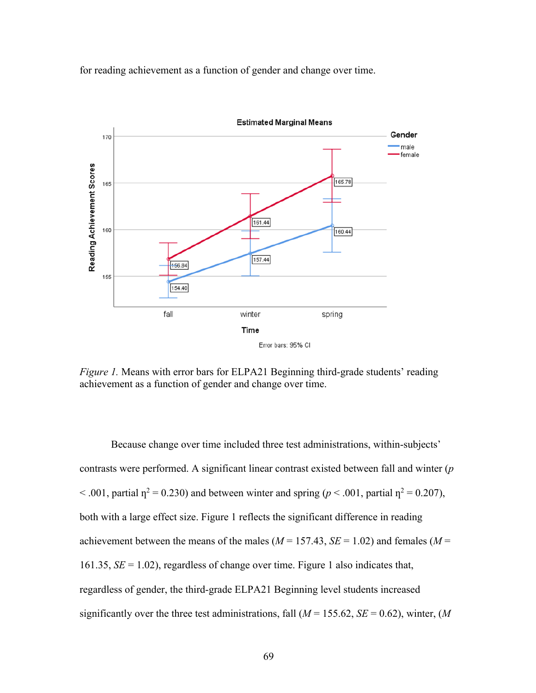for reading achievement as a function of gender and change over time.



*Figure 1.* Means with error bars for ELPA21 Beginning third-grade students' reading achievement as a function of gender and change over time.

Because change over time included three test administrations, within-subjects' contrasts were performed. A significant linear contrast existed between fall and winter (*p*   $< .001$ , partial  $\eta^2 = 0.230$ ) and between winter and spring ( $p < .001$ , partial  $\eta^2 = 0.207$ ), both with a large effect size. Figure 1 reflects the significant difference in reading achievement between the means of the males ( $M = 157.43$ ,  $SE = 1.02$ ) and females ( $M =$ 161.35, *SE* = 1.02), regardless of change over time. Figure 1 also indicates that, regardless of gender, the third-grade ELPA21 Beginning level students increased significantly over the three test administrations, fall  $(M = 155.62, SE = 0.62)$ , winter,  $(M$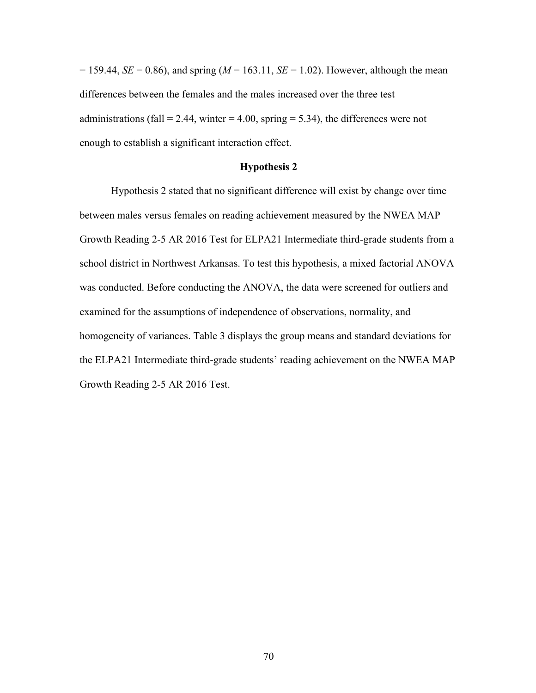$= 159.44$ , *SE* = 0.86), and spring (*M* = 163.11, *SE* = 1.02). However, although the mean differences between the females and the males increased over the three test administrations (fall = 2.44, winter = 4.00, spring = 5.34), the differences were not enough to establish a significant interaction effect.

#### **Hypothesis 2**

Hypothesis 2 stated that no significant difference will exist by change over time between males versus females on reading achievement measured by the NWEA MAP Growth Reading 2-5 AR 2016 Test for ELPA21 Intermediate third-grade students from a school district in Northwest Arkansas. To test this hypothesis, a mixed factorial ANOVA was conducted. Before conducting the ANOVA, the data were screened for outliers and examined for the assumptions of independence of observations, normality, and homogeneity of variances. Table 3 displays the group means and standard deviations for the ELPA21 Intermediate third-grade students' reading achievement on the NWEA MAP Growth Reading 2-5 AR 2016 Test.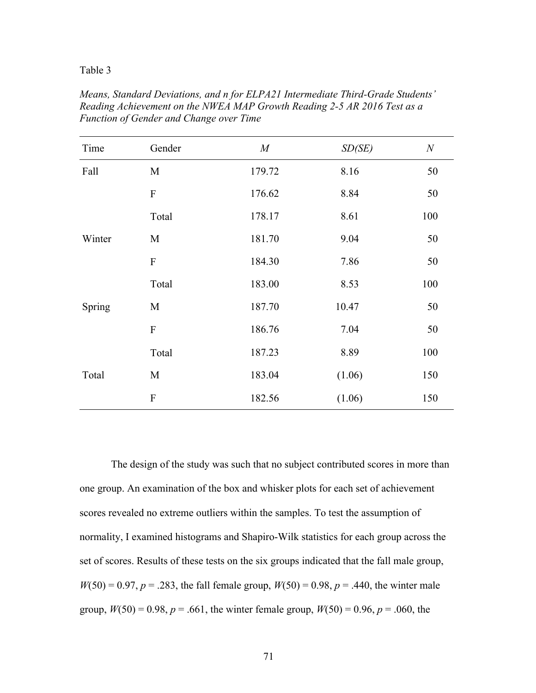#### Table 3

| Time   | Gender                    | M      | SD(SE) | $\boldsymbol{N}$ |
|--------|---------------------------|--------|--------|------------------|
| Fall   | $\mathbf M$               | 179.72 | 8.16   | 50               |
|        | $\boldsymbol{\mathrm{F}}$ | 176.62 | 8.84   | 50               |
|        | Total                     | 178.17 | 8.61   | 100              |
| Winter | M                         | 181.70 | 9.04   | 50               |
|        | ${\bf F}$                 | 184.30 | 7.86   | 50               |
|        | Total                     | 183.00 | 8.53   | 100              |
| Spring | M                         | 187.70 | 10.47  | 50               |
|        | ${\bf F}$                 | 186.76 | 7.04   | 50               |
|        | Total                     | 187.23 | 8.89   | 100              |
| Total  | M                         | 183.04 | (1.06) | 150              |
|        | ${\bf F}$                 | 182.56 | (1.06) | 150              |

*Means, Standard Deviations, and n for ELPA21 Intermediate Third-Grade Students' Reading Achievement on the NWEA MAP Growth Reading 2-5 AR 2016 Test as a Function of Gender and Change over Time*

The design of the study was such that no subject contributed scores in more than one group. An examination of the box and whisker plots for each set of achievement scores revealed no extreme outliers within the samples. To test the assumption of normality, I examined histograms and Shapiro-Wilk statistics for each group across the set of scores. Results of these tests on the six groups indicated that the fall male group,  $W(50) = 0.97, p = .283$ , the fall female group,  $W(50) = 0.98, p = .440$ , the winter male group,  $W(50) = 0.98$ ,  $p = .661$ , the winter female group,  $W(50) = 0.96$ ,  $p = .060$ , the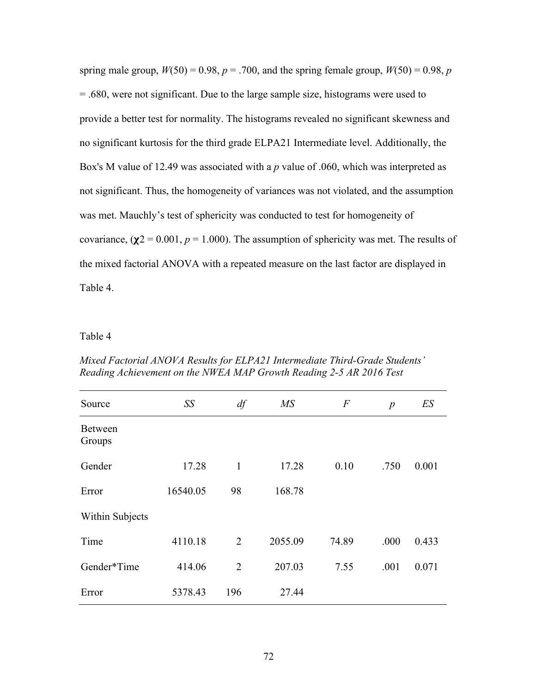spring male group,  $W(50) = 0.98$ ,  $p = .700$ , and the spring female group,  $W(50) = 0.98$ , *p* = .680, were not significant. Due to the large sample size, histograms were used to provide a better test for normality. The histograms revealed no significant skewness and no significant kurtosis for the third grade ELPA21 Intermediate level. Additionally, the Box's M value of 12.49 was associated with a *p* value of .060, which was interpreted as not significant. Thus, the homogeneity of variances was not violated, and the assumption was met. Mauchly's test of sphericity was conducted to test for homogeneity of covariance,  $(\chi^2 = 0.001, p = 1.000)$ . The assumption of sphericity was met. The results of the mixed factorial ANOVA with a repeated measure on the last factor are displayed in Table 4.

# Table 4

| Mixed Factorial ANOVA Results for ELPA21 Intermediate Third-Grade Students' |
|-----------------------------------------------------------------------------|
| Reading Achievement on the NWEA MAP Growth Reading 2-5 AR 2016 Test         |
|                                                                             |
|                                                                             |

| Source                   | SS       | df           | MS      | $\overline{F}$ | $\boldsymbol{p}$ | ES    |
|--------------------------|----------|--------------|---------|----------------|------------------|-------|
| <b>Between</b><br>Groups |          |              |         |                |                  |       |
| Gender                   | 17.28    | $\mathbf{1}$ | 17.28   | 0.10           | .750             | 0.001 |
| Error                    | 16540.05 | 98           | 168.78  |                |                  |       |
| Within Subjects          |          |              |         |                |                  |       |
| Time                     | 4110.18  | 2            | 2055.09 | 74.89          | .000             | 0.433 |
| Gender*Time              | 414.06   | 2            | 207.03  | 7.55           | .001             | 0.071 |
| Error                    | 5378.43  | 196          | 27.44   |                |                  |       |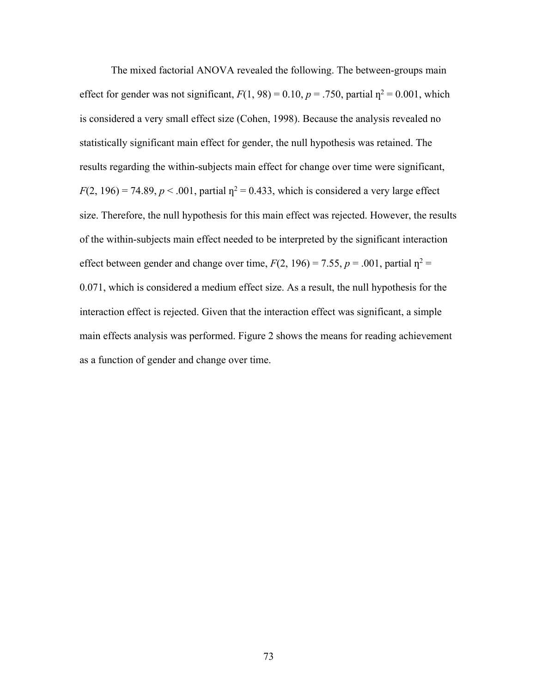The mixed factorial ANOVA revealed the following. The between-groups main effect for gender was not significant,  $F(1, 98) = 0.10$ ,  $p = .750$ , partial  $p^2 = 0.001$ , which is considered a very small effect size (Cohen, 1998). Because the analysis revealed no statistically significant main effect for gender, the null hypothesis was retained. The results regarding the within-subjects main effect for change over time were significant,  $F(2, 196) = 74.89$ ,  $p < .001$ , partial  $\eta^2 = 0.433$ , which is considered a very large effect size. Therefore, the null hypothesis for this main effect was rejected. However, the results of the within-subjects main effect needed to be interpreted by the significant interaction effect between gender and change over time,  $F(2, 196) = 7.55$ ,  $p = .001$ , partial  $\eta^2 =$ 0.071, which is considered a medium effect size. As a result, the null hypothesis for the interaction effect is rejected. Given that the interaction effect was significant, a simple main effects analysis was performed. Figure 2 shows the means for reading achievement as a function of gender and change over time.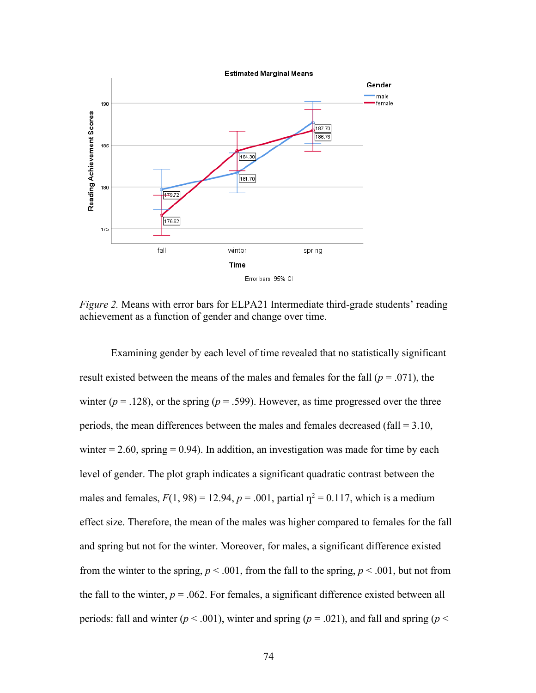

*Figure 2.* Means with error bars for ELPA21 Intermediate third-grade students' reading achievement as a function of gender and change over time.

Examining gender by each level of time revealed that no statistically significant result existed between the means of the males and females for the fall (*p* = .071), the winter ( $p = .128$ ), or the spring ( $p = .599$ ). However, as time progressed over the three periods, the mean differences between the males and females decreased (fall = 3.10, winter  $= 2.60$ , spring  $= 0.94$ ). In addition, an investigation was made for time by each level of gender. The plot graph indicates a significant quadratic contrast between the males and females,  $F(1, 98) = 12.94$ ,  $p = .001$ , partial  $p^2 = 0.117$ , which is a medium effect size. Therefore, the mean of the males was higher compared to females for the fall and spring but not for the winter. Moreover, for males, a significant difference existed from the winter to the spring,  $p < .001$ , from the fall to the spring,  $p < .001$ , but not from the fall to the winter,  $p = .062$ . For females, a significant difference existed between all periods: fall and winter ( $p < .001$ ), winter and spring ( $p = .021$ ), and fall and spring ( $p <$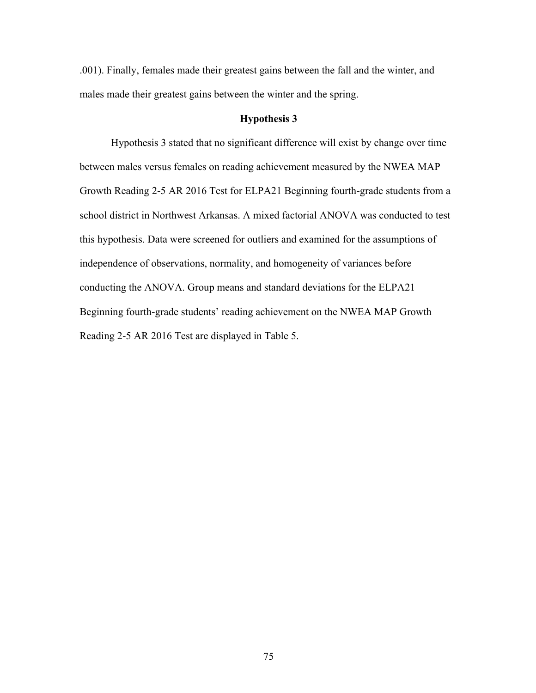.001). Finally, females made their greatest gains between the fall and the winter, and males made their greatest gains between the winter and the spring.

#### **Hypothesis 3**

Hypothesis 3 stated that no significant difference will exist by change over time between males versus females on reading achievement measured by the NWEA MAP Growth Reading 2-5 AR 2016 Test for ELPA21 Beginning fourth-grade students from a school district in Northwest Arkansas. A mixed factorial ANOVA was conducted to test this hypothesis. Data were screened for outliers and examined for the assumptions of independence of observations, normality, and homogeneity of variances before conducting the ANOVA. Group means and standard deviations for the ELPA21 Beginning fourth-grade students' reading achievement on the NWEA MAP Growth Reading 2-5 AR 2016 Test are displayed in Table 5.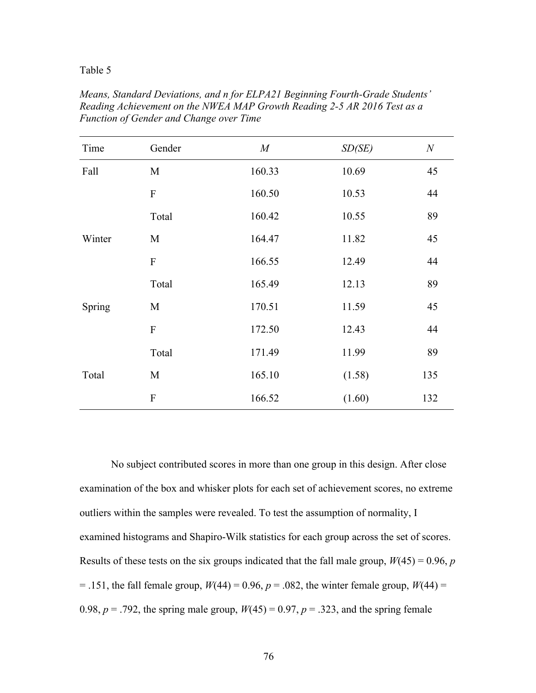#### Table 5

| Time   | Gender    | M      | SD(SE) | $\boldsymbol{N}$ |
|--------|-----------|--------|--------|------------------|
| Fall   | M         | 160.33 | 10.69  | 45               |
|        | ${\bf F}$ | 160.50 | 10.53  | 44               |
|        | Total     | 160.42 | 10.55  | 89               |
| Winter | M         | 164.47 | 11.82  | 45               |
|        | ${\bf F}$ | 166.55 | 12.49  | 44               |
|        | Total     | 165.49 | 12.13  | 89               |
| Spring | M         | 170.51 | 11.59  | 45               |
|        | ${\bf F}$ | 172.50 | 12.43  | 44               |
|        | Total     | 171.49 | 11.99  | 89               |
| Total  | M         | 165.10 | (1.58) | 135              |
|        | ${\bf F}$ | 166.52 | (1.60) | 132              |

*Means, Standard Deviations, and n for ELPA21 Beginning Fourth-Grade Students' Reading Achievement on the NWEA MAP Growth Reading 2-5 AR 2016 Test as a Function of Gender and Change over Time*

No subject contributed scores in more than one group in this design. After close examination of the box and whisker plots for each set of achievement scores, no extreme outliers within the samples were revealed. To test the assumption of normality, I examined histograms and Shapiro-Wilk statistics for each group across the set of scores. Results of these tests on the six groups indicated that the fall male group,  $W(45) = 0.96$ , *p*  $=$  .151, the fall female group,  $W(44) = 0.96$ ,  $p = .082$ , the winter female group,  $W(44) =$ 0.98,  $p = .792$ , the spring male group,  $W(45) = 0.97$ ,  $p = .323$ , and the spring female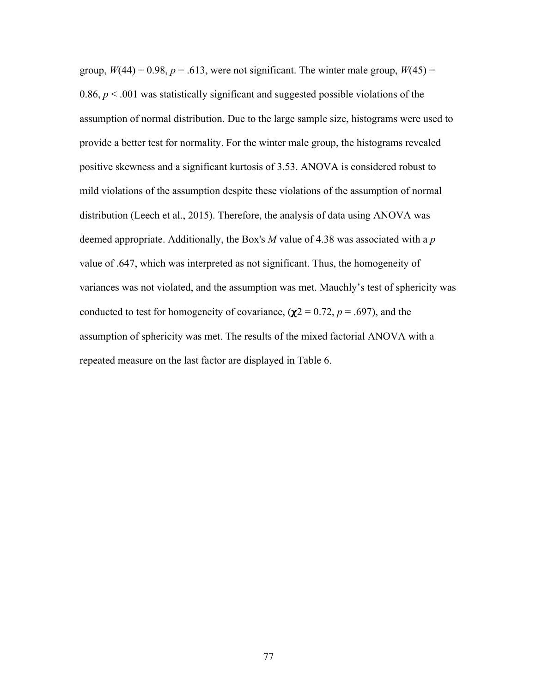group,  $W(44) = 0.98$ ,  $p = .613$ , were not significant. The winter male group,  $W(45) =$ 0.86,  $p < 0.001$  was statistically significant and suggested possible violations of the assumption of normal distribution. Due to the large sample size, histograms were used to provide a better test for normality. For the winter male group, the histograms revealed positive skewness and a significant kurtosis of 3.53. ANOVA is considered robust to mild violations of the assumption despite these violations of the assumption of normal distribution (Leech et al., 2015). Therefore, the analysis of data using ANOVA was deemed appropriate. Additionally, the Box's *M* value of 4.38 was associated with a *p* value of .647, which was interpreted as not significant. Thus, the homogeneity of variances was not violated, and the assumption was met. Mauchly's test of sphericity was conducted to test for homogeneity of covariance,  $(\chi^2 = 0.72, p = .697)$ , and the assumption of sphericity was met. The results of the mixed factorial ANOVA with a repeated measure on the last factor are displayed in Table 6.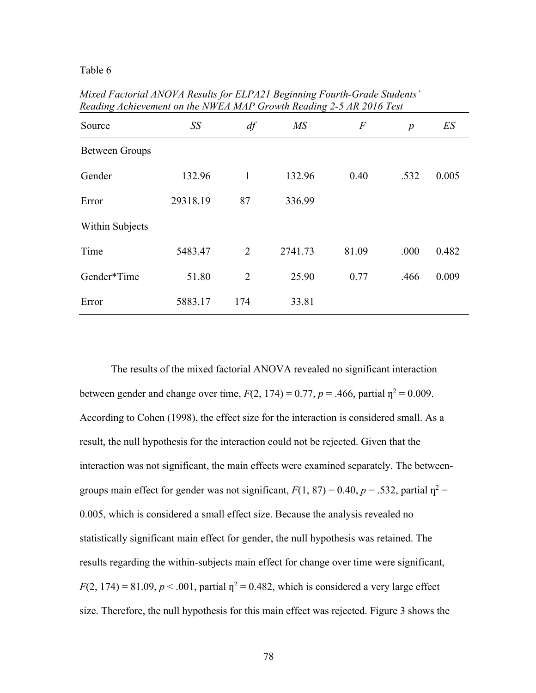### Table 6

*Mixed Factorial ANOVA Results for ELPA21 Beginning Fourth-Grade Students' Reading Achievement on the NWEA MAP Growth Reading 2-5 AR 2016 Test*

| Source          | SS       | df           | MS      | $\overline{F}$ | $\boldsymbol{p}$ | ES    |
|-----------------|----------|--------------|---------|----------------|------------------|-------|
| Between Groups  |          |              |         |                |                  |       |
| Gender          | 132.96   | $\mathbf{1}$ | 132.96  | 0.40           | .532             | 0.005 |
| Error           | 29318.19 | 87           | 336.99  |                |                  |       |
| Within Subjects |          |              |         |                |                  |       |
| Time            | 5483.47  | 2            | 2741.73 | 81.09          | .000             | 0.482 |
| Gender*Time     | 51.80    | 2            | 25.90   | 0.77           | .466             | 0.009 |
| Error           | 5883.17  | 174          | 33.81   |                |                  |       |

The results of the mixed factorial ANOVA revealed no significant interaction between gender and change over time,  $F(2, 174) = 0.77$ ,  $p = .466$ , partial  $p^2 = 0.009$ . According to Cohen (1998), the effect size for the interaction is considered small. As a result, the null hypothesis for the interaction could not be rejected. Given that the interaction was not significant, the main effects were examined separately. The betweengroups main effect for gender was not significant,  $F(1, 87) = 0.40$ ,  $p = .532$ , partial  $p^2 =$ 0.005, which is considered a small effect size. Because the analysis revealed no statistically significant main effect for gender, the null hypothesis was retained. The results regarding the within-subjects main effect for change over time were significant,  $F(2, 174) = 81.09, p < .001$ , partial  $p^2 = 0.482$ , which is considered a very large effect size. Therefore, the null hypothesis for this main effect was rejected. Figure 3 shows the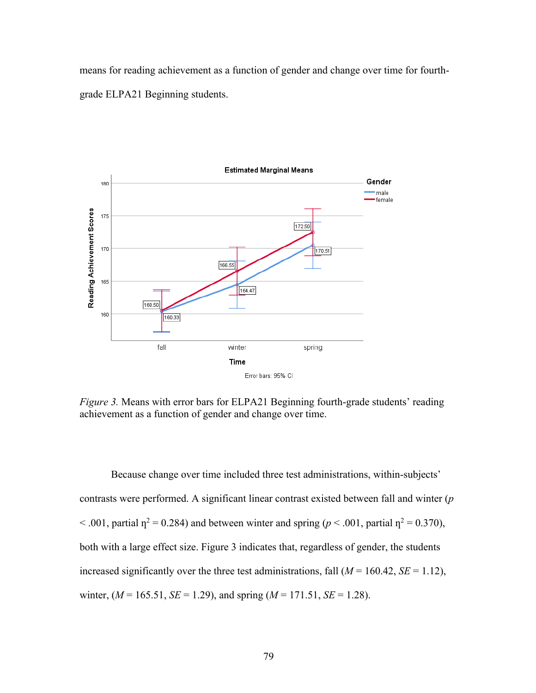means for reading achievement as a function of gender and change over time for fourthgrade ELPA21 Beginning students.



*Figure 3.* Means with error bars for ELPA21 Beginning fourth-grade students' reading achievement as a function of gender and change over time.

Because change over time included three test administrations, within-subjects' contrasts were performed. A significant linear contrast existed between fall and winter (*p*  $< .001$ , partial  $\eta^2 = 0.284$ ) and between winter and spring ( $p < .001$ , partial  $\eta^2 = 0.370$ ), both with a large effect size. Figure 3 indicates that, regardless of gender, the students increased significantly over the three test administrations, fall  $(M = 160.42, SE = 1.12)$ , winter,  $(M = 165.51, SE = 1.29)$ , and spring  $(M = 171.51, SE = 1.28)$ .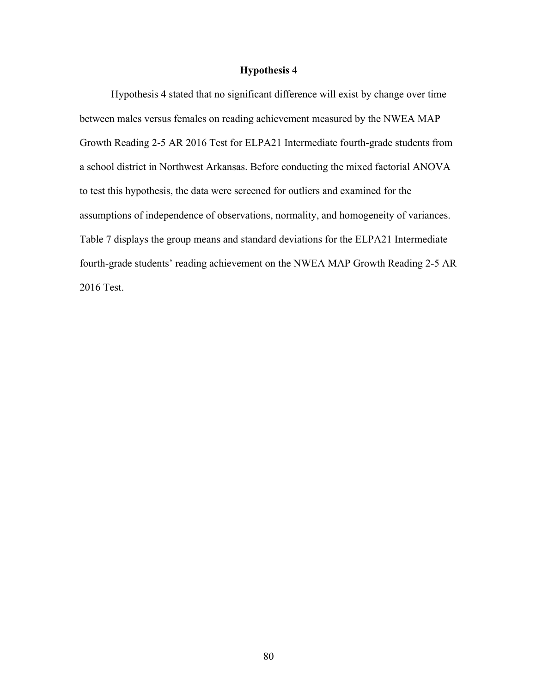# **Hypothesis 4**

Hypothesis 4 stated that no significant difference will exist by change over time between males versus females on reading achievement measured by the NWEA MAP Growth Reading 2-5 AR 2016 Test for ELPA21 Intermediate fourth-grade students from a school district in Northwest Arkansas. Before conducting the mixed factorial ANOVA to test this hypothesis, the data were screened for outliers and examined for the assumptions of independence of observations, normality, and homogeneity of variances. Table 7 displays the group means and standard deviations for the ELPA21 Intermediate fourth-grade students' reading achievement on the NWEA MAP Growth Reading 2-5 AR 2016 Test.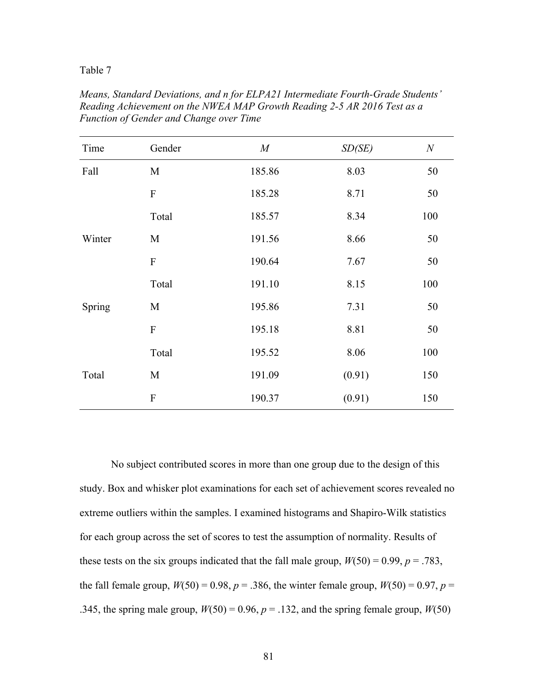Table 7

| Time   | Gender    | $\boldsymbol{M}$ | SD(SE) | $\boldsymbol{N}$ |
|--------|-----------|------------------|--------|------------------|
| Fall   | M         | 185.86           | 8.03   | 50               |
|        | ${\bf F}$ | 185.28           | 8.71   | 50               |
|        | Total     | 185.57           | 8.34   | 100              |
| Winter | M         | 191.56           | 8.66   | 50               |
|        | ${\bf F}$ | 190.64           | 7.67   | 50               |
|        | Total     | 191.10           | 8.15   | 100              |
| Spring | M         | 195.86           | 7.31   | 50               |
|        | ${\bf F}$ | 195.18           | 8.81   | 50               |
|        | Total     | 195.52           | 8.06   | 100              |
| Total  | M         | 191.09           | (0.91) | 150              |
|        | ${\bf F}$ | 190.37           | (0.91) | 150              |

*Means, Standard Deviations, and n for ELPA21 Intermediate Fourth-Grade Students' Reading Achievement on the NWEA MAP Growth Reading 2-5 AR 2016 Test as a Function of Gender and Change over Time*

No subject contributed scores in more than one group due to the design of this study. Box and whisker plot examinations for each set of achievement scores revealed no extreme outliers within the samples. I examined histograms and Shapiro-Wilk statistics for each group across the set of scores to test the assumption of normality. Results of these tests on the six groups indicated that the fall male group,  $W(50) = 0.99$ ,  $p = .783$ , the fall female group,  $W(50) = 0.98$ ,  $p = 0.386$ , the winter female group,  $W(50) = 0.97$ ,  $p = 0.97$ .345, the spring male group,  $W(50) = 0.96$ ,  $p = .132$ , and the spring female group,  $W(50)$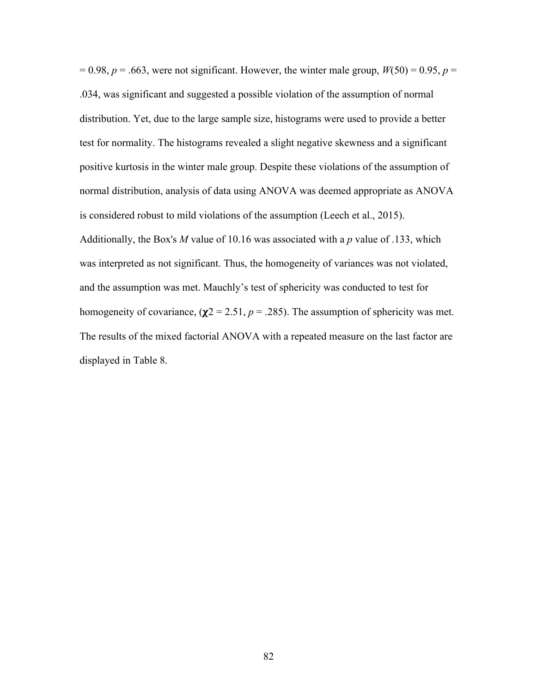$= 0.98$ ,  $p = .663$ , were not significant. However, the winter male group,  $W(50) = 0.95$ ,  $p =$ .034, was significant and suggested a possible violation of the assumption of normal distribution. Yet, due to the large sample size, histograms were used to provide a better test for normality. The histograms revealed a slight negative skewness and a significant positive kurtosis in the winter male group. Despite these violations of the assumption of normal distribution, analysis of data using ANOVA was deemed appropriate as ANOVA is considered robust to mild violations of the assumption (Leech et al., 2015). Additionally, the Box's *M* value of 10.16 was associated with a *p* value of .133, which was interpreted as not significant. Thus, the homogeneity of variances was not violated, and the assumption was met. Mauchly's test of sphericity was conducted to test for homogeneity of covariance,  $(\chi^2 = 2.51, p = .285)$ . The assumption of sphericity was met. The results of the mixed factorial ANOVA with a repeated measure on the last factor are displayed in Table 8.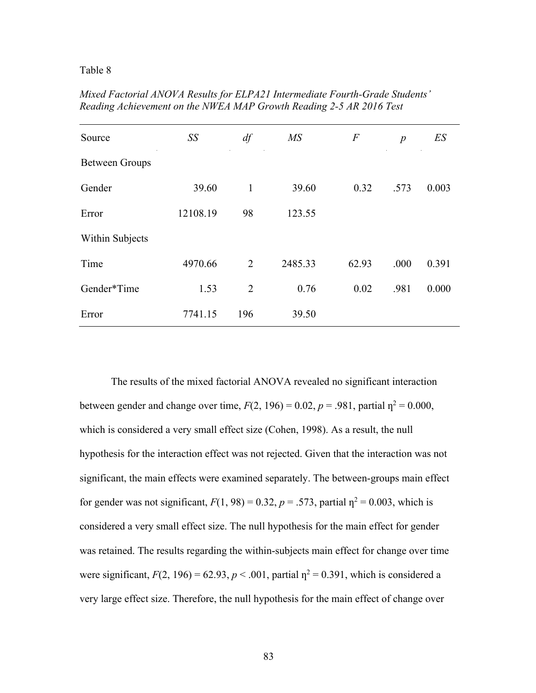#### Table 8

| Source                | SS       | df             | MS      | $\boldsymbol{F}$ | $\boldsymbol{p}$ | ES    |
|-----------------------|----------|----------------|---------|------------------|------------------|-------|
| <b>Between Groups</b> |          |                |         |                  |                  |       |
| Gender                | 39.60    | $\mathbf{1}$   | 39.60   | 0.32             | .573             | 0.003 |
| Error                 | 12108.19 | 98             | 123.55  |                  |                  |       |
| Within Subjects       |          |                |         |                  |                  |       |
| Time                  | 4970.66  | 2              | 2485.33 | 62.93            | .000             | 0.391 |
| Gender*Time           | 1.53     | $\overline{2}$ | 0.76    | 0.02             | .981             | 0.000 |
| Error                 | 7741.15  | 196            | 39.50   |                  |                  |       |

*Mixed Factorial ANOVA Results for ELPA21 Intermediate Fourth-Grade Students' Reading Achievement on the NWEA MAP Growth Reading 2-5 AR 2016 Test*

The results of the mixed factorial ANOVA revealed no significant interaction between gender and change over time,  $F(2, 196) = 0.02$ ,  $p = .981$ , partial  $n^2 = 0.000$ , which is considered a very small effect size (Cohen, 1998). As a result, the null hypothesis for the interaction effect was not rejected. Given that the interaction was not significant, the main effects were examined separately. The between-groups main effect for gender was not significant,  $F(1, 98) = 0.32$ ,  $p = .573$ , partial  $n^2 = 0.003$ , which is considered a very small effect size. The null hypothesis for the main effect for gender was retained. The results regarding the within-subjects main effect for change over time were significant,  $F(2, 196) = 62.93$ ,  $p < .001$ , partial  $\eta^2 = 0.391$ , which is considered a very large effect size. Therefore, the null hypothesis for the main effect of change over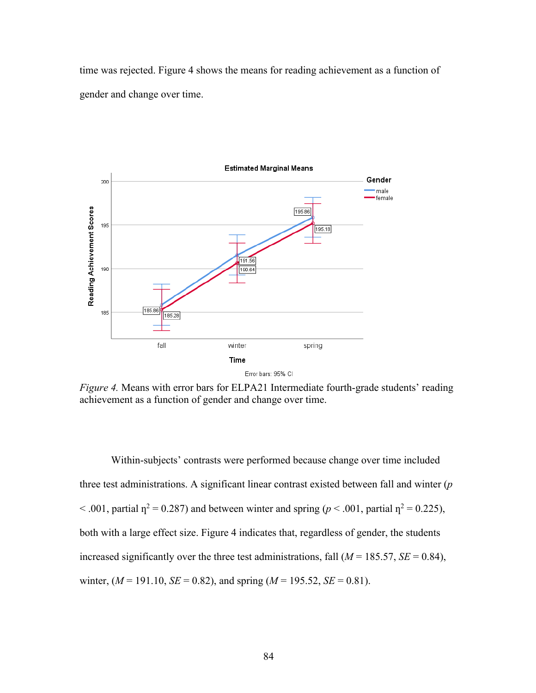time was rejected. Figure 4 shows the means for reading achievement as a function of gender and change over time.



*Figure 4.* Means with error bars for ELPA21 Intermediate fourth-grade students' reading achievement as a function of gender and change over time.

Within-subjects' contrasts were performed because change over time included three test administrations. A significant linear contrast existed between fall and winter (*p*  $< .001$ , partial  $\eta^2 = 0.287$ ) and between winter and spring ( $p < .001$ , partial  $\eta^2 = 0.225$ ), both with a large effect size. Figure 4 indicates that, regardless of gender, the students increased significantly over the three test administrations, fall  $(M = 185.57, SE = 0.84)$ , winter,  $(M = 191.10, \text{ SE} = 0.82)$ , and spring  $(M = 195.52, \text{ SE} = 0.81)$ .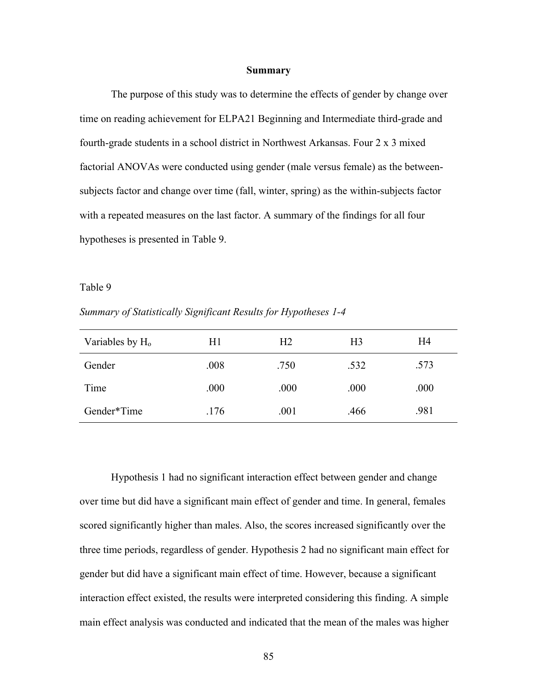#### **Summary**

The purpose of this study was to determine the effects of gender by change over time on reading achievement for ELPA21 Beginning and Intermediate third-grade and fourth-grade students in a school district in Northwest Arkansas. Four 2 x 3 mixed factorial ANOVAs were conducted using gender (male versus female) as the betweensubjects factor and change over time (fall, winter, spring) as the within-subjects factor with a repeated measures on the last factor. A summary of the findings for all four hypotheses is presented in Table 9.

#### Table 9

*Summary of Statistically Significant Results for Hypotheses 1-4*

| Variables by $H_0$ | H1   | H <sub>2</sub> | H <sub>3</sub> | H4   |
|--------------------|------|----------------|----------------|------|
| Gender             | .008 | .750           | .532           | .573 |
| Time               | .000 | .000           | .000           | .000 |
| Gender*Time        | .176 | .001           | .466           | .981 |

Hypothesis 1 had no significant interaction effect between gender and change over time but did have a significant main effect of gender and time. In general, females scored significantly higher than males. Also, the scores increased significantly over the three time periods, regardless of gender. Hypothesis 2 had no significant main effect for gender but did have a significant main effect of time. However, because a significant interaction effect existed, the results were interpreted considering this finding. A simple main effect analysis was conducted and indicated that the mean of the males was higher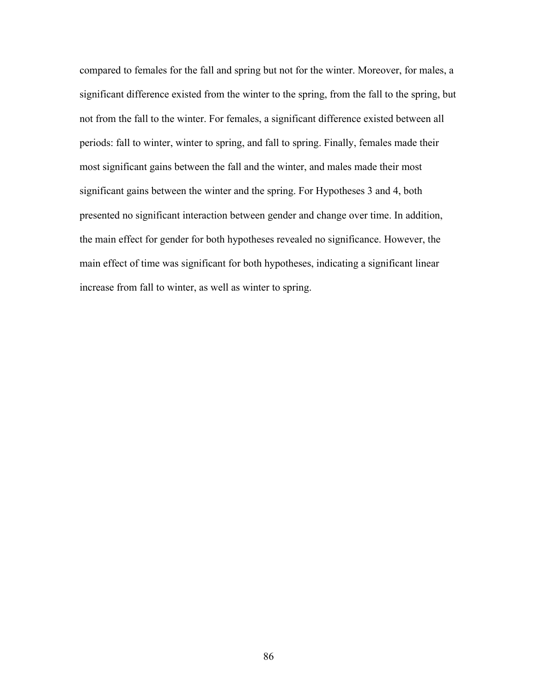compared to females for the fall and spring but not for the winter. Moreover, for males, a significant difference existed from the winter to the spring, from the fall to the spring, but not from the fall to the winter. For females, a significant difference existed between all periods: fall to winter, winter to spring, and fall to spring. Finally, females made their most significant gains between the fall and the winter, and males made their most significant gains between the winter and the spring. For Hypotheses 3 and 4, both presented no significant interaction between gender and change over time. In addition, the main effect for gender for both hypotheses revealed no significance. However, the main effect of time was significant for both hypotheses, indicating a significant linear increase from fall to winter, as well as winter to spring.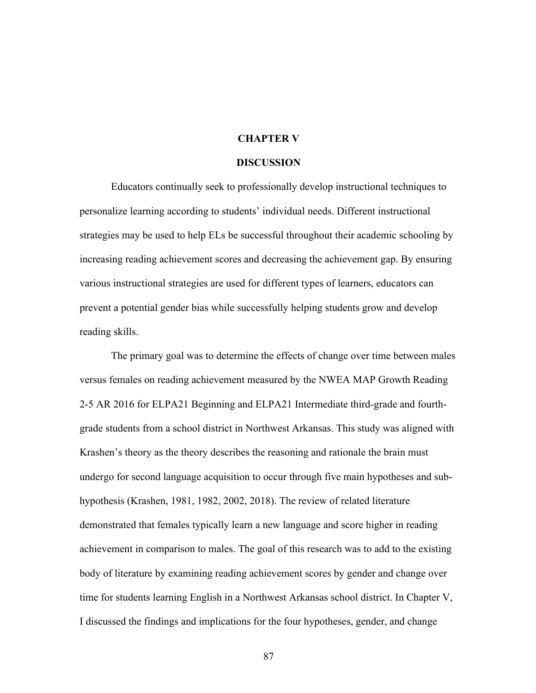#### **CHAPTER V**

### **DISCUSSION**

Educators continually seek to professionally develop instructional techniques to personalize learning according to students' individual needs. Different instructional strategies may be used to help ELs be successful throughout their academic schooling by increasing reading achievement scores and decreasing the achievement gap. By ensuring various instructional strategies are used for different types of learners, educators can prevent a potential gender bias while successfully helping students grow and develop reading skills.

The primary goal was to determine the effects of change over time between males versus females on reading achievement measured by the NWEA MAP Growth Reading 2-5 AR 2016 for ELPA21 Beginning and ELPA21 Intermediate third-grade and fourthgrade students from a school district in Northwest Arkansas. This study was aligned with Krashen's theory as the theory describes the reasoning and rationale the brain must undergo for second language acquisition to occur through five main hypotheses and subhypothesis (Krashen, 1981, 1982, 2002, 2018). The review of related literature demonstrated that females typically learn a new language and score higher in reading achievement in comparison to males. The goal of this research was to add to the existing body of literature by examining reading achievement scores by gender and change over time for students learning English in a Northwest Arkansas school district. In Chapter V, I discussed the findings and implications for the four hypotheses, gender, and change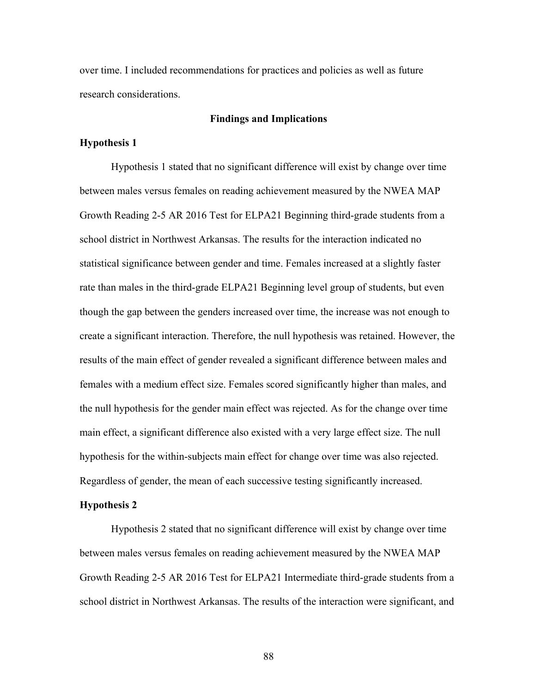over time. I included recommendations for practices and policies as well as future research considerations.

## **Findings and Implications**

#### **Hypothesis 1**

Hypothesis 1 stated that no significant difference will exist by change over time between males versus females on reading achievement measured by the NWEA MAP Growth Reading 2-5 AR 2016 Test for ELPA21 Beginning third-grade students from a school district in Northwest Arkansas. The results for the interaction indicated no statistical significance between gender and time. Females increased at a slightly faster rate than males in the third-grade ELPA21 Beginning level group of students, but even though the gap between the genders increased over time, the increase was not enough to create a significant interaction. Therefore, the null hypothesis was retained. However, the results of the main effect of gender revealed a significant difference between males and females with a medium effect size. Females scored significantly higher than males, and the null hypothesis for the gender main effect was rejected. As for the change over time main effect, a significant difference also existed with a very large effect size. The null hypothesis for the within-subjects main effect for change over time was also rejected. Regardless of gender, the mean of each successive testing significantly increased.

## **Hypothesis 2**

Hypothesis 2 stated that no significant difference will exist by change over time between males versus females on reading achievement measured by the NWEA MAP Growth Reading 2-5 AR 2016 Test for ELPA21 Intermediate third-grade students from a school district in Northwest Arkansas. The results of the interaction were significant, and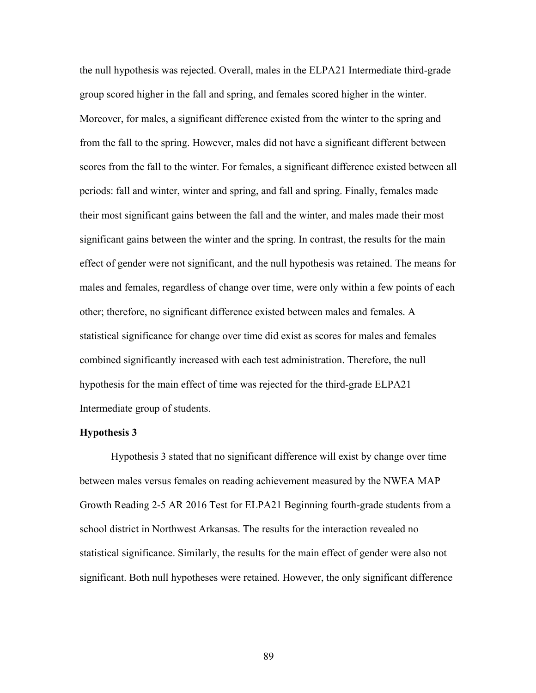the null hypothesis was rejected. Overall, males in the ELPA21 Intermediate third-grade group scored higher in the fall and spring, and females scored higher in the winter. Moreover, for males, a significant difference existed from the winter to the spring and from the fall to the spring. However, males did not have a significant different between scores from the fall to the winter. For females, a significant difference existed between all periods: fall and winter, winter and spring, and fall and spring. Finally, females made their most significant gains between the fall and the winter, and males made their most significant gains between the winter and the spring. In contrast, the results for the main effect of gender were not significant, and the null hypothesis was retained. The means for males and females, regardless of change over time, were only within a few points of each other; therefore, no significant difference existed between males and females. A statistical significance for change over time did exist as scores for males and females combined significantly increased with each test administration. Therefore, the null hypothesis for the main effect of time was rejected for the third-grade ELPA21 Intermediate group of students.

# **Hypothesis 3**

Hypothesis 3 stated that no significant difference will exist by change over time between males versus females on reading achievement measured by the NWEA MAP Growth Reading 2-5 AR 2016 Test for ELPA21 Beginning fourth-grade students from a school district in Northwest Arkansas. The results for the interaction revealed no statistical significance. Similarly, the results for the main effect of gender were also not significant. Both null hypotheses were retained. However, the only significant difference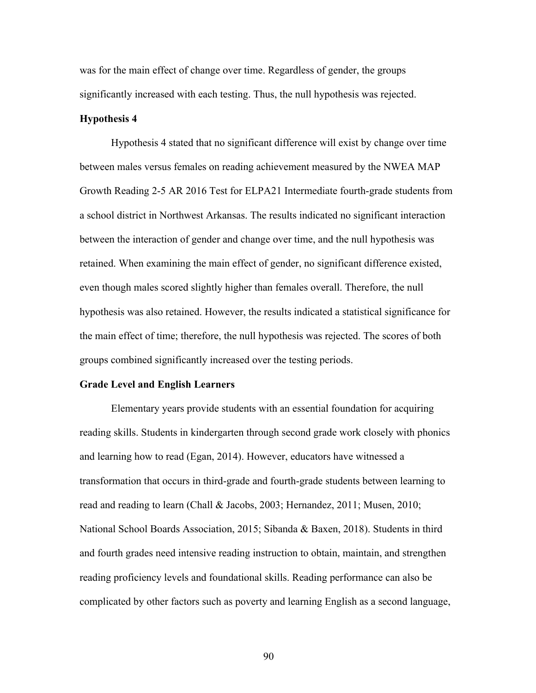was for the main effect of change over time. Regardless of gender, the groups significantly increased with each testing. Thus, the null hypothesis was rejected.

## **Hypothesis 4**

Hypothesis 4 stated that no significant difference will exist by change over time between males versus females on reading achievement measured by the NWEA MAP Growth Reading 2-5 AR 2016 Test for ELPA21 Intermediate fourth-grade students from a school district in Northwest Arkansas. The results indicated no significant interaction between the interaction of gender and change over time, and the null hypothesis was retained. When examining the main effect of gender, no significant difference existed, even though males scored slightly higher than females overall. Therefore, the null hypothesis was also retained. However, the results indicated a statistical significance for the main effect of time; therefore, the null hypothesis was rejected. The scores of both groups combined significantly increased over the testing periods.

### **Grade Level and English Learners**

Elementary years provide students with an essential foundation for acquiring reading skills. Students in kindergarten through second grade work closely with phonics and learning how to read (Egan, 2014). However, educators have witnessed a transformation that occurs in third-grade and fourth-grade students between learning to read and reading to learn (Chall & Jacobs, 2003; Hernandez, 2011; Musen, 2010; National School Boards Association, 2015; Sibanda & Baxen, 2018). Students in third and fourth grades need intensive reading instruction to obtain, maintain, and strengthen reading proficiency levels and foundational skills. Reading performance can also be complicated by other factors such as poverty and learning English as a second language,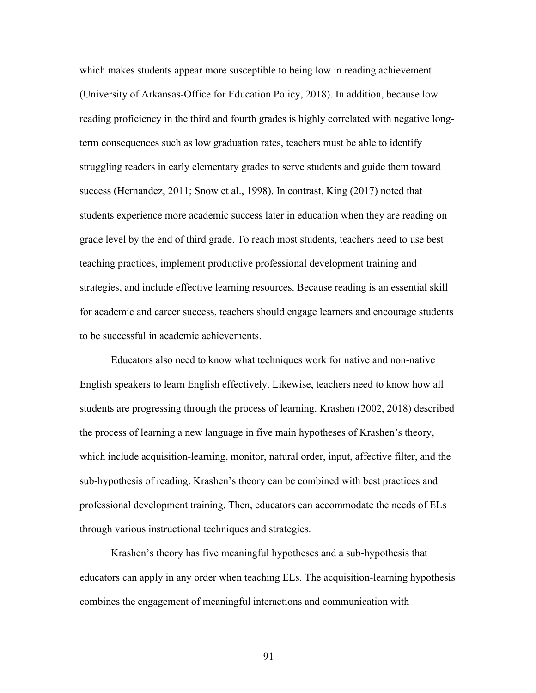which makes students appear more susceptible to being low in reading achievement (University of Arkansas-Office for Education Policy, 2018). In addition, because low reading proficiency in the third and fourth grades is highly correlated with negative longterm consequences such as low graduation rates, teachers must be able to identify struggling readers in early elementary grades to serve students and guide them toward success (Hernandez, 2011; Snow et al., 1998). In contrast, King (2017) noted that students experience more academic success later in education when they are reading on grade level by the end of third grade. To reach most students, teachers need to use best teaching practices, implement productive professional development training and strategies, and include effective learning resources. Because reading is an essential skill for academic and career success, teachers should engage learners and encourage students to be successful in academic achievements.

Educators also need to know what techniques work for native and non-native English speakers to learn English effectively. Likewise, teachers need to know how all students are progressing through the process of learning. Krashen (2002, 2018) described the process of learning a new language in five main hypotheses of Krashen's theory, which include acquisition-learning, monitor, natural order, input, affective filter, and the sub-hypothesis of reading. Krashen's theory can be combined with best practices and professional development training. Then, educators can accommodate the needs of ELs through various instructional techniques and strategies.

Krashen's theory has five meaningful hypotheses and a sub-hypothesis that educators can apply in any order when teaching ELs. The acquisition-learning hypothesis combines the engagement of meaningful interactions and communication with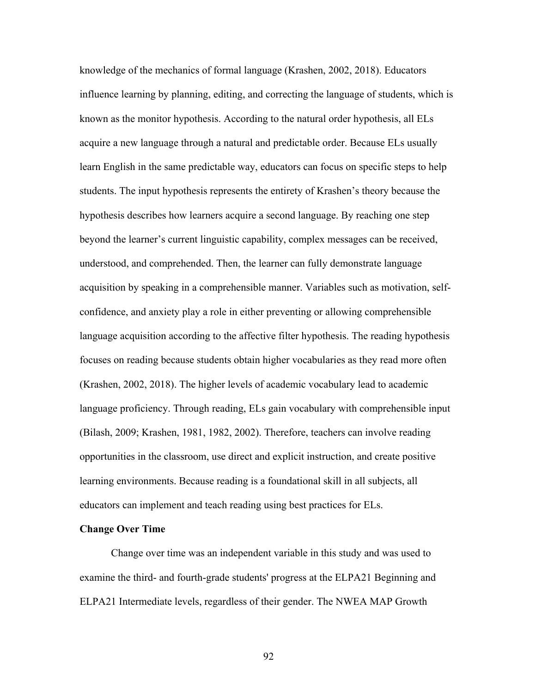knowledge of the mechanics of formal language (Krashen, 2002, 2018). Educators influence learning by planning, editing, and correcting the language of students, which is known as the monitor hypothesis. According to the natural order hypothesis, all ELs acquire a new language through a natural and predictable order. Because ELs usually learn English in the same predictable way, educators can focus on specific steps to help students. The input hypothesis represents the entirety of Krashen's theory because the hypothesis describes how learners acquire a second language. By reaching one step beyond the learner's current linguistic capability, complex messages can be received, understood, and comprehended. Then, the learner can fully demonstrate language acquisition by speaking in a comprehensible manner. Variables such as motivation, selfconfidence, and anxiety play a role in either preventing or allowing comprehensible language acquisition according to the affective filter hypothesis. The reading hypothesis focuses on reading because students obtain higher vocabularies as they read more often (Krashen, 2002, 2018). The higher levels of academic vocabulary lead to academic language proficiency. Through reading, ELs gain vocabulary with comprehensible input (Bilash, 2009; Krashen, 1981, 1982, 2002). Therefore, teachers can involve reading opportunities in the classroom, use direct and explicit instruction, and create positive learning environments. Because reading is a foundational skill in all subjects, all educators can implement and teach reading using best practices for ELs.

## **Change Over Time**

Change over time was an independent variable in this study and was used to examine the third- and fourth-grade students' progress at the ELPA21 Beginning and ELPA21 Intermediate levels, regardless of their gender. The NWEA MAP Growth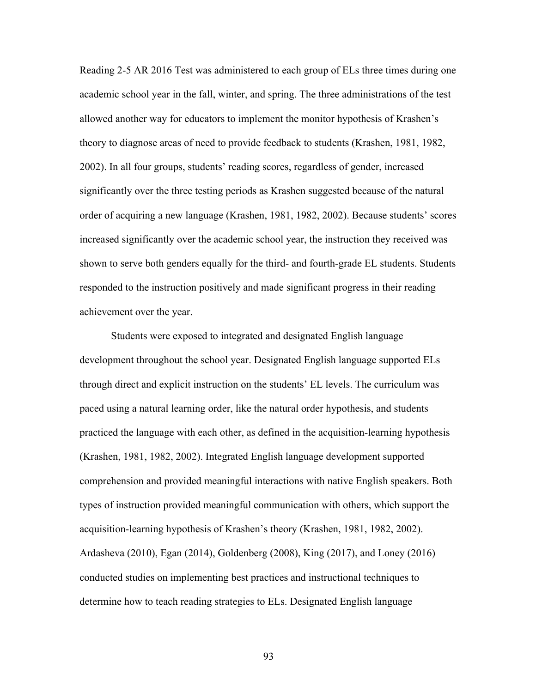Reading 2-5 AR 2016 Test was administered to each group of ELs three times during one academic school year in the fall, winter, and spring. The three administrations of the test allowed another way for educators to implement the monitor hypothesis of Krashen's theory to diagnose areas of need to provide feedback to students (Krashen, 1981, 1982, 2002). In all four groups, students' reading scores, regardless of gender, increased significantly over the three testing periods as Krashen suggested because of the natural order of acquiring a new language (Krashen, 1981, 1982, 2002). Because students' scores increased significantly over the academic school year, the instruction they received was shown to serve both genders equally for the third- and fourth-grade EL students. Students responded to the instruction positively and made significant progress in their reading achievement over the year.

Students were exposed to integrated and designated English language development throughout the school year. Designated English language supported ELs through direct and explicit instruction on the students' EL levels. The curriculum was paced using a natural learning order, like the natural order hypothesis, and students practiced the language with each other, as defined in the acquisition-learning hypothesis (Krashen, 1981, 1982, 2002). Integrated English language development supported comprehension and provided meaningful interactions with native English speakers. Both types of instruction provided meaningful communication with others, which support the acquisition-learning hypothesis of Krashen's theory (Krashen, 1981, 1982, 2002). Ardasheva (2010), Egan (2014), Goldenberg (2008), King (2017), and Loney (2016) conducted studies on implementing best practices and instructional techniques to determine how to teach reading strategies to ELs. Designated English language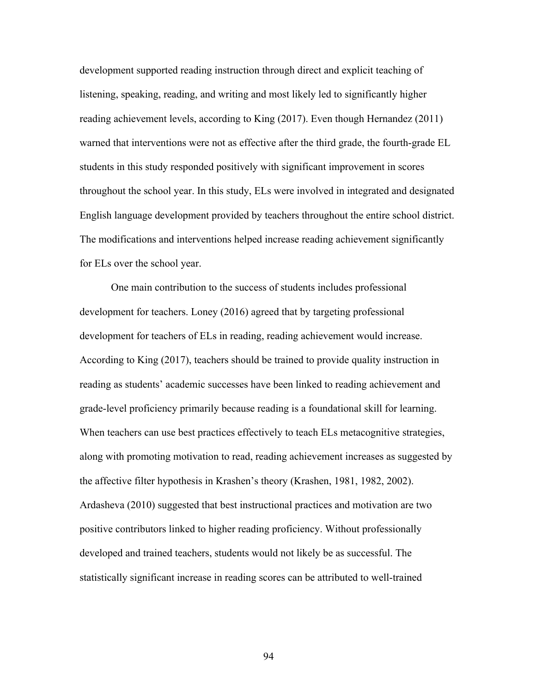development supported reading instruction through direct and explicit teaching of listening, speaking, reading, and writing and most likely led to significantly higher reading achievement levels, according to King (2017). Even though Hernandez (2011) warned that interventions were not as effective after the third grade, the fourth-grade EL students in this study responded positively with significant improvement in scores throughout the school year. In this study, ELs were involved in integrated and designated English language development provided by teachers throughout the entire school district. The modifications and interventions helped increase reading achievement significantly for ELs over the school year.

One main contribution to the success of students includes professional development for teachers. Loney (2016) agreed that by targeting professional development for teachers of ELs in reading, reading achievement would increase. According to King (2017), teachers should be trained to provide quality instruction in reading as students' academic successes have been linked to reading achievement and grade-level proficiency primarily because reading is a foundational skill for learning. When teachers can use best practices effectively to teach ELs metacognitive strategies, along with promoting motivation to read, reading achievement increases as suggested by the affective filter hypothesis in Krashen's theory (Krashen, 1981, 1982, 2002). Ardasheva (2010) suggested that best instructional practices and motivation are two positive contributors linked to higher reading proficiency. Without professionally developed and trained teachers, students would not likely be as successful. The statistically significant increase in reading scores can be attributed to well-trained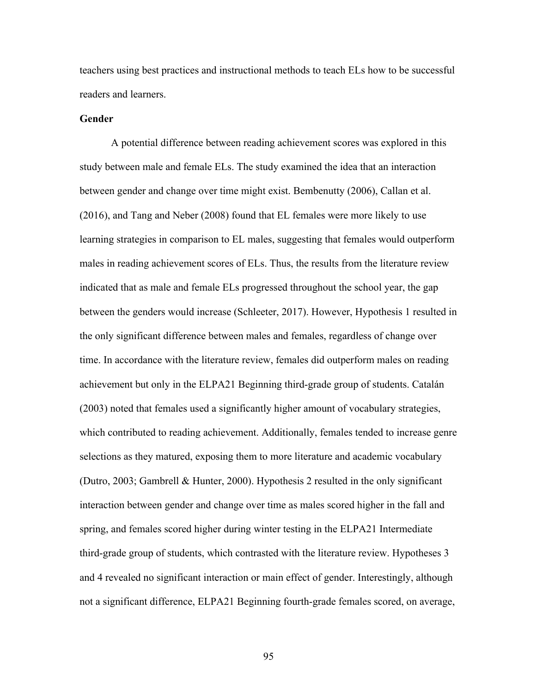teachers using best practices and instructional methods to teach ELs how to be successful readers and learners.

## **Gender**

A potential difference between reading achievement scores was explored in this study between male and female ELs. The study examined the idea that an interaction between gender and change over time might exist. Bembenutty (2006), Callan et al. (2016), and Tang and Neber (2008) found that EL females were more likely to use learning strategies in comparison to EL males, suggesting that females would outperform males in reading achievement scores of ELs. Thus, the results from the literature review indicated that as male and female ELs progressed throughout the school year, the gap between the genders would increase (Schleeter, 2017). However, Hypothesis 1 resulted in the only significant difference between males and females, regardless of change over time. In accordance with the literature review, females did outperform males on reading achievement but only in the ELPA21 Beginning third-grade group of students. Catalán (2003) noted that females used a significantly higher amount of vocabulary strategies, which contributed to reading achievement. Additionally, females tended to increase genre selections as they matured, exposing them to more literature and academic vocabulary (Dutro, 2003; Gambrell & Hunter, 2000). Hypothesis 2 resulted in the only significant interaction between gender and change over time as males scored higher in the fall and spring, and females scored higher during winter testing in the ELPA21 Intermediate third-grade group of students, which contrasted with the literature review. Hypotheses 3 and 4 revealed no significant interaction or main effect of gender. Interestingly, although not a significant difference, ELPA21 Beginning fourth-grade females scored, on average,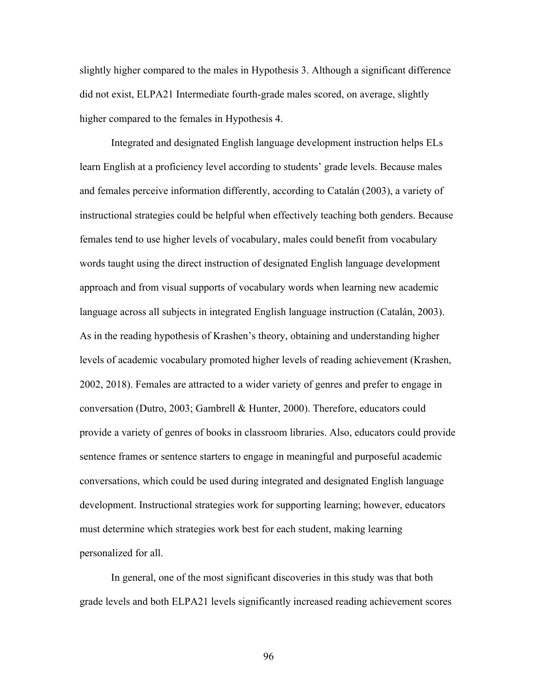slightly higher compared to the males in Hypothesis 3. Although a significant difference did not exist, ELPA21 Intermediate fourth-grade males scored, on average, slightly higher compared to the females in Hypothesis 4.

Integrated and designated English language development instruction helps ELs learn English at a proficiency level according to students' grade levels. Because males and females perceive information differently, according to Catalán (2003), a variety of instructional strategies could be helpful when effectively teaching both genders. Because females tend to use higher levels of vocabulary, males could benefit from vocabulary words taught using the direct instruction of designated English language development approach and from visual supports of vocabulary words when learning new academic language across all subjects in integrated English language instruction (Catalán, 2003). As in the reading hypothesis of Krashen's theory, obtaining and understanding higher levels of academic vocabulary promoted higher levels of reading achievement (Krashen, 2002, 2018). Females are attracted to a wider variety of genres and prefer to engage in conversation (Dutro, 2003; Gambrell & Hunter, 2000). Therefore, educators could provide a variety of genres of books in classroom libraries. Also, educators could provide sentence frames or sentence starters to engage in meaningful and purposeful academic conversations, which could be used during integrated and designated English language development. Instructional strategies work for supporting learning; however, educators must determine which strategies work best for each student, making learning personalized for all.

In general, one of the most significant discoveries in this study was that both grade levels and both ELPA21 levels significantly increased reading achievement scores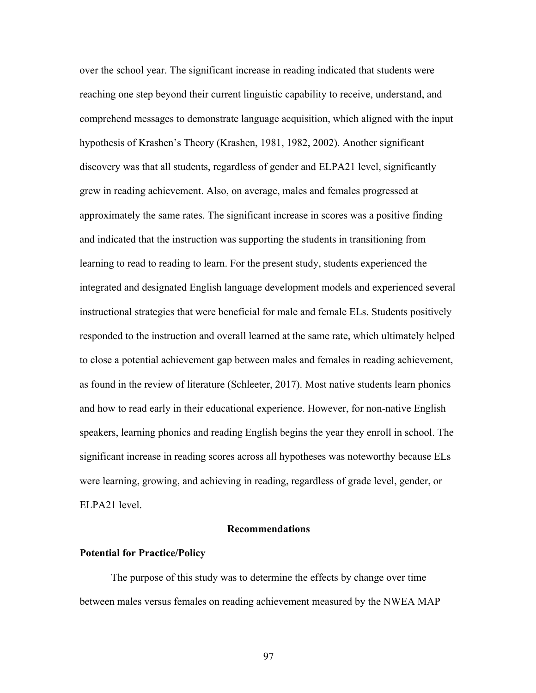over the school year. The significant increase in reading indicated that students were reaching one step beyond their current linguistic capability to receive, understand, and comprehend messages to demonstrate language acquisition, which aligned with the input hypothesis of Krashen's Theory (Krashen, 1981, 1982, 2002). Another significant discovery was that all students, regardless of gender and ELPA21 level, significantly grew in reading achievement. Also, on average, males and females progressed at approximately the same rates. The significant increase in scores was a positive finding and indicated that the instruction was supporting the students in transitioning from learning to read to reading to learn. For the present study, students experienced the integrated and designated English language development models and experienced several instructional strategies that were beneficial for male and female ELs. Students positively responded to the instruction and overall learned at the same rate, which ultimately helped to close a potential achievement gap between males and females in reading achievement, as found in the review of literature (Schleeter, 2017). Most native students learn phonics and how to read early in their educational experience. However, for non-native English speakers, learning phonics and reading English begins the year they enroll in school. The significant increase in reading scores across all hypotheses was noteworthy because ELs were learning, growing, and achieving in reading, regardless of grade level, gender, or ELPA21 level.

# **Recommendations**

# **Potential for Practice/Policy**

The purpose of this study was to determine the effects by change over time between males versus females on reading achievement measured by the NWEA MAP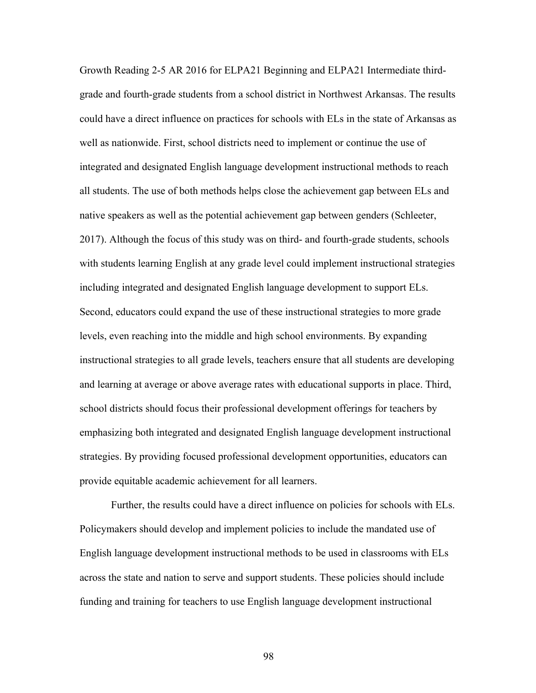Growth Reading 2-5 AR 2016 for ELPA21 Beginning and ELPA21 Intermediate thirdgrade and fourth-grade students from a school district in Northwest Arkansas. The results could have a direct influence on practices for schools with ELs in the state of Arkansas as well as nationwide. First, school districts need to implement or continue the use of integrated and designated English language development instructional methods to reach all students. The use of both methods helps close the achievement gap between ELs and native speakers as well as the potential achievement gap between genders (Schleeter, 2017). Although the focus of this study was on third- and fourth-grade students, schools with students learning English at any grade level could implement instructional strategies including integrated and designated English language development to support ELs. Second, educators could expand the use of these instructional strategies to more grade levels, even reaching into the middle and high school environments. By expanding instructional strategies to all grade levels, teachers ensure that all students are developing and learning at average or above average rates with educational supports in place. Third, school districts should focus their professional development offerings for teachers by emphasizing both integrated and designated English language development instructional strategies. By providing focused professional development opportunities, educators can provide equitable academic achievement for all learners.

Further, the results could have a direct influence on policies for schools with ELs. Policymakers should develop and implement policies to include the mandated use of English language development instructional methods to be used in classrooms with ELs across the state and nation to serve and support students. These policies should include funding and training for teachers to use English language development instructional

98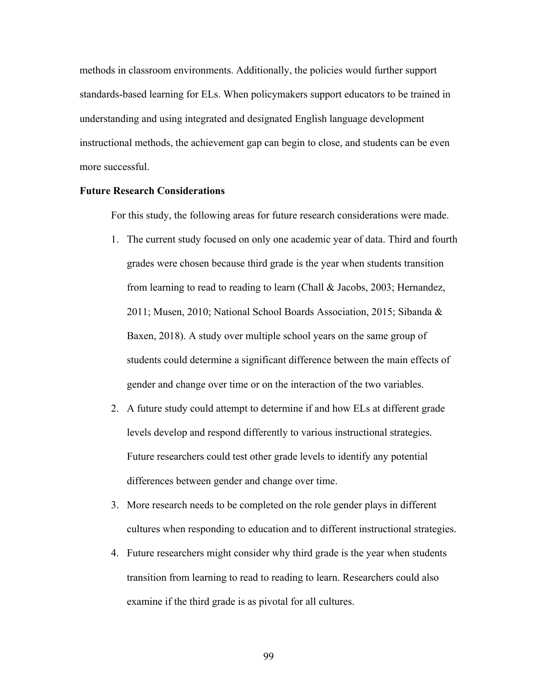methods in classroom environments. Additionally, the policies would further support standards-based learning for ELs. When policymakers support educators to be trained in understanding and using integrated and designated English language development instructional methods, the achievement gap can begin to close, and students can be even more successful.

## **Future Research Considerations**

For this study, the following areas for future research considerations were made.

- 1. The current study focused on only one academic year of data. Third and fourth grades were chosen because third grade is the year when students transition from learning to read to reading to learn (Chall & Jacobs, 2003; Hernandez, 2011; Musen, 2010; National School Boards Association, 2015; Sibanda & Baxen, 2018). A study over multiple school years on the same group of students could determine a significant difference between the main effects of gender and change over time or on the interaction of the two variables.
- 2. A future study could attempt to determine if and how ELs at different grade levels develop and respond differently to various instructional strategies. Future researchers could test other grade levels to identify any potential differences between gender and change over time.
- 3. More research needs to be completed on the role gender plays in different cultures when responding to education and to different instructional strategies.
- 4. Future researchers might consider why third grade is the year when students transition from learning to read to reading to learn. Researchers could also examine if the third grade is as pivotal for all cultures.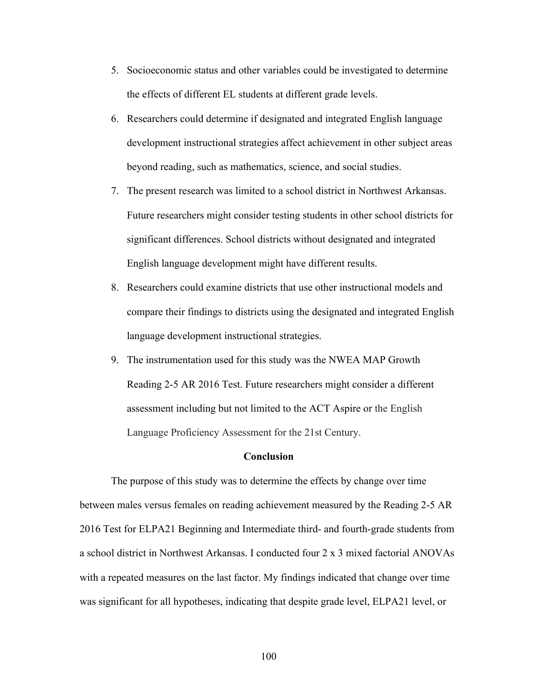- 5. Socioeconomic status and other variables could be investigated to determine the effects of different EL students at different grade levels.
- 6. Researchers could determine if designated and integrated English language development instructional strategies affect achievement in other subject areas beyond reading, such as mathematics, science, and social studies.
- 7. The present research was limited to a school district in Northwest Arkansas. Future researchers might consider testing students in other school districts for significant differences. School districts without designated and integrated English language development might have different results.
- 8. Researchers could examine districts that use other instructional models and compare their findings to districts using the designated and integrated English language development instructional strategies.
- 9. The instrumentation used for this study was the NWEA MAP Growth Reading 2-5 AR 2016 Test. Future researchers might consider a different assessment including but not limited to the ACT Aspire or the English Language Proficiency Assessment for the 21st Century.

## **Conclusion**

The purpose of this study was to determine the effects by change over time between males versus females on reading achievement measured by the Reading 2-5 AR 2016 Test for ELPA21 Beginning and Intermediate third- and fourth-grade students from a school district in Northwest Arkansas. I conducted four 2 x 3 mixed factorial ANOVAs with a repeated measures on the last factor. My findings indicated that change over time was significant for all hypotheses, indicating that despite grade level, ELPA21 level, or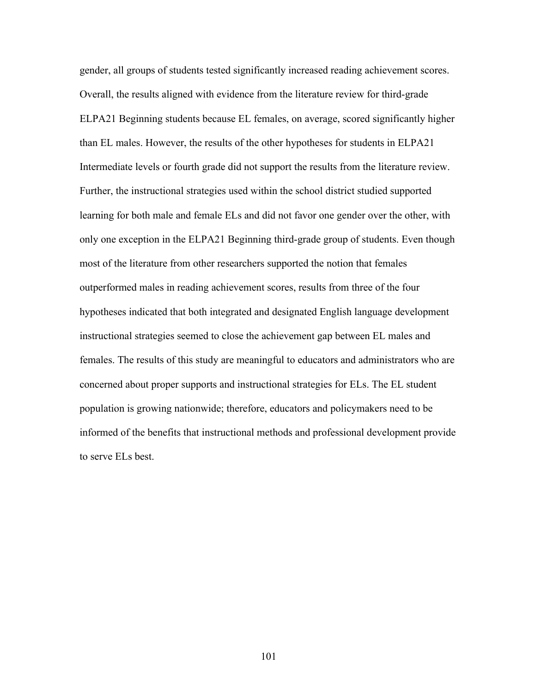gender, all groups of students tested significantly increased reading achievement scores. Overall, the results aligned with evidence from the literature review for third-grade ELPA21 Beginning students because EL females, on average, scored significantly higher than EL males. However, the results of the other hypotheses for students in ELPA21 Intermediate levels or fourth grade did not support the results from the literature review. Further, the instructional strategies used within the school district studied supported learning for both male and female ELs and did not favor one gender over the other, with only one exception in the ELPA21 Beginning third-grade group of students. Even though most of the literature from other researchers supported the notion that females outperformed males in reading achievement scores, results from three of the four hypotheses indicated that both integrated and designated English language development instructional strategies seemed to close the achievement gap between EL males and females. The results of this study are meaningful to educators and administrators who are concerned about proper supports and instructional strategies for ELs. The EL student population is growing nationwide; therefore, educators and policymakers need to be informed of the benefits that instructional methods and professional development provide to serve ELs best.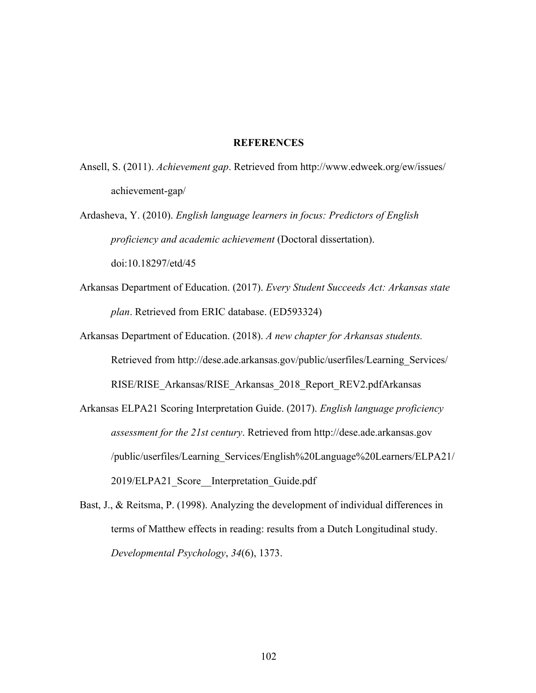## **REFERENCES**

Ansell, S. (2011). *Achievement gap*. Retrieved from http://www.edweek.org/ew/issues/ achievement-gap/

Ardasheva, Y. (2010). *English language learners in focus: Predictors of English proficiency and academic achievement* (Doctoral dissertation). doi:10.18297/etd/45

Arkansas Department of Education. (2017). *Every Student Succeeds Act: Arkansas state plan*. Retrieved from ERIC database. (ED593324)

Arkansas Department of Education. (2018). *A new chapter for Arkansas students.* Retrieved from http://dese.ade.arkansas.gov/public/userfiles/Learning\_Services/ RISE/RISE\_Arkansas/RISE\_Arkansas\_2018\_Report\_REV2.pdfArkansas

Arkansas ELPA21 Scoring Interpretation Guide. (2017). *English language proficiency assessment for the 21st century*. Retrieved from http://dese.ade.arkansas.gov /public/userfiles/Learning\_Services/English%20Language%20Learners/ELPA21/ 2019/ELPA21\_Score\_\_Interpretation\_Guide.pdf

Bast, J., & Reitsma, P. (1998). Analyzing the development of individual differences in terms of Matthew effects in reading: results from a Dutch Longitudinal study. *Developmental Psychology*, *34*(6), 1373.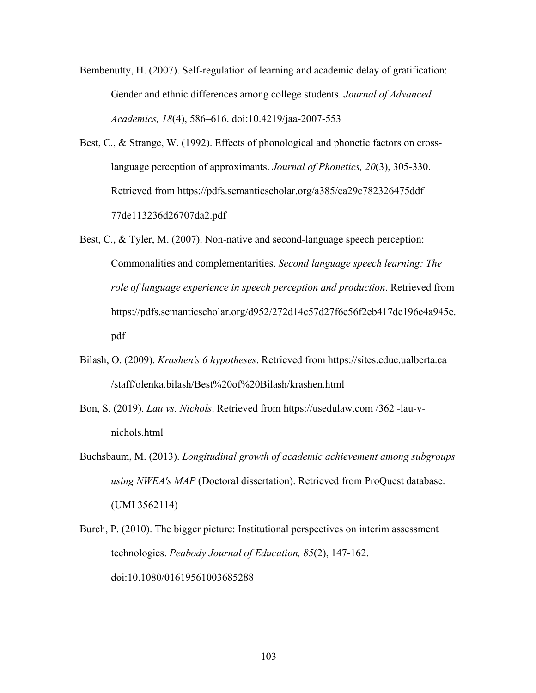Bembenutty, H. (2007). Self-regulation of learning and academic delay of gratification: Gender and ethnic differences among college students. *Journal of Advanced Academics, 18*(4), 586–616. doi:10.4219/jaa-2007-553

Best, C., & Strange, W. (1992). Effects of phonological and phonetic factors on crosslanguage perception of approximants. *Journal of Phonetics, 20*(3), 305-330. Retrieved from https://pdfs.semanticscholar.org/a385/ca29c782326475ddf 77de113236d26707da2.pdf

- Best, C., & Tyler, M. (2007). Non-native and second-language speech perception: Commonalities and complementarities. *Second language speech learning: The role of language experience in speech perception and production*. Retrieved from https://pdfs.semanticscholar.org/d952/272d14c57d27f6e56f2eb417dc196e4a945e. pdf
- Bilash, O. (2009). *Krashen's 6 hypotheses*. Retrieved from https://sites.educ.ualberta.ca /staff/olenka.bilash/Best%20of%20Bilash/krashen.html
- Bon, S. (2019). *Lau vs. Nichols*. Retrieved from https://usedulaw.com /362 -lau-vnichols.html
- Buchsbaum, M. (2013). *Longitudinal growth of academic achievement among subgroups using NWEA's MAP* (Doctoral dissertation). Retrieved from ProQuest database. (UMI 3562114)
- Burch, P. (2010). The bigger picture: Institutional perspectives on interim assessment technologies. *Peabody Journal of Education, 85*(2), 147-162. doi:10.1080/01619561003685288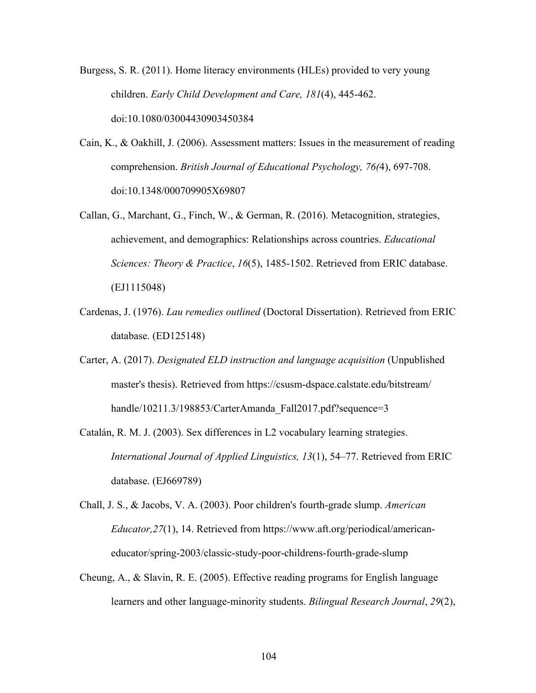Burgess, S. R. (2011). Home literacy environments (HLEs) provided to very young children. *Early Child Development and Care, 181*(4), 445-462. doi:10.1080/03004430903450384

- Cain, K., & Oakhill, J. (2006). Assessment matters: Issues in the measurement of reading comprehension. *British Journal of Educational Psychology, 76(*4), 697-708. doi:10.1348/000709905X69807
- Callan, G., Marchant, G., Finch, W., & German, R. (2016). Metacognition, strategies, achievement, and demographics: Relationships across countries. *Educational Sciences: Theory & Practice*, *16*(5), 1485-1502. Retrieved from ERIC database. (EJ1115048)
- Cardenas, J. (1976). *Lau remedies outlined* (Doctoral Dissertation). Retrieved from ERIC database. (ED125148)
- Carter, A. (2017). *Designated ELD instruction and language acquisition* (Unpublished master's thesis). Retrieved from https://csusm-dspace.calstate.edu/bitstream/ handle/10211.3/198853/CarterAmanda Fall2017.pdf?sequence=3
- Catalán, R. M. J. (2003). Sex differences in L2 vocabulary learning strategies. *International Journal of Applied Linguistics, 13*(1), 54–77. Retrieved from ERIC database. (EJ669789)
- Chall, J. S., & Jacobs, V. A. (2003). Poor children's fourth-grade slump. *American Educator,27*(1), 14. Retrieved from https://www.aft.org/periodical/americaneducator/spring-2003/classic-study-poor-childrens-fourth-grade-slump
- Cheung, A., & Slavin, R. E. (2005). Effective reading programs for English language learners and other language-minority students. *Bilingual Research Journal*, *29*(2),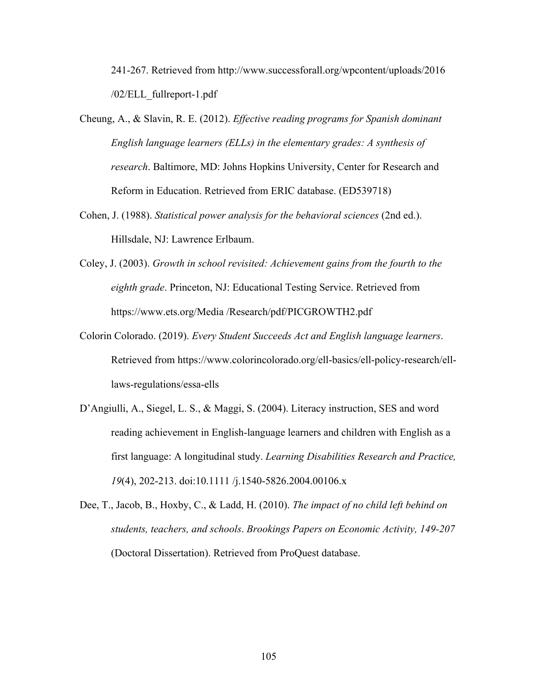241-267. Retrieved from http://www.successforall.org/wpcontent/uploads/2016 /02/ELL\_fullreport-1.pdf

- Cheung, A., & Slavin, R. E. (2012). *Effective reading programs for Spanish dominant English language learners (ELLs) in the elementary grades: A synthesis of research*. Baltimore, MD: Johns Hopkins University, Center for Research and Reform in Education. Retrieved from ERIC database. (ED539718)
- Cohen, J. (1988). *Statistical power analysis for the behavioral sciences* (2nd ed.). Hillsdale, NJ: Lawrence Erlbaum.
- Coley, J. (2003). *Growth in school revisited: Achievement gains from the fourth to the eighth grade*. Princeton, NJ: Educational Testing Service. Retrieved from https://www.ets.org/Media /Research/pdf/PICGROWTH2.pdf
- Colorin Colorado. (2019). *Every Student Succeeds Act and English language learners*. Retrieved from https://www.colorincolorado.org/ell-basics/ell-policy-research/elllaws-regulations/essa-ells
- D'Angiulli, A., Siegel, L. S., & Maggi, S. (2004). Literacy instruction, SES and word reading achievement in English-language learners and children with English as a first language: A longitudinal study. *Learning Disabilities Research and Practice, 19*(4), 202-213. doi:10.1111 /j.1540-5826.2004.00106.x
- Dee, T., Jacob, B., Hoxby, C., & Ladd, H. (2010). *The impact of no child left behind on students, teachers, and schools*. *Brookings Papers on Economic Activity, 149-207* (Doctoral Dissertation). Retrieved from ProQuest database.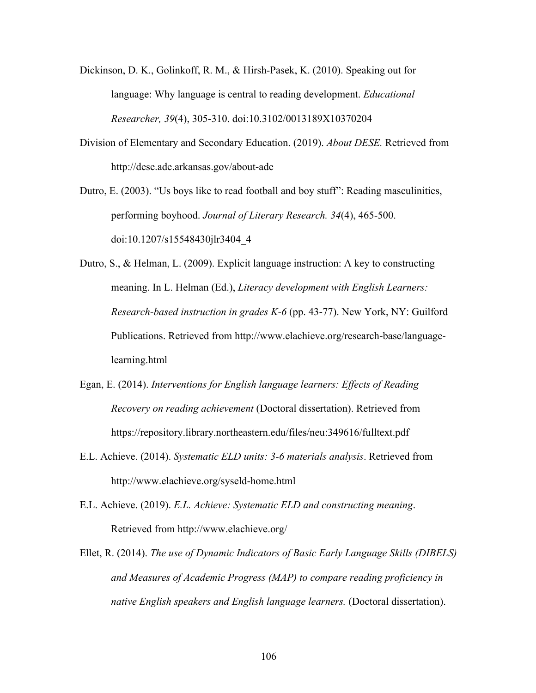- Dickinson, D. K., Golinkoff, R. M., & Hirsh-Pasek, K. (2010). Speaking out for language: Why language is central to reading development. *Educational Researcher, 39*(4), 305-310. doi:10.3102/0013189X10370204
- Division of Elementary and Secondary Education. (2019). *About DESE.* Retrieved from http://dese.ade.arkansas.gov/about-ade

Dutro, E. (2003). "Us boys like to read football and boy stuff": Reading masculinities, performing boyhood. *Journal of Literary Research. 34*(4), 465-500. doi:10.1207/s15548430jlr3404\_4

Dutro, S., & Helman, L. (2009). Explicit language instruction: A key to constructing meaning. In L. Helman (Ed.), *Literacy development with English Learners: Research-based instruction in grades K-6* (pp. 43-77). New York, NY: Guilford Publications. Retrieved from http://www.elachieve.org/research-base/languagelearning.html

- Egan, E. (2014). *Interventions for English language learners: Effects of Reading Recovery on reading achievement* (Doctoral dissertation). Retrieved from https://repository.library.northeastern.edu/files/neu:349616/fulltext.pdf
- E.L. Achieve. (2014). *Systematic ELD units: 3-6 materials analysis*. Retrieved from http://www.elachieve.org/syseld-home.html
- E.L. Achieve. (2019). *E.L. Achieve: Systematic ELD and constructing meaning*. Retrieved from http://www.elachieve.org/
- Ellet, R. (2014). *The use of Dynamic Indicators of Basic Early Language Skills (DIBELS) and Measures of Academic Progress (MAP) to compare reading proficiency in native English speakers and English language learners.* (Doctoral dissertation).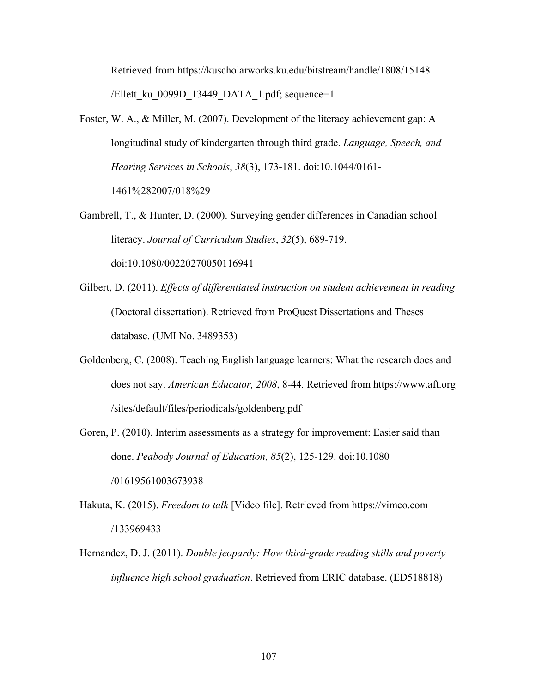Retrieved from https://kuscholarworks.ku.edu/bitstream/handle/1808/15148 /Ellett ku 0099D 13449 DATA 1.pdf; sequence=1

- Foster, W. A., & Miller, M. (2007). Development of the literacy achievement gap: A longitudinal study of kindergarten through third grade. *Language, Speech, and Hearing Services in Schools*, *38*(3), 173-181. doi:10.1044/0161- 1461%282007/018%29
- Gambrell, T., & Hunter, D. (2000). Surveying gender differences in Canadian school literacy. *Journal of Curriculum Studies*, *32*(5), 689-719. doi:10.1080/00220270050116941
- Gilbert, D. (2011). *Effects of differentiated instruction on student achievement in reading* (Doctoral dissertation). Retrieved from ProQuest Dissertations and Theses database. (UMI No. 3489353)
- Goldenberg, C. (2008). Teaching English language learners: What the research does and does not say. *American Educator, 2008*, 8-44*.* Retrieved from https://www.aft.org /sites/default/files/periodicals/goldenberg.pdf
- Goren, P. (2010). Interim assessments as a strategy for improvement: Easier said than done. *Peabody Journal of Education, 85*(2), 125-129. doi:10.1080 /01619561003673938
- Hakuta, K. (2015). *Freedom to talk* [Video file]. Retrieved from https://vimeo.com /133969433
- Hernandez, D. J. (2011). *Double jeopardy: How third-grade reading skills and poverty influence high school graduation*. Retrieved from ERIC database. (ED518818)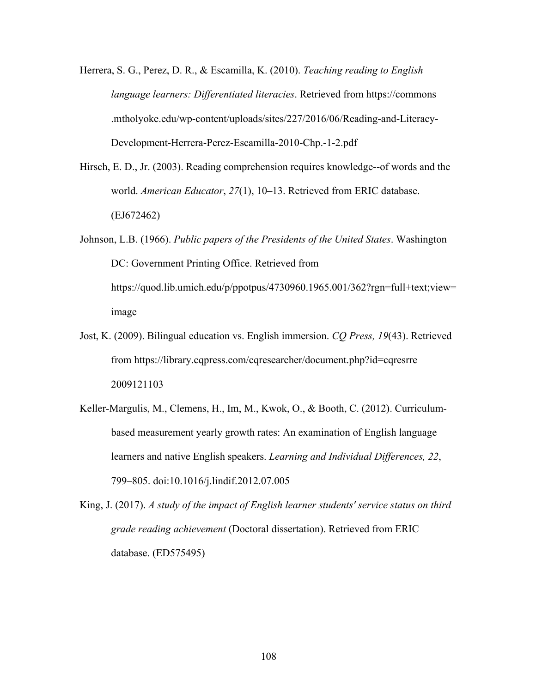- Herrera, S. G., Perez, D. R., & Escamilla, K. (2010). *Teaching reading to English language learners: Differentiated literacies*. Retrieved from https://commons .mtholyoke.edu/wp-content/uploads/sites/227/2016/06/Reading-and-Literacy-Development-Herrera-Perez-Escamilla-2010-Chp.-1-2.pdf
- Hirsch, E. D., Jr. (2003). Reading comprehension requires knowledge--of words and the world. *American Educator*, *27*(1), 10–13. Retrieved from ERIC database. (EJ672462)
- Johnson, L.B. (1966). *Public papers of the Presidents of the United States*. Washington DC: Government Printing Office. Retrieved from https://quod.lib.umich.edu/p/ppotpus/4730960.1965.001/362?rgn=full+text;view= image
- Jost, K. (2009). Bilingual education vs. English immersion. *CQ Press, 19*(43). Retrieved from https://library.cqpress.com/cqresearcher/document.php?id=cqresrre 2009121103
- Keller-Margulis, M., Clemens, H., Im, M., Kwok, O., & Booth, C. (2012). Curriculumbased measurement yearly growth rates: An examination of English language learners and native English speakers. *Learning and Individual Differences, 22*, 799–805. doi:10.1016/j.lindif.2012.07.005

King, J. (2017). *A study of the impact of English learner students' service status on third grade reading achievement* (Doctoral dissertation). Retrieved from ERIC database. (ED575495)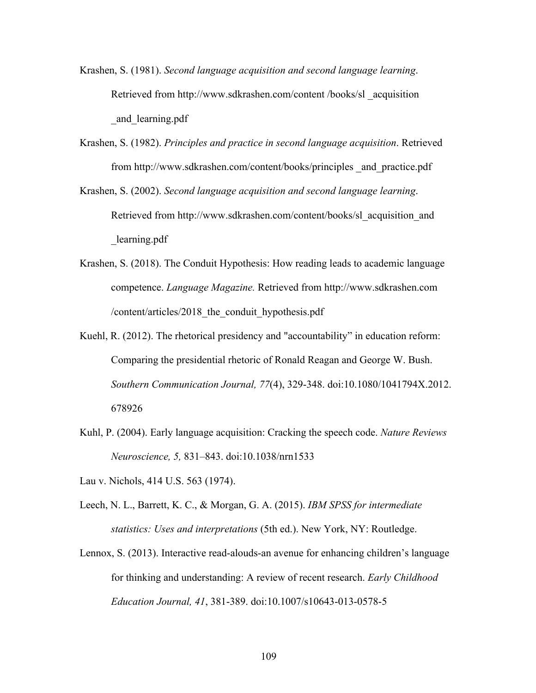- Krashen, S. (1981). *Second language acquisition and second language learning*. Retrieved from http://www.sdkrashen.com/content /books/sl \_acquisition \_and\_learning.pdf
- Krashen, S. (1982). *Principles and practice in second language acquisition*. Retrieved from http://www.sdkrashen.com/content/books/principles \_and\_practice.pdf
- Krashen, S. (2002). *Second language acquisition and second language learning*. Retrieved from http://www.sdkrashen.com/content/books/sl\_acquisition\_and \_learning.pdf
- Krashen, S. (2018). The Conduit Hypothesis: How reading leads to academic language competence. *Language Magazine.* Retrieved from http://www.sdkrashen.com /content/articles/2018\_the\_conduit\_hypothesis.pdf
- Kuehl, R. (2012). The rhetorical presidency and "accountability" in education reform: Comparing the presidential rhetoric of Ronald Reagan and George W. Bush. *Southern Communication Journal, 77*(4), 329-348. doi:10.1080/1041794X.2012. 678926
- Kuhl, P. (2004). Early language acquisition: Cracking the speech code. *Nature Reviews Neuroscience, 5,* 831–843. doi:10.1038/nrn1533
- Lau v. Nichols, 414 U.S. 563 (1974).
- Leech, N. L., Barrett, K. C., & Morgan, G. A. (2015). *IBM SPSS for intermediate statistics: Uses and interpretations* (5th ed.). New York, NY: Routledge.
- Lennox, S. (2013). Interactive read-alouds-an avenue for enhancing children's language for thinking and understanding: A review of recent research. *Early Childhood Education Journal, 41*, 381-389. doi:10.1007/s10643-013-0578-5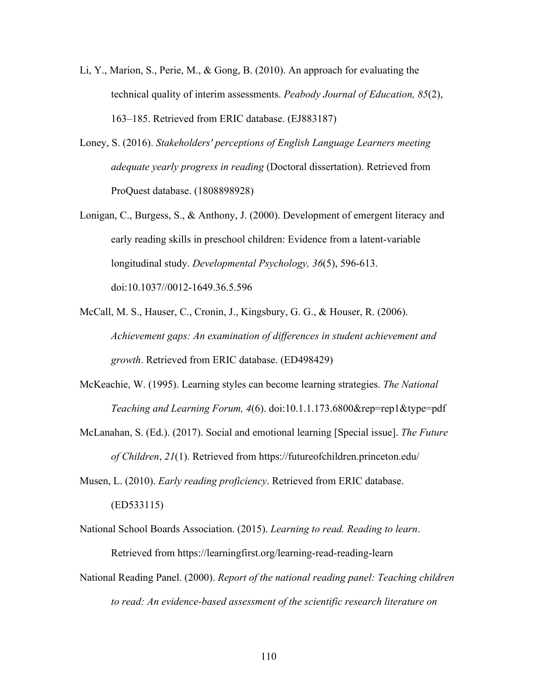- Li, Y., Marion, S., Perie, M., & Gong, B. (2010). An approach for evaluating the technical quality of interim assessments. *Peabody Journal of Education, 85*(2), 163–185. Retrieved from ERIC database. (EJ883187)
- Loney, S. (2016). *Stakeholders' perceptions of English Language Learners meeting adequate yearly progress in reading* (Doctoral dissertation). Retrieved from ProQuest database. (1808898928)
- Lonigan, C., Burgess, S., & Anthony, J. (2000). Development of emergent literacy and early reading skills in preschool children: Evidence from a latent-variable longitudinal study. *Developmental Psychology, 36*(5), 596-613. doi:10.1037//0012-1649.36.5.596
- McCall, M. S., Hauser, C., Cronin, J., Kingsbury, G. G., & Houser, R. (2006). *Achievement gaps: An examination of differences in student achievement and growth*. Retrieved from ERIC database. (ED498429)
- McKeachie, W. (1995). Learning styles can become learning strategies. *The National Teaching and Learning Forum, 4*(6). doi:10.1.1.173.6800&rep=rep1&type=pdf
- McLanahan, S. (Ed.). (2017). Social and emotional learning [Special issue]. *The Future of Children*, *21*(1). Retrieved from https://futureofchildren.princeton.edu/

Musen, L. (2010). *Early reading proficiency*. Retrieved from ERIC database. (ED533115)

- National School Boards Association. (2015). *Learning to read. Reading to learn*. Retrieved from https://learningfirst.org/learning-read-reading-learn
- National Reading Panel. (2000). *Report of the national reading panel: Teaching children to read: An evidence-based assessment of the scientific research literature on*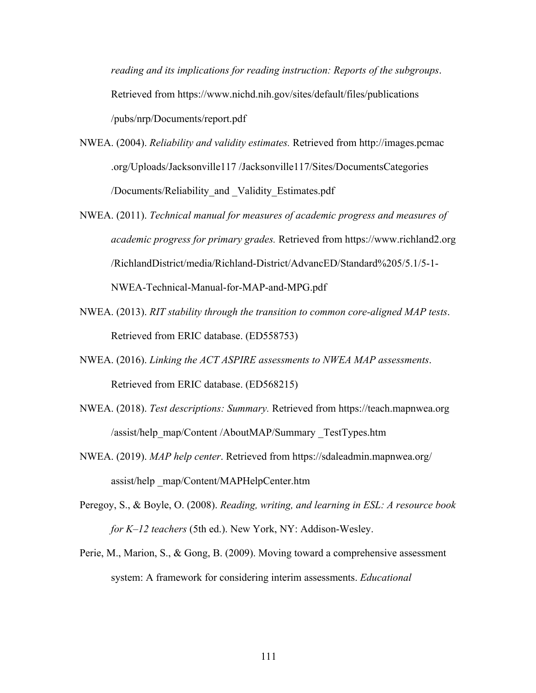*reading and its implications for reading instruction: Reports of the subgroups*. Retrieved from https://www.nichd.nih.gov/sites/default/files/publications /pubs/nrp/Documents/report.pdf

- NWEA. (2004). *Reliability and validity estimates.* Retrieved from http://images.pcmac .org/Uploads/Jacksonville117 /Jacksonville117/Sites/DocumentsCategories /Documents/Reliability\_and \_Validity\_Estimates.pdf
- NWEA. (2011). *Technical manual for measures of academic progress and measures of academic progress for primary grades.* Retrieved from https://www.richland2.org /RichlandDistrict/media/Richland-District/AdvancED/Standard%205/5.1/5-1- NWEA-Technical-Manual-for-MAP-and-MPG.pdf
- NWEA. (2013). *RIT stability through the transition to common core-aligned MAP tests*. Retrieved from ERIC database. (ED558753)
- NWEA. (2016). *Linking the ACT ASPIRE assessments to NWEA MAP assessments*. Retrieved from ERIC database. (ED568215)
- NWEA. (2018). *Test descriptions: Summary.* Retrieved from https://teach.mapnwea.org /assist/help\_map/Content /AboutMAP/Summary \_TestTypes.htm
- NWEA. (2019). *MAP help center*. Retrieved from https://sdaleadmin.mapnwea.org/ assist/help \_map/Content/MAPHelpCenter.htm
- Peregoy, S., & Boyle, O. (2008). *Reading, writing, and learning in ESL: A resource book for K–12 teachers* (5th ed.). New York, NY: Addison-Wesley.
- Perie, M., Marion, S., & Gong, B. (2009). Moving toward a comprehensive assessment system: A framework for considering interim assessments. *Educational*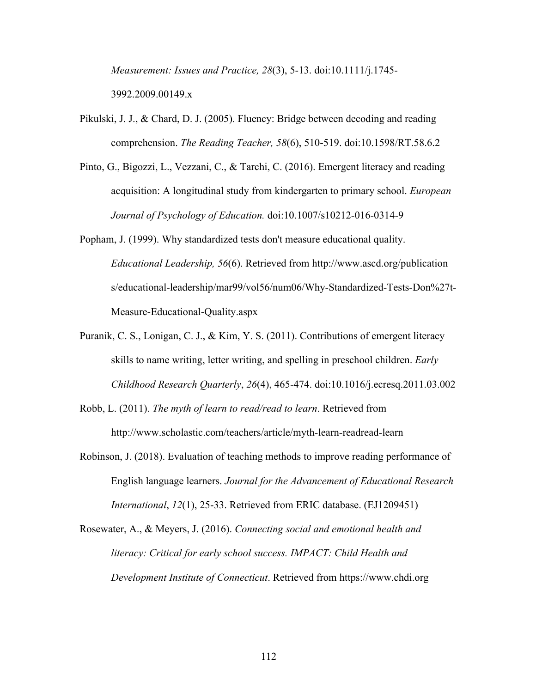*Measurement: Issues and Practice, 28*(3), 5-13. doi:10.1111/j.1745- 3992.2009.00149.x

- Pikulski, J. J., & Chard, D. J. (2005). Fluency: Bridge between decoding and reading comprehension. *The Reading Teacher, 58*(6), 510-519. doi:10.1598/RT.58.6.2
- Pinto, G., Bigozzi, L., Vezzani, C., & Tarchi, C. (2016). Emergent literacy and reading acquisition: A longitudinal study from kindergarten to primary school. *European Journal of Psychology of Education.* doi:10.1007/s10212-016-0314-9

Popham, J. (1999). Why standardized tests don't measure educational quality. *Educational Leadership, 56*(6). Retrieved from http://www.ascd.org/publication s/educational-leadership/mar99/vol56/num06/Why-Standardized-Tests-Don%27t-Measure-Educational-Quality.aspx

- Puranik, C. S., Lonigan, C. J., & Kim, Y. S. (2011). Contributions of emergent literacy skills to name writing, letter writing, and spelling in preschool children. *Early Childhood Research Quarterly*, *26*(4), 465-474. doi:10.1016/j.ecresq.2011.03.002
- Robb, L. (2011). *The myth of learn to read/read to learn*. Retrieved from http://www.scholastic.com/teachers/article/myth-learn-readread-learn
- Robinson, J. (2018). Evaluation of teaching methods to improve reading performance of English language learners. *Journal for the Advancement of Educational Research International*, *12*(1), 25-33. Retrieved from ERIC database. (EJ1209451)
- Rosewater, A., & Meyers, J. (2016). *Connecting social and emotional health and literacy: Critical for early school success. IMPACT: Child Health and Development Institute of Connecticut*. Retrieved from https://www.chdi.org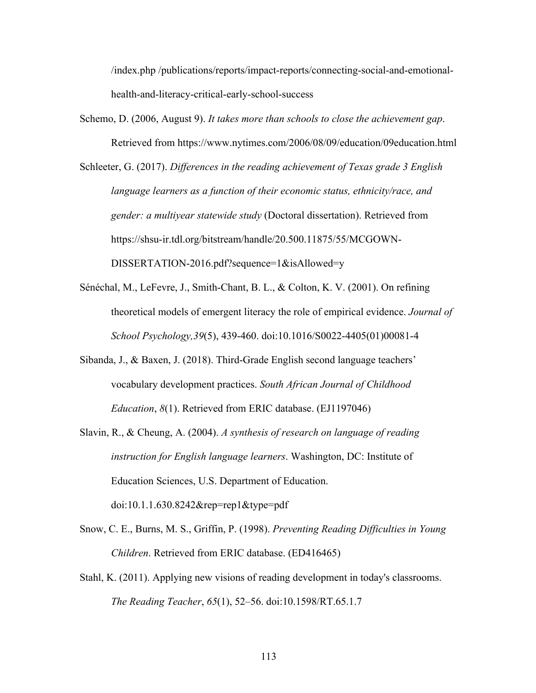/index.php /publications/reports/impact-reports/connecting-social-and-emotionalhealth-and-literacy-critical-early-school-success

Schemo, D. (2006, August 9). *It takes more than schools to close the achievement gap*. Retrieved from https://www.nytimes.com/2006/08/09/education/09education.html

Schleeter, G. (2017). *Differences in the reading achievement of Texas grade 3 English language learners as a function of their economic status, ethnicity/race, and gender: a multiyear statewide study* (Doctoral dissertation). Retrieved from https://shsu-ir.tdl.org/bitstream/handle/20.500.11875/55/MCGOWN-DISSERTATION-2016.pdf?sequence=1&isAllowed=y

- Sénéchal, M., LeFevre, J., Smith-Chant, B. L., & Colton, K. V. (2001). On refining theoretical models of emergent literacy the role of empirical evidence. *Journal of School Psychology,39*(5), 439-460. doi:10.1016/S0022-4405(01)00081-4
- Sibanda, J., & Baxen, J. (2018). Third-Grade English second language teachers' vocabulary development practices. *South African Journal of Childhood Education*, *8*(1). Retrieved from ERIC database. (EJ1197046)
- Slavin, R., & Cheung, A. (2004). *A synthesis of research on language of reading instruction for English language learners*. Washington, DC: Institute of Education Sciences, U.S. Department of Education. doi:10.1.1.630.8242&rep=rep1&type=pdf
- Snow, C. E., Burns, M. S., Griffin, P. (1998). *Preventing Reading Difficulties in Young Children*. Retrieved from ERIC database. (ED416465)
- Stahl, K. (2011). Applying new visions of reading development in today's classrooms. *The Reading Teacher*, *65*(1), 52–56. doi:10.1598/RT.65.1.7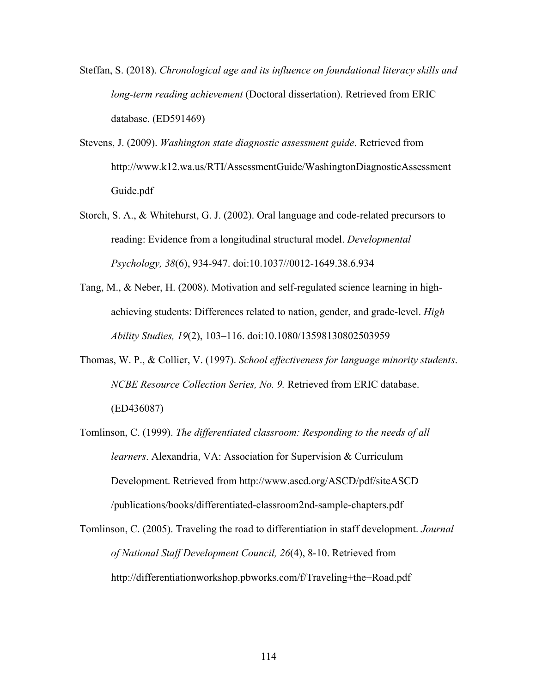- Steffan, S. (2018). *Chronological age and its influence on foundational literacy skills and long-term reading achievement* (Doctoral dissertation). Retrieved from ERIC database. (ED591469)
- Stevens, J. (2009). *Washington state diagnostic assessment guide*. Retrieved from http://www.k12.wa.us/RTI/AssessmentGuide/WashingtonDiagnosticAssessment Guide.pdf
- Storch, S. A., & Whitehurst, G. J. (2002). Oral language and code-related precursors to reading: Evidence from a longitudinal structural model. *Developmental Psychology, 38*(6), 934-947. doi:10.1037//0012-1649.38.6.934
- Tang, M., & Neber, H. (2008). Motivation and self-regulated science learning in highachieving students: Differences related to nation, gender, and grade-level. *High Ability Studies, 19*(2), 103–116. doi:10.1080/13598130802503959
- Thomas, W. P., & Collier, V. (1997). *School effectiveness for language minority students*. *NCBE Resource Collection Series, No. 9.* Retrieved from ERIC database. (ED436087)
- Tomlinson, C. (1999). *The differentiated classroom: Responding to the needs of all learners*. Alexandria, VA: Association for Supervision & Curriculum Development. Retrieved from http://www.ascd.org/ASCD/pdf/siteASCD /publications/books/differentiated-classroom2nd-sample-chapters.pdf

Tomlinson, C. (2005). Traveling the road to differentiation in staff development. *Journal of National Staff Development Council, 26*(4), 8-10. Retrieved from http://differentiationworkshop.pbworks.com/f/Traveling+the+Road.pdf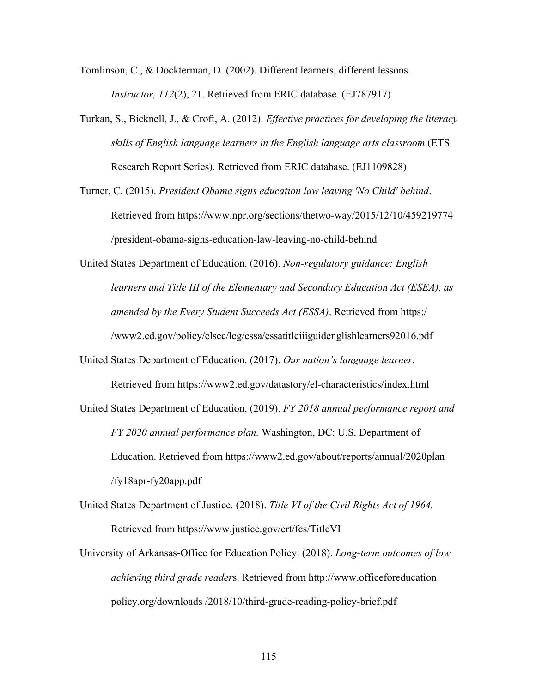Tomlinson, C., & Dockterman, D. (2002). Different learners, different lessons. *Instructor, 112(2), 21. Retrieved from ERIC database. (EJ787917)* 

- Turkan, S., Bicknell, J., & Croft, A. (2012). *Effective practices for developing the literacy skills of English language learners in the English language arts classroom* (ETS Research Report Series). Retrieved from ERIC database. (EJ1109828)
- Turner, C. (2015). *President Obama signs education law leaving 'No Child' behind*. Retrieved from https://www.npr.org/sections/thetwo-way/2015/12/10/459219774 /president-obama-signs-education-law-leaving-no-child-behind

United States Department of Education. (2016). *Non-regulatory guidance: English learners and Title III of the Elementary and Secondary Education Act (ESEA), as amended by the Every Student Succeeds Act (ESSA)*. Retrieved from https:/ /www2.ed.gov/policy/elsec/leg/essa/essatitleiiiguidenglishlearners92016.pdf

United States Department of Education. (2017). *Our nation's language learner.* 

Retrieved from https://www2.ed.gov/datastory/el-characteristics/index.html

United States Department of Education. (2019). *FY 2018 annual performance report and FY 2020 annual performance plan.* Washington, DC: U.S. Department of Education. Retrieved from https://www2.ed.gov/about/reports/annual/2020plan /fy18apr-fy20app.pdf

United States Department of Justice. (2018). *Title VI of the Civil Rights Act of 1964.*  Retrieved from https://www.justice.gov/crt/fcs/TitleVI

University of Arkansas-Office for Education Policy. (2018). *Long-term outcomes of low achieving third grade reader*s. Retrieved from http://www.officeforeducation policy.org/downloads /2018/10/third-grade-reading-policy-brief.pdf